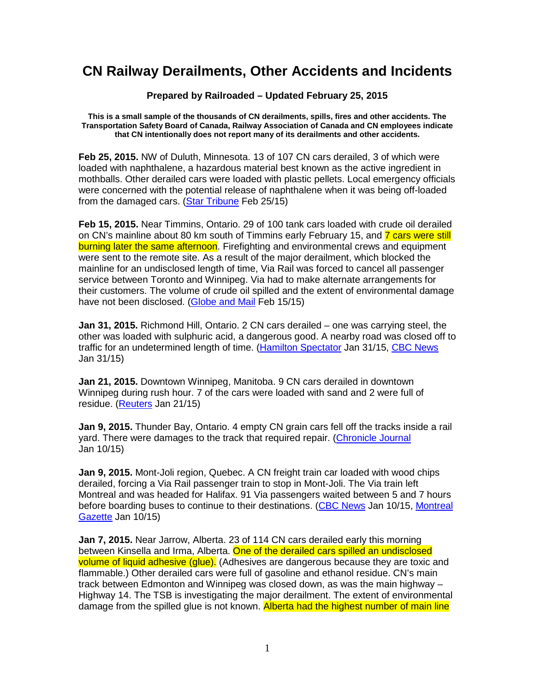## **CN Railway Derailments, Other Accidents and Incidents**

## **Prepared by Railroaded – Updated February 25, 2015**

**This is a small sample of the thousands of CN derailments, spills, fires and other accidents. The Transportation Safety Board of Canada, Railway Association of Canada and CN employees indicate that CN intentionally does not report many of its derailments and other accidents.** 

**Feb 25, 2015.** NW of Duluth, Minnesota. 13 of 107 CN cars derailed, 3 of which were loaded with naphthalene, a hazardous material best known as the active ingredient in mothballs. Other derailed cars were loaded with plastic pellets. Local emergency officials were concerned with the potential release of naphthalene when it was being off-loaded from the damaged cars. (Star Tribune Feb 25/15)

**Feb 15, 2015.** Near Timmins, Ontario. 29 of 100 tank cars loaded with crude oil derailed on CN's mainline about 80 km south of Timmins early February 15, and 7 cars were still burning later the same afternoon. Firefighting and environmental crews and equipment were sent to the remote site. As a result of the major derailment, which blocked the mainline for an undisclosed length of time, Via Rail was forced to cancel all passenger service between Toronto and Winnipeg. Via had to make alternate arrangements for their customers. The volume of crude oil spilled and the extent of environmental damage have not been disclosed. (Globe and Mail Feb 15/15)

**Jan 31, 2015.** Richmond Hill, Ontario. 2 CN cars derailed – one was carrying steel, the other was loaded with sulphuric acid, a dangerous good. A nearby road was closed off to traffic for an undetermined length of time. (Hamilton Spectator Jan 31/15, CBC News Jan 31/15)

**Jan 21, 2015.** Downtown Winnipeg, Manitoba. 9 CN cars derailed in downtown Winnipeg during rush hour. 7 of the cars were loaded with sand and 2 were full of residue. (Reuters Jan 21/15)

**Jan 9, 2015.** Thunder Bay, Ontario. 4 empty CN grain cars fell off the tracks inside a rail yard. There were damages to the track that required repair. (Chronicle Journal Jan 10/15)

**Jan 9, 2015.** Mont-Joli region, Quebec. A CN freight train car loaded with wood chips derailed, forcing a Via Rail passenger train to stop in Mont-Joli. The Via train left Montreal and was headed for Halifax. 91 Via passengers waited between 5 and 7 hours before boarding buses to continue to their destinations. (CBC News Jan 10/15, Montreal Gazette Jan 10/15)

**Jan 7, 2015.** Near Jarrow, Alberta. 23 of 114 CN cars derailed early this morning between Kinsella and Irma, Alberta. One of the derailed cars spilled an undisclosed volume of liquid adhesive (glue). (Adhesives are dangerous because they are toxic and flammable.) Other derailed cars were full of gasoline and ethanol residue. CN's main track between Edmonton and Winnipeg was closed down, as was the main highway – Highway 14. The TSB is investigating the major derailment. The extent of environmental damage from the spilled glue is not known. Alberta had the highest number of main line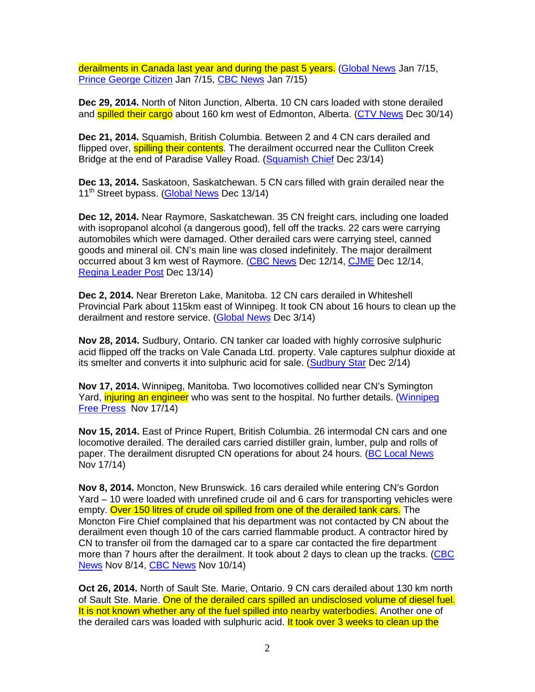derailments in Canada last year and during the past 5 years. (Global News Jan 7/15, Prince George Citizen Jan 7/15, CBC News Jan 7/15)

**Dec 29, 2014.** North of Niton Junction, Alberta. 10 CN cars loaded with stone derailed and **spilled their cargo** about 160 km west of Edmonton, Alberta. (CTV News Dec 30/14)

**Dec 21, 2014.** Squamish, British Columbia. Between 2 and 4 CN cars derailed and flipped over, **spilling their contents**. The derailment occurred near the Culliton Creek Bridge at the end of Paradise Valley Road. (Squamish Chief Dec 23/14)

**Dec 13, 2014.** Saskatoon, Saskatchewan. 5 CN cars filled with grain derailed near the 11<sup>th</sup> Street bypass. (Global News Dec 13/14)

**Dec 12, 2014.** Near Raymore, Saskatchewan. 35 CN freight cars, including one loaded with isopropanol alcohol (a dangerous good), fell off the tracks. 22 cars were carrying automobiles which were damaged. Other derailed cars were carrying steel, canned goods and mineral oil. CN's main line was closed indefinitely. The major derailment occurred about 3 km west of Raymore. (CBC News Dec 12/14, CJME Dec 12/14, Regina Leader Post Dec 13/14)

**Dec 2, 2014.** Near Brereton Lake, Manitoba. 12 CN cars derailed in Whiteshell Provincial Park about 115km east of Winnipeg. It took CN about 16 hours to clean up the derailment and restore service. (Global News Dec 3/14)

**Nov 28, 2014.** Sudbury, Ontario. CN tanker car loaded with highly corrosive sulphuric acid flipped off the tracks on Vale Canada Ltd. property. Vale captures sulphur dioxide at its smelter and converts it into sulphuric acid for sale. (Sudbury Star Dec 2/14)

**Nov 17, 2014.** Winnipeg, Manitoba. Two locomotives collided near CN's Symington Yard, *injuring an engineer* who was sent to the hospital. No further details. (Winnipeg Free Press Nov 17/14)

**Nov 15, 2014.** East of Prince Rupert, British Columbia. 26 intermodal CN cars and one locomotive derailed. The derailed cars carried distiller grain, lumber, pulp and rolls of paper. The derailment disrupted CN operations for about 24 hours. (BC Local News Nov 17/14)

**Nov 8, 2014.** Moncton, New Brunswick. 16 cars derailed while entering CN's Gordon Yard – 10 were loaded with unrefined crude oil and 6 cars for transporting vehicles were empty. Over 150 litres of crude oil spilled from one of the derailed tank cars. The Moncton Fire Chief complained that his department was not contacted by CN about the derailment even though 10 of the cars carried flammable product. A contractor hired by CN to transfer oil from the damaged car to a spare car contacted the fire department more than 7 hours after the derailment. It took about 2 days to clean up the tracks. (CBC News Nov 8/14, CBC News Nov 10/14)

**Oct 26, 2014.** North of Sault Ste. Marie, Ontario. 9 CN cars derailed about 130 km north of Sault Ste. Marie. One of the derailed cars spilled an undisclosed volume of diesel fuel. It is not known whether any of the fuel spilled into nearby waterbodies. Another one of the derailed cars was loaded with sulphuric acid. It took over 3 weeks to clean up the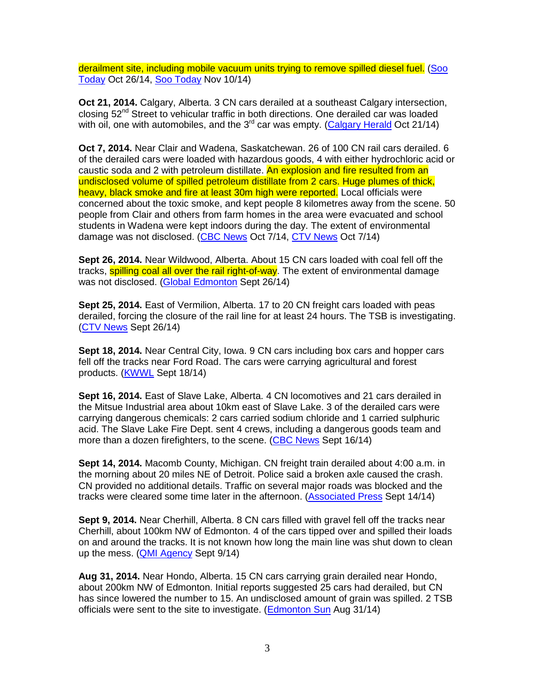derailment site, including mobile vacuum units trying to remove spilled diesel fuel. (Soo Today Oct 26/14, Soo Today Nov 10/14)

**Oct 21, 2014.** Calgary, Alberta. 3 CN cars derailed at a southeast Calgary intersection, closing  $52<sup>nd</sup>$  Street to vehicular traffic in both directions. One derailed car was loaded with oil, one with automobiles, and the 3<sup>rd</sup> car was empty. (Calgary Herald Oct 21/14)

**Oct 7, 2014.** Near Clair and Wadena, Saskatchewan. 26 of 100 CN rail cars derailed. 6 of the derailed cars were loaded with hazardous goods, 4 with either hydrochloric acid or caustic soda and 2 with petroleum distillate. An explosion and fire resulted from an undisclosed volume of spilled petroleum distillate from 2 cars. Huge plumes of thick, heavy, black smoke and fire at least 30m high were reported. Local officials were concerned about the toxic smoke, and kept people 8 kilometres away from the scene. 50 people from Clair and others from farm homes in the area were evacuated and school students in Wadena were kept indoors during the day. The extent of environmental damage was not disclosed. (CBC News Oct 7/14, CTV News Oct 7/14)

**Sept 26, 2014.** Near Wildwood, Alberta. About 15 CN cars loaded with coal fell off the tracks, **spilling coal all over the rail right-of-way**. The extent of environmental damage was not disclosed. (Global Edmonton Sept 26/14)

**Sept 25, 2014.** East of Vermilion, Alberta. 17 to 20 CN freight cars loaded with peas derailed, forcing the closure of the rail line for at least 24 hours. The TSB is investigating. (CTV News Sept 26/14)

**Sept 18, 2014.** Near Central City, Iowa. 9 CN cars including box cars and hopper cars fell off the tracks near Ford Road. The cars were carrying agricultural and forest products. (KWWL Sept 18/14)

**Sept 16, 2014.** East of Slave Lake, Alberta. 4 CN locomotives and 21 cars derailed in the Mitsue Industrial area about 10km east of Slave Lake. 3 of the derailed cars were carrying dangerous chemicals: 2 cars carried sodium chloride and 1 carried sulphuric acid. The Slave Lake Fire Dept. sent 4 crews, including a dangerous goods team and more than a dozen firefighters, to the scene. (CBC News Sept 16/14)

**Sept 14, 2014.** Macomb County, Michigan. CN freight train derailed about 4:00 a.m. in the morning about 20 miles NE of Detroit. Police said a broken axle caused the crash. CN provided no additional details. Traffic on several major roads was blocked and the tracks were cleared some time later in the afternoon. (Associated Press Sept 14/14)

**Sept 9, 2014.** Near Cherhill, Alberta. 8 CN cars filled with gravel fell off the tracks near Cherhill, about 100km NW of Edmonton. 4 of the cars tipped over and spilled their loads on and around the tracks. It is not known how long the main line was shut down to clean up the mess. (QMI Agency Sept 9/14)

**Aug 31, 2014.** Near Hondo, Alberta. 15 CN cars carrying grain derailed near Hondo, about 200km NW of Edmonton. Initial reports suggested 25 cars had derailed, but CN has since lowered the number to 15. An undisclosed amount of grain was spilled. 2 TSB officials were sent to the site to investigate. (Edmonton Sun Aug 31/14)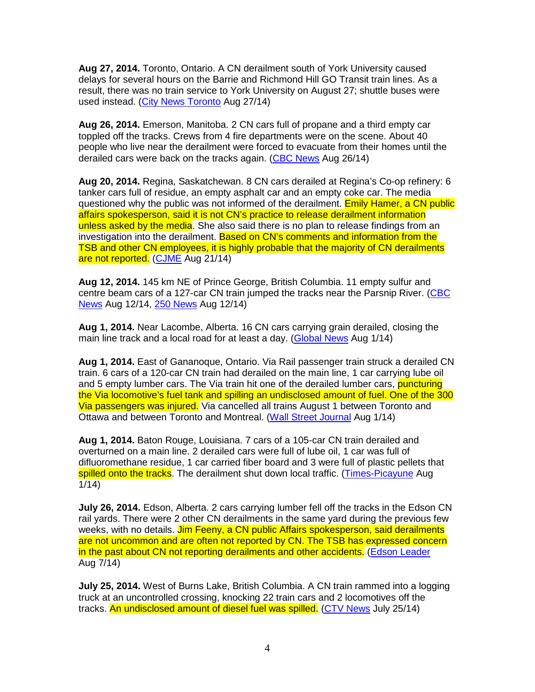**Aug 27, 2014.** Toronto, Ontario. A CN derailment south of York University caused delays for several hours on the Barrie and Richmond Hill GO Transit train lines. As a result, there was no train service to York University on August 27; shuttle buses were used instead. (City News Toronto Aug 27/14)

**Aug 26, 2014.** Emerson, Manitoba. 2 CN cars full of propane and a third empty car toppled off the tracks. Crews from 4 fire departments were on the scene. About 40 people who live near the derailment were forced to evacuate from their homes until the derailed cars were back on the tracks again. (CBC News Aug 26/14)

**Aug 20, 2014.** Regina, Saskatchewan. 8 CN cars derailed at Regina's Co-op refinery: 6 tanker cars full of residue, an empty asphalt car and an empty coke car. The media questioned why the public was not informed of the derailment. Emily Hamer, a CN public affairs spokesperson, said it is not CN's practice to release derailment information unless asked by the media. She also said there is no plan to release findings from an investigation into the derailment. Based on CN's comments and information from the TSB and other CN employees, it is highly probable that the majority of CN derailments are not reported. (CJME Aug 21/14)

**Aug 12, 2014.** 145 km NE of Prince George, British Columbia. 11 empty sulfur and centre beam cars of a 127-car CN train jumped the tracks near the Parsnip River. (CBC News Aug 12/14, 250 News Aug 12/14)

**Aug 1, 2014.** Near Lacombe, Alberta. 16 CN cars carrying grain derailed, closing the main line track and a local road for at least a day. (Global News Aug 1/14)

**Aug 1, 2014.** East of Gananoque, Ontario. Via Rail passenger train struck a derailed CN train. 6 cars of a 120-car CN train had derailed on the main line, 1 car carrying lube oil and 5 empty lumber cars. The Via train hit one of the derailed lumber cars, puncturing the Via locomotive's fuel tank and spilling an undisclosed amount of fuel. One of the 300 Via passengers was injured. Via cancelled all trains August 1 between Toronto and Ottawa and between Toronto and Montreal. (Wall Street Journal Aug 1/14)

**Aug 1, 2014.** Baton Rouge, Louisiana. 7 cars of a 105-car CN train derailed and overturned on a main line. 2 derailed cars were full of lube oil, 1 car was full of difluoromethane residue, 1 car carried fiber board and 3 were full of plastic pellets that spilled onto the tracks. The derailment shut down local traffic. (Times-Picayune Aug 1/14)

**July 26, 2014.** Edson, Alberta. 2 cars carrying lumber fell off the tracks in the Edson CN rail yards. There were 2 other CN derailments in the same yard during the previous few weeks, with no details, Jim Feeny, a CN public Affairs spokesperson, said derailments are not uncommon and are often not reported by CN. The TSB has expressed concern in the past about CN not reporting derailments and other accidents. (Edson Leader Aug 7/14)

**July 25, 2014.** West of Burns Lake, British Columbia. A CN train rammed into a logging truck at an uncontrolled crossing, knocking 22 train cars and 2 locomotives off the tracks. An undisclosed amount of diesel fuel was spilled. (CTV News July 25/14)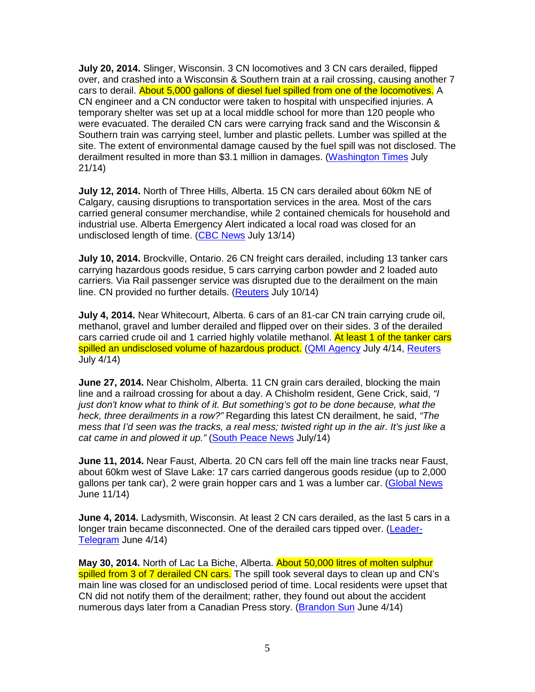**July 20, 2014.** Slinger, Wisconsin. 3 CN locomotives and 3 CN cars derailed, flipped over, and crashed into a Wisconsin & Southern train at a rail crossing, causing another 7 cars to derail. About 5,000 gallons of diesel fuel spilled from one of the locomotives. A CN engineer and a CN conductor were taken to hospital with unspecified injuries. A temporary shelter was set up at a local middle school for more than 120 people who were evacuated. The derailed CN cars were carrying frack sand and the Wisconsin & Southern train was carrying steel, lumber and plastic pellets. Lumber was spilled at the site. The extent of environmental damage caused by the fuel spill was not disclosed. The derailment resulted in more than \$3.1 million in damages. (Washington Times July 21/14)

**July 12, 2014.** North of Three Hills, Alberta. 15 CN cars derailed about 60km NE of Calgary, causing disruptions to transportation services in the area. Most of the cars carried general consumer merchandise, while 2 contained chemicals for household and industrial use. Alberta Emergency Alert indicated a local road was closed for an undisclosed length of time. (CBC News July 13/14)

**July 10, 2014.** Brockville, Ontario. 26 CN freight cars derailed, including 13 tanker cars carrying hazardous goods residue, 5 cars carrying carbon powder and 2 loaded auto carriers. Via Rail passenger service was disrupted due to the derailment on the main line. CN provided no further details. (Reuters July 10/14)

**July 4, 2014.** Near Whitecourt, Alberta. 6 cars of an 81-car CN train carrying crude oil, methanol, gravel and lumber derailed and flipped over on their sides. 3 of the derailed cars carried crude oil and 1 carried highly volatile methanol. At least 1 of the tanker cars spilled an undisclosed volume of hazardous product. (QMI Agency July 4/14, Reuters July 4/14)

**June 27, 2014.** Near Chisholm, Alberta. 11 CN grain cars derailed, blocking the main line and a railroad crossing for about a day. A Chisholm resident, Gene Crick, said, "I just don't know what to think of it. But something's got to be done because, what the heck, three derailments in a row?" Regarding this latest CN derailment, he said, "The mess that I'd seen was the tracks, a real mess; twisted right up in the air. It's just like a cat came in and plowed it up." (South Peace News July/14)

**June 11, 2014.** Near Faust, Alberta. 20 CN cars fell off the main line tracks near Faust, about 60km west of Slave Lake: 17 cars carried dangerous goods residue (up to 2,000 gallons per tank car), 2 were grain hopper cars and 1 was a lumber car. (Global News June 11/14)

**June 4, 2014.** Ladysmith, Wisconsin. At least 2 CN cars derailed, as the last 5 cars in a longer train became disconnected. One of the derailed cars tipped over. (Leader-Telegram June 4/14)

**May 30, 2014.** North of Lac La Biche, Alberta. About 50,000 litres of molten sulphur spilled from 3 of 7 derailed CN cars. The spill took several days to clean up and CN's main line was closed for an undisclosed period of time. Local residents were upset that CN did not notify them of the derailment; rather, they found out about the accident numerous days later from a Canadian Press story. (Brandon Sun June 4/14)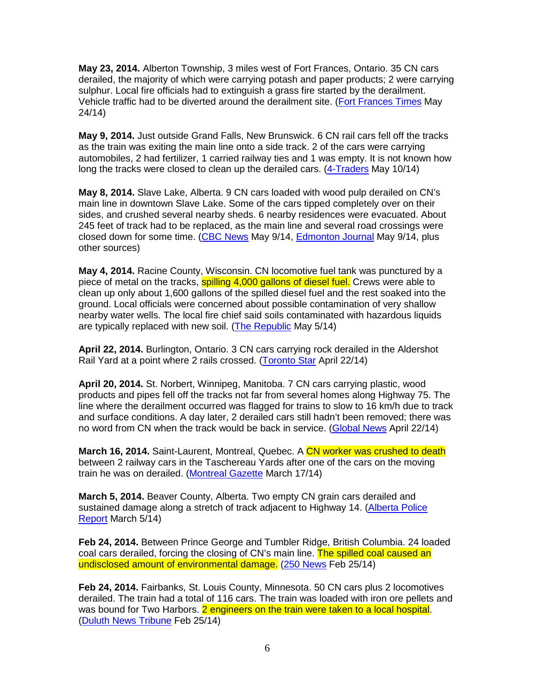**May 23, 2014.** Alberton Township, 3 miles west of Fort Frances, Ontario. 35 CN cars derailed, the majority of which were carrying potash and paper products; 2 were carrying sulphur. Local fire officials had to extinguish a grass fire started by the derailment. Vehicle traffic had to be diverted around the derailment site. (Fort Frances Times May 24/14)

**May 9, 2014.** Just outside Grand Falls, New Brunswick. 6 CN rail cars fell off the tracks as the train was exiting the main line onto a side track. 2 of the cars were carrying automobiles, 2 had fertilizer, 1 carried railway ties and 1 was empty. It is not known how long the tracks were closed to clean up the derailed cars. (4-Traders May 10/14)

**May 8, 2014.** Slave Lake, Alberta. 9 CN cars loaded with wood pulp derailed on CN's main line in downtown Slave Lake. Some of the cars tipped completely over on their sides, and crushed several nearby sheds. 6 nearby residences were evacuated. About 245 feet of track had to be replaced, as the main line and several road crossings were closed down for some time. (CBC News May 9/14, Edmonton Journal May 9/14, plus other sources)

**May 4, 2014.** Racine County, Wisconsin. CN locomotive fuel tank was punctured by a piece of metal on the tracks, **spilling 4,000 gallons of diesel fuel.** Crews were able to clean up only about 1,600 gallons of the spilled diesel fuel and the rest soaked into the ground. Local officials were concerned about possible contamination of very shallow nearby water wells. The local fire chief said soils contaminated with hazardous liquids are typically replaced with new soil. (The Republic May 5/14)

**April 22, 2014.** Burlington, Ontario. 3 CN cars carrying rock derailed in the Aldershot Rail Yard at a point where 2 rails crossed. (Toronto Star April 22/14)

**April 20, 2014.** St. Norbert, Winnipeg, Manitoba. 7 CN cars carrying plastic, wood products and pipes fell off the tracks not far from several homes along Highway 75. The line where the derailment occurred was flagged for trains to slow to 16 km/h due to track and surface conditions. A day later, 2 derailed cars still hadn't been removed; there was no word from CN when the track would be back in service. (Global News April 22/14)

**March 16, 2014.** Saint-Laurent, Montreal, Quebec. A CN worker was crushed to death between 2 railway cars in the Taschereau Yards after one of the cars on the moving train he was on derailed. (Montreal Gazette March 17/14)

**March 5, 2014.** Beaver County, Alberta. Two empty CN grain cars derailed and sustained damage along a stretch of track adjacent to Highway 14. (Alberta Police Report March 5/14)

**Feb 24, 2014.** Between Prince George and Tumbler Ridge, British Columbia. 24 loaded coal cars derailed, forcing the closing of CN's main line. The spilled coal caused an undisclosed amount of environmental damage. (250 News Feb 25/14)

**Feb 24, 2014.** Fairbanks, St. Louis County, Minnesota. 50 CN cars plus 2 locomotives derailed. The train had a total of 116 cars. The train was loaded with iron ore pellets and was bound for Two Harbors. 2 engineers on the train were taken to a local hospital. (Duluth News Tribune Feb 25/14)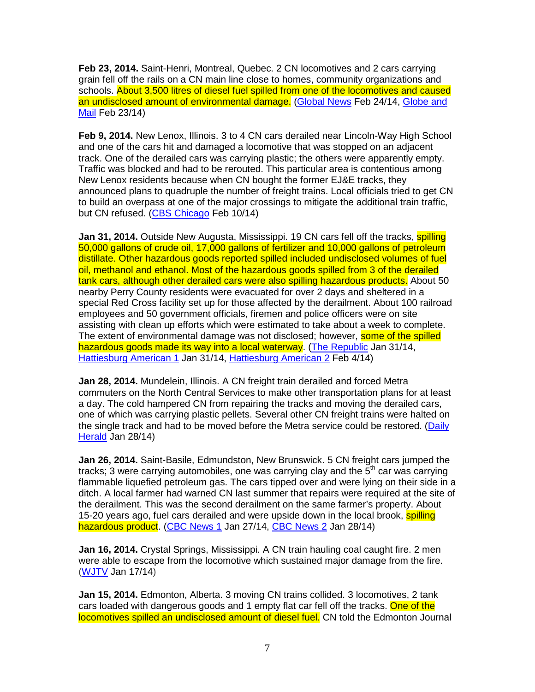**Feb 23, 2014.** Saint-Henri, Montreal, Quebec. 2 CN locomotives and 2 cars carrying grain fell off the rails on a CN main line close to homes, community organizations and schools. About 3,500 litres of diesel fuel spilled from one of the locomotives and caused an undisclosed amount of environmental damage. (Global News Feb 24/14, Globe and Mail Feb 23/14)

**Feb 9, 2014.** New Lenox, Illinois. 3 to 4 CN cars derailed near Lincoln-Way High School and one of the cars hit and damaged a locomotive that was stopped on an adjacent track. One of the derailed cars was carrying plastic; the others were apparently empty. Traffic was blocked and had to be rerouted. This particular area is contentious among New Lenox residents because when CN bought the former EJ&E tracks, they announced plans to quadruple the number of freight trains. Local officials tried to get CN to build an overpass at one of the major crossings to mitigate the additional train traffic, but CN refused. (CBS Chicago Feb 10/14)

**Jan 31, 2014.** Outside New Augusta, Mississippi. 19 CN cars fell off the tracks, **spilling** 50,000 gallons of crude oil, 17,000 gallons of fertilizer and 10,000 gallons of petroleum distillate. Other hazardous goods reported spilled included undisclosed volumes of fuel oil, methanol and ethanol. Most of the hazardous goods spilled from 3 of the derailed tank cars, although other derailed cars were also spilling hazardous products. About 50 nearby Perry County residents were evacuated for over 2 days and sheltered in a special Red Cross facility set up for those affected by the derailment. About 100 railroad employees and 50 government officials, firemen and police officers were on site assisting with clean up efforts which were estimated to take about a week to complete. The extent of environmental damage was not disclosed; however, some of the spilled hazardous goods made its way into a local waterway. (The Republic Jan 31/14, Hattiesburg American 1 Jan 31/14, Hattiesburg American 2 Feb 4/14)

**Jan 28, 2014.** Mundelein, Illinois. A CN freight train derailed and forced Metra commuters on the North Central Services to make other transportation plans for at least a day. The cold hampered CN from repairing the tracks and moving the derailed cars, one of which was carrying plastic pellets. Several other CN freight trains were halted on the single track and had to be moved before the Metra service could be restored. (Daily Herald Jan 28/14)

**Jan 26, 2014.** Saint-Basile, Edmundston, New Brunswick. 5 CN freight cars jumped the tracks; 3 were carrying automobiles, one was carrying clay and the  $5<sup>th</sup>$  car was carrying flammable liquefied petroleum gas. The cars tipped over and were lying on their side in a ditch. A local farmer had warned CN last summer that repairs were required at the site of the derailment. This was the second derailment on the same farmer's property. About 15-20 years ago, fuel cars derailed and were upside down in the local brook, spilling hazardous product. (CBC News 1 Jan 27/14, CBC News 2 Jan 28/14)

**Jan 16, 2014.** Crystal Springs, Mississippi. A CN train hauling coal caught fire. 2 men were able to escape from the locomotive which sustained major damage from the fire. (WJTV Jan 17/14)

**Jan 15, 2014.** Edmonton, Alberta. 3 moving CN trains collided. 3 locomotives, 2 tank cars loaded with dangerous goods and 1 empty flat car fell off the tracks. One of the locomotives spilled an undisclosed amount of diesel fuel. CN told the Edmonton Journal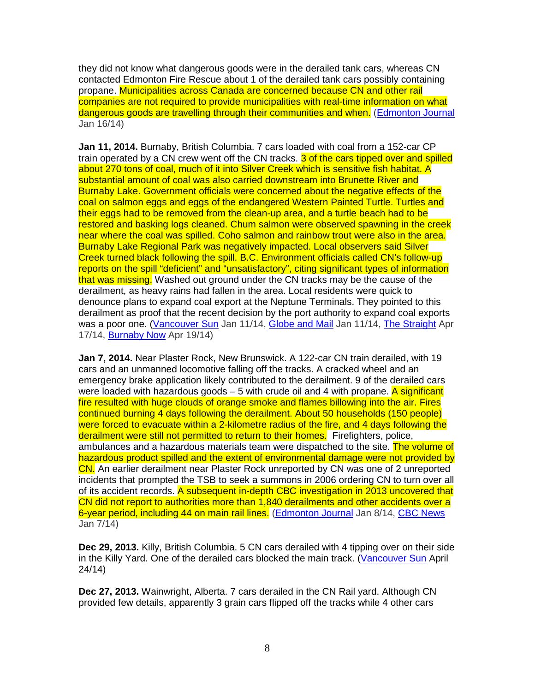they did not know what dangerous goods were in the derailed tank cars, whereas CN contacted Edmonton Fire Rescue about 1 of the derailed tank cars possibly containing propane. Municipalities across Canada are concerned because CN and other rail companies are not required to provide municipalities with real-time information on what dangerous goods are travelling through their communities and when. (Edmonton Journal Jan 16/14)

**Jan 11, 2014.** Burnaby, British Columbia. 7 cars loaded with coal from a 152-car CP train operated by a CN crew went off the CN tracks. 3 of the cars tipped over and spilled about 270 tons of coal, much of it into Silver Creek which is sensitive fish habitat. A substantial amount of coal was also carried downstream into Brunette River and Burnaby Lake. Government officials were concerned about the negative effects of the coal on salmon eggs and eggs of the endangered Western Painted Turtle. Turtles and their eggs had to be removed from the clean-up area, and a turtle beach had to be restored and basking logs cleaned. Chum salmon were observed spawning in the creek near where the coal was spilled. Coho salmon and rainbow trout were also in the area. Burnaby Lake Regional Park was negatively impacted. Local observers said Silver Creek turned black following the spill. B.C. Environment officials called CN's follow-up reports on the spill "deficient" and "unsatisfactory", citing significant types of information that was missing. Washed out ground under the CN tracks may be the cause of the derailment, as heavy rains had fallen in the area. Local residents were quick to denounce plans to expand coal export at the Neptune Terminals. They pointed to this derailment as proof that the recent decision by the port authority to expand coal exports was a poor one. (Vancouver Sun Jan 11/14, Globe and Mail Jan 11/14, The Straight Apr 17/14, Burnaby Now Apr 19/14)

**Jan 7, 2014.** Near Plaster Rock, New Brunswick. A 122-car CN train derailed, with 19 cars and an unmanned locomotive falling off the tracks. A cracked wheel and an emergency brake application likely contributed to the derailment. 9 of the derailed cars were loaded with hazardous goods  $-5$  with crude oil and 4 with propane. A significant fire resulted with huge clouds of orange smoke and flames billowing into the air. Fires continued burning 4 days following the derailment. About 50 households (150 people) were forced to evacuate within a 2-kilometre radius of the fire, and 4 days following the derailment were still not permitted to return to their homes. Firefighters, police, ambulances and a hazardous materials team were dispatched to the site. The volume of hazardous product spilled and the extent of environmental damage were not provided by CN. An earlier derailment near Plaster Rock unreported by CN was one of 2 unreported incidents that prompted the TSB to seek a summons in 2006 ordering CN to turn over all of its accident records. A subsequent in-depth CBC investigation in 2013 uncovered that CN did not report to authorities more than 1,840 derailments and other accidents over a 6-year period, including 44 on main rail lines. (Edmonton Journal Jan 8/14, CBC News Jan 7/14)

**Dec 29, 2013.** Killy, British Columbia. 5 CN cars derailed with 4 tipping over on their side in the Killy Yard. One of the derailed cars blocked the main track. (Vancouver Sun April 24/14)

**Dec 27, 2013.** Wainwright, Alberta. 7 cars derailed in the CN Rail yard. Although CN provided few details, apparently 3 grain cars flipped off the tracks while 4 other cars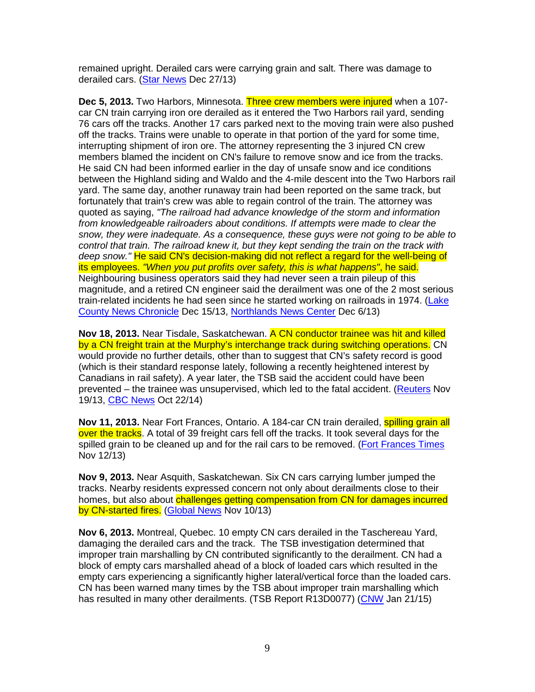remained upright. Derailed cars were carrying grain and salt. There was damage to derailed cars. (Star News Dec 27/13)

**Dec 5, 2013.** Two Harbors, Minnesota. Three crew members were injured when a 107 car CN train carrying iron ore derailed as it entered the Two Harbors rail yard, sending 76 cars off the tracks. Another 17 cars parked next to the moving train were also pushed off the tracks. Trains were unable to operate in that portion of the yard for some time, interrupting shipment of iron ore. The attorney representing the 3 injured CN crew members blamed the incident on CN's failure to remove snow and ice from the tracks. He said CN had been informed earlier in the day of unsafe snow and ice conditions between the Highland siding and Waldo and the 4-mile descent into the Two Harbors rail yard. The same day, another runaway train had been reported on the same track, but fortunately that train's crew was able to regain control of the train. The attorney was quoted as saying, "The railroad had advance knowledge of the storm and information from knowledgeable railroaders about conditions. If attempts were made to clear the snow, they were inadequate. As a consequence, these guys were not going to be able to control that train. The railroad knew it, but they kept sending the train on the track with deep snow." He said CN's decision-making did not reflect a regard for the well-being of its employees. "When you put profits over safety, this is what happens", he said. Neighbouring business operators said they had never seen a train pileup of this magnitude, and a retired CN engineer said the derailment was one of the 2 most serious train-related incidents he had seen since he started working on railroads in 1974. (Lake County News Chronicle Dec 15/13, Northlands News Center Dec 6/13)

**Nov 18, 2013.** Near Tisdale, Saskatchewan. A CN conductor trainee was hit and killed by a CN freight train at the Murphy's interchange track during switching operations. CN would provide no further details, other than to suggest that CN's safety record is good (which is their standard response lately, following a recently heightened interest by Canadians in rail safety). A year later, the TSB said the accident could have been prevented – the trainee was unsupervised, which led to the fatal accident. (Reuters Nov 19/13, CBC News Oct 22/14)

**Nov 11, 2013.** Near Fort Frances, Ontario. A 184-car CN train derailed, spilling grain all over the tracks. A total of 39 freight cars fell off the tracks. It took several days for the spilled grain to be cleaned up and for the rail cars to be removed. (Fort Frances Times Nov 12/13)

**Nov 9, 2013.** Near Asquith, Saskatchewan. Six CN cars carrying lumber jumped the tracks. Nearby residents expressed concern not only about derailments close to their homes, but also about challenges getting compensation from CN for damages incurred by CN-started fires. (Global News Nov 10/13)

**Nov 6, 2013.** Montreal, Quebec. 10 empty CN cars derailed in the Taschereau Yard, damaging the derailed cars and the track. The TSB investigation determined that improper train marshalling by CN contributed significantly to the derailment. CN had a block of empty cars marshalled ahead of a block of loaded cars which resulted in the empty cars experiencing a significantly higher lateral/vertical force than the loaded cars. CN has been warned many times by the TSB about improper train marshalling which has resulted in many other derailments. (TSB Report R13D0077) (CNW Jan 21/15)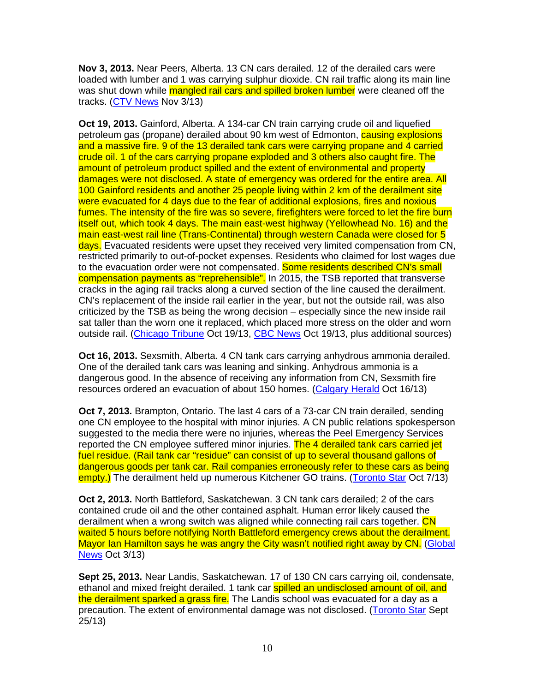**Nov 3, 2013.** Near Peers, Alberta. 13 CN cars derailed. 12 of the derailed cars were loaded with lumber and 1 was carrying sulphur dioxide. CN rail traffic along its main line was shut down while mangled rail cars and spilled broken lumber were cleaned off the tracks. (CTV News Nov 3/13)

**Oct 19, 2013.** Gainford, Alberta. A 134-car CN train carrying crude oil and liquefied petroleum gas (propane) derailed about 90 km west of Edmonton, **causing explosions** and a massive fire. 9 of the 13 derailed tank cars were carrying propane and 4 carried crude oil. 1 of the cars carrying propane exploded and 3 others also caught fire. The amount of petroleum product spilled and the extent of environmental and property damages were not disclosed. A state of emergency was ordered for the entire area. All 100 Gainford residents and another 25 people living within 2 km of the derailment site were evacuated for 4 days due to the fear of additional explosions, fires and noxious fumes. The intensity of the fire was so severe, firefighters were forced to let the fire burn itself out, which took 4 days. The main east-west highway (Yellowhead No. 16) and the main east-west rail line (Trans-Continental) through western Canada were closed for 5 days. Evacuated residents were upset they received very limited compensation from CN, restricted primarily to out-of-pocket expenses. Residents who claimed for lost wages due to the evacuation order were not compensated. Some residents described CN's small compensation payments as "reprehensible". In 2015, the TSB reported that transverse cracks in the aging rail tracks along a curved section of the line caused the derailment. CN's replacement of the inside rail earlier in the year, but not the outside rail, was also criticized by the TSB as being the wrong decision – especially since the new inside rail sat taller than the worn one it replaced, which placed more stress on the older and worn outside rail. (Chicago Tribune Oct 19/13, CBC News Oct 19/13, plus additional sources)

**Oct 16, 2013.** Sexsmith, Alberta. 4 CN tank cars carrying anhydrous ammonia derailed. One of the derailed tank cars was leaning and sinking. Anhydrous ammonia is a dangerous good. In the absence of receiving any information from CN, Sexsmith fire resources ordered an evacuation of about 150 homes. (Calgary Herald Oct 16/13)

**Oct 7, 2013.** Brampton, Ontario. The last 4 cars of a 73-car CN train derailed, sending one CN employee to the hospital with minor injuries. A CN public relations spokesperson suggested to the media there were no injuries, whereas the Peel Emergency Services reported the CN employee suffered minor injuries. The 4 derailed tank cars carried jet fuel residue. (Rail tank car "residue" can consist of up to several thousand gallons of dangerous goods per tank car. Rail companies erroneously refer to these cars as being empty.) The derailment held up numerous Kitchener GO trains. (Toronto Star Oct 7/13)

**Oct 2, 2013.** North Battleford, Saskatchewan. 3 CN tank cars derailed; 2 of the cars contained crude oil and the other contained asphalt. Human error likely caused the derailment when a wrong switch was aligned while connecting rail cars together. CN waited 5 hours before notifying North Battleford emergency crews about the derailment. Mayor Ian Hamilton says he was angry the City wasn't notified right away by CN. (Global News Oct 3/13)

**Sept 25, 2013.** Near Landis, Saskatchewan. 17 of 130 CN cars carrying oil, condensate, ethanol and mixed freight derailed. 1 tank car **spilled an undisclosed amount of oil, and** the derailment sparked a grass fire. The Landis school was evacuated for a day as a precaution. The extent of environmental damage was not disclosed. (Toronto Star Sept 25/13)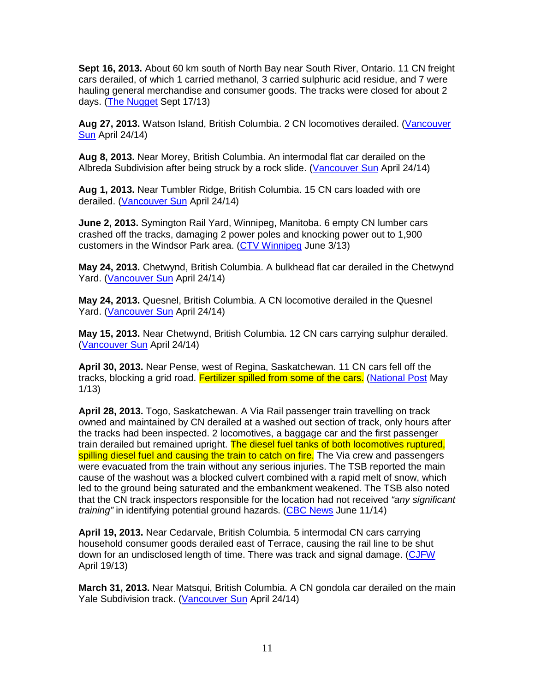**Sept 16, 2013.** About 60 km south of North Bay near South River, Ontario. 11 CN freight cars derailed, of which 1 carried methanol, 3 carried sulphuric acid residue, and 7 were hauling general merchandise and consumer goods. The tracks were closed for about 2 days. (The Nugget Sept 17/13)

**Aug 27, 2013.** Watson Island, British Columbia. 2 CN locomotives derailed. (Vancouver Sun April 24/14)

**Aug 8, 2013.** Near Morey, British Columbia. An intermodal flat car derailed on the Albreda Subdivision after being struck by a rock slide. (Vancouver Sun April 24/14)

**Aug 1, 2013.** Near Tumbler Ridge, British Columbia. 15 CN cars loaded with ore derailed. (Vancouver Sun April 24/14)

**June 2, 2013.** Symington Rail Yard, Winnipeg, Manitoba. 6 empty CN lumber cars crashed off the tracks, damaging 2 power poles and knocking power out to 1,900 customers in the Windsor Park area. (CTV Winnipeg June 3/13)

**May 24, 2013.** Chetwynd, British Columbia. A bulkhead flat car derailed in the Chetwynd Yard. (Vancouver Sun April 24/14)

**May 24, 2013.** Quesnel, British Columbia. A CN locomotive derailed in the Quesnel Yard. (Vancouver Sun April 24/14)

**May 15, 2013.** Near Chetwynd, British Columbia. 12 CN cars carrying sulphur derailed. (Vancouver Sun April 24/14)

**April 30, 2013.** Near Pense, west of Regina, Saskatchewan. 11 CN cars fell off the tracks, blocking a grid road. Fertilizer spilled from some of the cars. (National Post May 1/13)

**April 28, 2013.** Togo, Saskatchewan. A Via Rail passenger train travelling on track owned and maintained by CN derailed at a washed out section of track, only hours after the tracks had been inspected. 2 locomotives, a baggage car and the first passenger train derailed but remained upright. The diesel fuel tanks of both locomotives ruptured, spilling diesel fuel and causing the train to catch on fire. The Via crew and passengers were evacuated from the train without any serious injuries. The TSB reported the main cause of the washout was a blocked culvert combined with a rapid melt of snow, which led to the ground being saturated and the embankment weakened. The TSB also noted that the CN track inspectors responsible for the location had not received "any significant" training" in identifying potential ground hazards. (CBC News June 11/14)

**April 19, 2013.** Near Cedarvale, British Columbia. 5 intermodal CN cars carrying household consumer goods derailed east of Terrace, causing the rail line to be shut down for an undisclosed length of time. There was track and signal damage. (CJFW April 19/13)

**March 31, 2013.** Near Matsqui, British Columbia. A CN gondola car derailed on the main Yale Subdivision track. (Vancouver Sun April 24/14)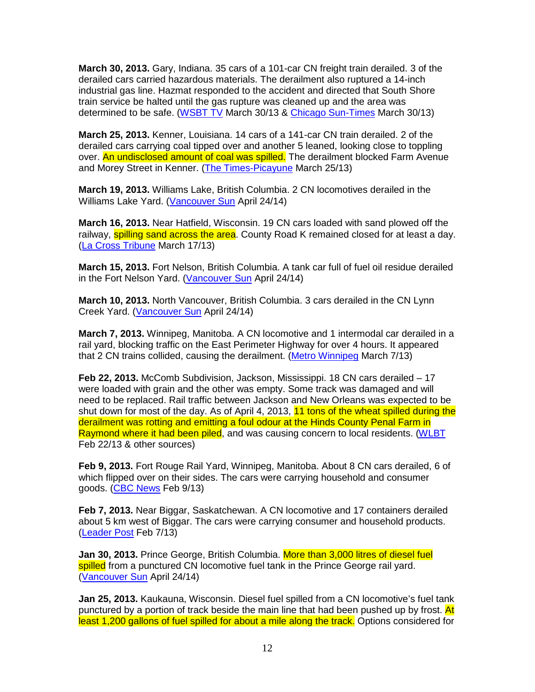**March 30, 2013.** Gary, Indiana. 35 cars of a 101-car CN freight train derailed. 3 of the derailed cars carried hazardous materials. The derailment also ruptured a 14-inch industrial gas line. Hazmat responded to the accident and directed that South Shore train service be halted until the gas rupture was cleaned up and the area was determined to be safe. (WSBT TV March 30/13 & Chicago Sun-Times March 30/13)

**March 25, 2013.** Kenner, Louisiana. 14 cars of a 141-car CN train derailed. 2 of the derailed cars carrying coal tipped over and another 5 leaned, looking close to toppling over. An undisclosed amount of coal was spilled. The derailment blocked Farm Avenue and Morey Street in Kenner. (The Times-Picayune March 25/13)

**March 19, 2013.** Williams Lake, British Columbia. 2 CN locomotives derailed in the Williams Lake Yard. (Vancouver Sun April 24/14)

**March 16, 2013.** Near Hatfield, Wisconsin. 19 CN cars loaded with sand plowed off the railway, **spilling sand across the area**. County Road K remained closed for at least a day. (La Cross Tribune March 17/13)

**March 15, 2013.** Fort Nelson, British Columbia. A tank car full of fuel oil residue derailed in the Fort Nelson Yard. (Vancouver Sun April 24/14)

**March 10, 2013.** North Vancouver, British Columbia. 3 cars derailed in the CN Lynn Creek Yard. (Vancouver Sun April 24/14)

**March 7, 2013.** Winnipeg, Manitoba. A CN locomotive and 1 intermodal car derailed in a rail yard, blocking traffic on the East Perimeter Highway for over 4 hours. It appeared that 2 CN trains collided, causing the derailment. (Metro Winnipeg March 7/13)

**Feb 22, 2013.** McComb Subdivision, Jackson, Mississippi. 18 CN cars derailed – 17 were loaded with grain and the other was empty. Some track was damaged and will need to be replaced. Rail traffic between Jackson and New Orleans was expected to be shut down for most of the day. As of April 4, 2013, 11 tons of the wheat spilled during the derailment was rotting and emitting a foul odour at the Hinds County Penal Farm in Raymond where it had been piled, and was causing concern to local residents. (WLBT Feb 22/13 & other sources)

**Feb 9, 2013.** Fort Rouge Rail Yard, Winnipeg, Manitoba. About 8 CN cars derailed, 6 of which flipped over on their sides. The cars were carrying household and consumer goods. (CBC News Feb 9/13)

**Feb 7, 2013.** Near Biggar, Saskatchewan. A CN locomotive and 17 containers derailed about 5 km west of Biggar. The cars were carrying consumer and household products. (Leader Post Feb 7/13)

**Jan 30, 2013.** Prince George, British Columbia. More than 3,000 litres of diesel fuel spilled from a punctured CN locomotive fuel tank in the Prince George rail yard. (Vancouver Sun April 24/14)

**Jan 25, 2013.** Kaukauna, Wisconsin. Diesel fuel spilled from a CN locomotive's fuel tank punctured by a portion of track beside the main line that had been pushed up by frost. At least 1,200 gallons of fuel spilled for about a mile along the track. Options considered for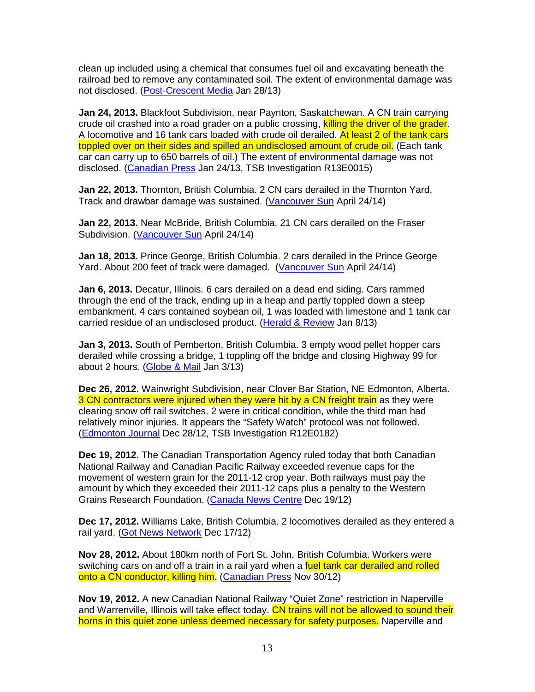clean up included using a chemical that consumes fuel oil and excavating beneath the railroad bed to remove any contaminated soil. The extent of environmental damage was not disclosed. (Post-Crescent Media Jan 28/13)

**Jan 24, 2013.** Blackfoot Subdivision, near Paynton, Saskatchewan. A CN train carrying crude oil crashed into a road grader on a public crossing, killing the driver of the grader. A locomotive and 16 tank cars loaded with crude oil derailed. At least 2 of the tank cars toppled over on their sides and spilled an undisclosed amount of crude oil. (Each tank car can carry up to 650 barrels of oil.) The extent of environmental damage was not disclosed. (Canadian Press Jan 24/13, TSB Investigation R13E0015)

**Jan 22, 2013.** Thornton, British Columbia. 2 CN cars derailed in the Thornton Yard. Track and drawbar damage was sustained. (Vancouver Sun April 24/14)

**Jan 22, 2013.** Near McBride, British Columbia. 21 CN cars derailed on the Fraser Subdivision. (Vancouver Sun April 24/14)

**Jan 18, 2013.** Prince George, British Columbia. 2 cars derailed in the Prince George Yard. About 200 feet of track were damaged. (Vancouver Sun April 24/14)

**Jan 6, 2013.** Decatur, Illinois. 6 cars derailed on a dead end siding. Cars rammed through the end of the track, ending up in a heap and partly toppled down a steep embankment. 4 cars contained soybean oil, 1 was loaded with limestone and 1 tank car carried residue of an undisclosed product. (Herald & Review Jan 8/13)

**Jan 3, 2013.** South of Pemberton, British Columbia. 3 empty wood pellet hopper cars derailed while crossing a bridge, 1 toppling off the bridge and closing Highway 99 for about 2 hours. (Globe & Mail Jan 3/13)

**Dec 26, 2012.** Wainwright Subdivision, near Clover Bar Station, NE Edmonton, Alberta. 3 CN contractors were injured when they were hit by a CN freight train as they were clearing snow off rail switches. 2 were in critical condition, while the third man had relatively minor injuries. It appears the "Safety Watch" protocol was not followed. (Edmonton Journal Dec 28/12, TSB Investigation R12E0182)

**Dec 19, 2012.** The Canadian Transportation Agency ruled today that both Canadian National Railway and Canadian Pacific Railway exceeded revenue caps for the movement of western grain for the 2011-12 crop year. Both railways must pay the amount by which they exceeded their 2011-12 caps plus a penalty to the Western Grains Research Foundation. (Canada News Centre Dec 19/12)

**Dec 17, 2012.** Williams Lake, British Columbia. 2 locomotives derailed as they entered a rail yard. (Got News Network Dec 17/12)

**Nov 28, 2012.** About 180km north of Fort St. John, British Columbia. Workers were switching cars on and off a train in a rail yard when a fuel tank car derailed and rolled onto a CN conductor, killing him. (Canadian Press Nov 30/12)

**Nov 19, 2012.** A new Canadian National Railway "Quiet Zone" restriction in Naperville and Warrenville, Illinois will take effect today. CN trains will not be allowed to sound their horns in this quiet zone unless deemed necessary for safety purposes. Naperville and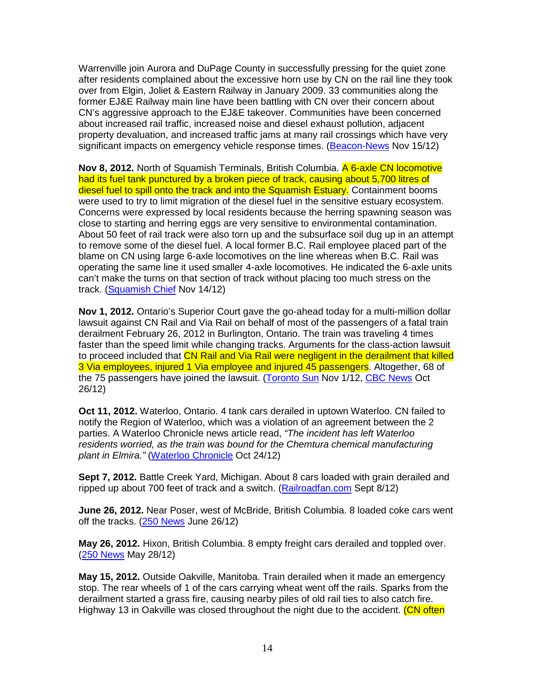Warrenville join Aurora and DuPage County in successfully pressing for the quiet zone after residents complained about the excessive horn use by CN on the rail line they took over from Elgin, Joliet & Eastern Railway in January 2009. 33 communities along the former EJ&E Railway main line have been battling with CN over their concern about CN's aggressive approach to the EJ&E takeover. Communities have been concerned about increased rail traffic, increased noise and diesel exhaust pollution, adjacent property devaluation, and increased traffic jams at many rail crossings which have very significant impacts on emergency vehicle response times. (Beacon-News Nov 15/12)

**Nov 8, 2012.** North of Squamish Terminals, British Columbia. A 6-axle CN locomotive had its fuel tank punctured by a broken piece of track, causing about 5,700 litres of diesel fuel to spill onto the track and into the Squamish Estuary. Containment booms were used to try to limit migration of the diesel fuel in the sensitive estuary ecosystem. Concerns were expressed by local residents because the herring spawning season was close to starting and herring eggs are very sensitive to environmental contamination. About 50 feet of rail track were also torn up and the subsurface soil dug up in an attempt to remove some of the diesel fuel. A local former B.C. Rail employee placed part of the blame on CN using large 6-axle locomotives on the line whereas when B.C. Rail was operating the same line it used smaller 4-axle locomotives. He indicated the 6-axle units can't make the turns on that section of track without placing too much stress on the track. (Squamish Chief Nov 14/12)

**Nov 1, 2012.** Ontario's Superior Court gave the go-ahead today for a multi-million dollar lawsuit against CN Rail and Via Rail on behalf of most of the passengers of a fatal train derailment February 26, 2012 in Burlington, Ontario. The train was traveling 4 times faster than the speed limit while changing tracks. Arguments for the class-action lawsuit to proceed included that CN Rail and Via Rail were negligent in the derailment that killed 3 Via employees, injured 1 Via employee and injured 45 passengers. Altogether, 68 of the 75 passengers have joined the lawsuit. (Toronto Sun Nov 1/12, CBC News Oct 26/12)

**Oct 11, 2012.** Waterloo, Ontario. 4 tank cars derailed in uptown Waterloo. CN failed to notify the Region of Waterloo, which was a violation of an agreement between the 2 parties. A Waterloo Chronicle news article read, "The incident has left Waterloo residents worried, as the train was bound for the Chemtura chemical manufacturing plant in Elmira." (Waterloo Chronicle Oct 24/12)

**Sept 7, 2012.** Battle Creek Yard, Michigan. About 8 cars loaded with grain derailed and ripped up about 700 feet of track and a switch. (Railroadfan.com Sept 8/12)

**June 26, 2012.** Near Poser, west of McBride, British Columbia. 8 loaded coke cars went off the tracks. (250 News June 26/12)

**May 26, 2012.** Hixon, British Columbia. 8 empty freight cars derailed and toppled over. (250 News May 28/12)

**May 15, 2012.** Outside Oakville, Manitoba. Train derailed when it made an emergency stop. The rear wheels of 1 of the cars carrying wheat went off the rails. Sparks from the derailment started a grass fire, causing nearby piles of old rail ties to also catch fire. Highway 13 in Oakville was closed throughout the night due to the accident. (CN often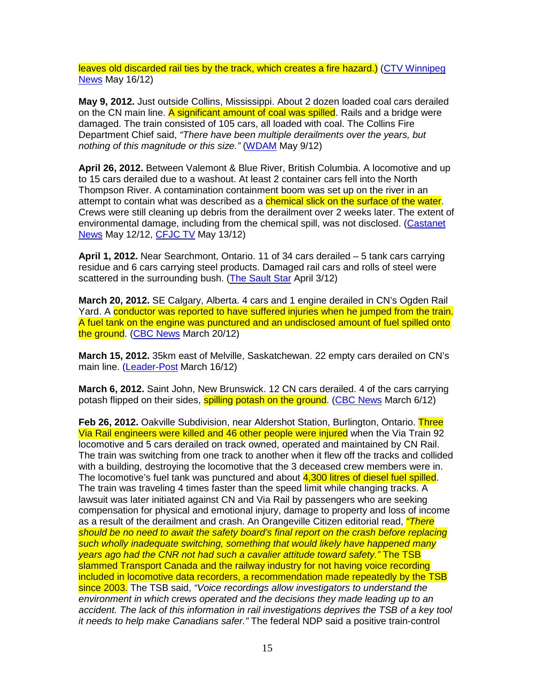leaves old discarded rail ties by the track, which creates a fire hazard.) (CTV Winnipeg News May 16/12)

**May 9, 2012.** Just outside Collins, Mississippi. About 2 dozen loaded coal cars derailed on the CN main line. A significant amount of coal was spilled. Rails and a bridge were damaged. The train consisted of 105 cars, all loaded with coal. The Collins Fire Department Chief said, "There have been multiple derailments over the years, but nothing of this magnitude or this size." (WDAM May 9/12)

**April 26, 2012.** Between Valemont & Blue River, British Columbia. A locomotive and up to 15 cars derailed due to a washout. At least 2 container cars fell into the North Thompson River. A contamination containment boom was set up on the river in an attempt to contain what was described as a **chemical slick on the surface of the water**. Crews were still cleaning up debris from the derailment over 2 weeks later. The extent of environmental damage, including from the chemical spill, was not disclosed. (Castanet News May 12/12, CFJC TV May 13/12)

**April 1, 2012.** Near Searchmont, Ontario. 11 of 34 cars derailed – 5 tank cars carrying residue and 6 cars carrying steel products. Damaged rail cars and rolls of steel were scattered in the surrounding bush. (The Sault Star April 3/12)

**March 20, 2012.** SE Calgary, Alberta. 4 cars and 1 engine derailed in CN's Ogden Rail Yard. A conductor was reported to have suffered injuries when he jumped from the train. A fuel tank on the engine was punctured and an undisclosed amount of fuel spilled onto the ground. (CBC News March 20/12)

**March 15, 2012.** 35km east of Melville, Saskatchewan. 22 empty cars derailed on CN's main line. (Leader-Post March 16/12)

**March 6, 2012.** Saint John, New Brunswick. 12 CN cars derailed. 4 of the cars carrying potash flipped on their sides, **spilling potash on the ground.** (CBC News March 6/12)

**Feb 26, 2012.** Oakville Subdivision, near Aldershot Station, Burlington, Ontario. Three Via Rail engineers were killed and 46 other people were injured when the Via Train 92 locomotive and 5 cars derailed on track owned, operated and maintained by CN Rail. The train was switching from one track to another when it flew off the tracks and collided with a building, destroying the locomotive that the 3 deceased crew members were in. The locomotive's fuel tank was punctured and about 4,300 litres of diesel fuel spilled. The train was traveling 4 times faster than the speed limit while changing tracks. A lawsuit was later initiated against CN and Via Rail by passengers who are seeking compensation for physical and emotional injury, damage to property and loss of income as a result of the derailment and crash. An Orangeville Citizen editorial read, "There should be no need to await the safety board's final report on the crash before replacing such wholly inadequate switching, something that would likely have happened many years ago had the CNR not had such a cavalier attitude toward safety." The TSB slammed Transport Canada and the railway industry for not having voice recording included in locomotive data recorders, a recommendation made repeatedly by the TSB since 2003. The TSB said, "Voice recordings allow investigators to understand the environment in which crews operated and the decisions they made leading up to an accident. The lack of this information in rail investigations deprives the TSB of a key tool it needs to help make Canadians safer." The federal NDP said a positive train-control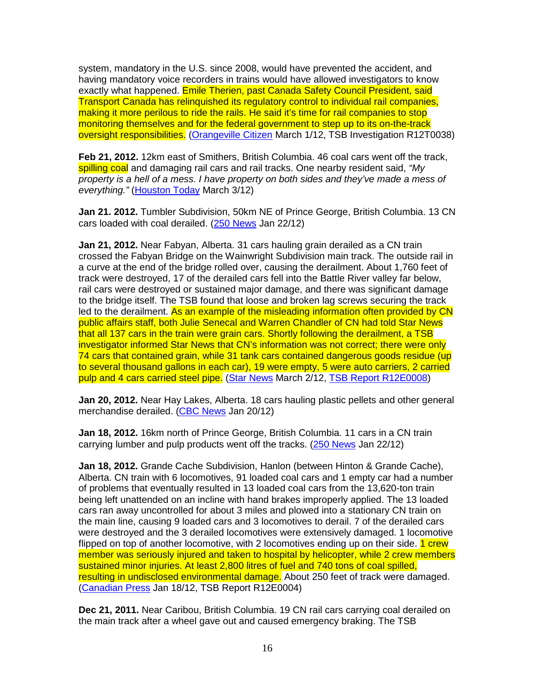system, mandatory in the U.S. since 2008, would have prevented the accident, and having mandatory voice recorders in trains would have allowed investigators to know exactly what happened. Emile Therien, past Canada Safety Council President, said Transport Canada has relinquished its regulatory control to individual rail companies, making it more perilous to ride the rails. He said it's time for rail companies to stop monitoring themselves and for the federal government to step up to its on-the-track oversight responsibilities. (Orangeville Citizen March 1/12, TSB Investigation R12T0038)

**Feb 21, 2012.** 12km east of Smithers, British Columbia. 46 coal cars went off the track, spilling coal and damaging rail cars and rail tracks. One nearby resident said, "My property is a hell of a mess. I have property on both sides and they've made a mess of everything." (Houston Today March 3/12)

**Jan 21. 2012.** Tumbler Subdivision, 50km NE of Prince George, British Columbia. 13 CN cars loaded with coal derailed. (250 News Jan 22/12)

**Jan 21, 2012.** Near Fabyan, Alberta. 31 cars hauling grain derailed as a CN train crossed the Fabyan Bridge on the Wainwright Subdivision main track. The outside rail in a curve at the end of the bridge rolled over, causing the derailment. About 1,760 feet of track were destroyed, 17 of the derailed cars fell into the Battle River valley far below, rail cars were destroyed or sustained major damage, and there was significant damage to the bridge itself. The TSB found that loose and broken lag screws securing the track led to the derailment. As an example of the misleading information often provided by CN public affairs staff, both Julie Senecal and Warren Chandler of CN had told Star News that all 137 cars in the train were grain cars. Shortly following the derailment, a TSB investigator informed Star News that CN's information was not correct; there were only 74 cars that contained grain, while 31 tank cars contained dangerous goods residue (up to several thousand gallons in each car), 19 were empty, 5 were auto carriers, 2 carried pulp and 4 cars carried steel pipe. (Star News March 2/12, TSB Report R12E0008)

**Jan 20, 2012.** Near Hay Lakes, Alberta. 18 cars hauling plastic pellets and other general merchandise derailed. (CBC News Jan 20/12)

**Jan 18, 2012.** 16km north of Prince George, British Columbia. 11 cars in a CN train carrying lumber and pulp products went off the tracks. (250 News Jan 22/12)

**Jan 18, 2012.** Grande Cache Subdivision, Hanlon (between Hinton & Grande Cache), Alberta. CN train with 6 locomotives, 91 loaded coal cars and 1 empty car had a number of problems that eventually resulted in 13 loaded coal cars from the 13,620-ton train being left unattended on an incline with hand brakes improperly applied. The 13 loaded cars ran away uncontrolled for about 3 miles and plowed into a stationary CN train on the main line, causing 9 loaded cars and 3 locomotives to derail. 7 of the derailed cars were destroyed and the 3 derailed locomotives were extensively damaged. 1 locomotive flipped on top of another locomotive, with 2 locomotives ending up on their side. **1 crew** member was seriously injured and taken to hospital by helicopter, while 2 crew members sustained minor injuries. At least 2,800 litres of fuel and 740 tons of coal spilled, resulting in undisclosed environmental damage. About 250 feet of track were damaged. (Canadian Press Jan 18/12, TSB Report R12E0004)

**Dec 21, 2011.** Near Caribou, British Columbia. 19 CN rail cars carrying coal derailed on the main track after a wheel gave out and caused emergency braking. The TSB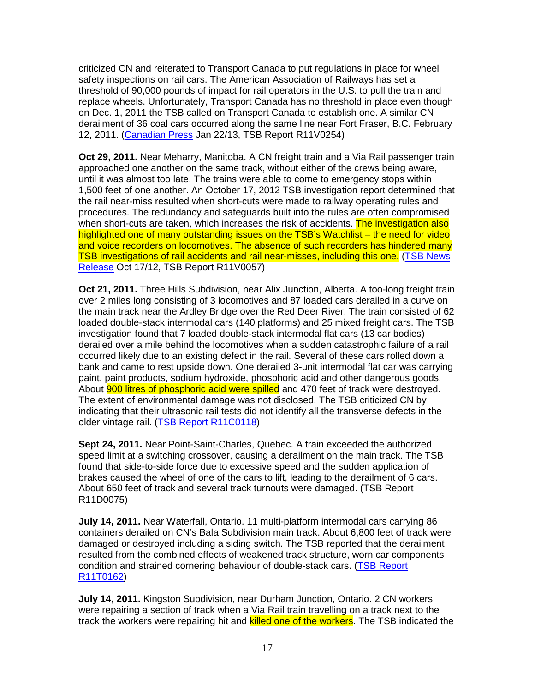criticized CN and reiterated to Transport Canada to put regulations in place for wheel safety inspections on rail cars. The American Association of Railways has set a threshold of 90,000 pounds of impact for rail operators in the U.S. to pull the train and replace wheels. Unfortunately, Transport Canada has no threshold in place even though on Dec. 1, 2011 the TSB called on Transport Canada to establish one. A similar CN derailment of 36 coal cars occurred along the same line near Fort Fraser, B.C. February 12, 2011. (Canadian Press Jan 22/13, TSB Report R11V0254)

**Oct 29, 2011.** Near Meharry, Manitoba. A CN freight train and a Via Rail passenger train approached one another on the same track, without either of the crews being aware, until it was almost too late. The trains were able to come to emergency stops within 1,500 feet of one another. An October 17, 2012 TSB investigation report determined that the rail near-miss resulted when short-cuts were made to railway operating rules and procedures. The redundancy and safeguards built into the rules are often compromised when short-cuts are taken, which increases the risk of accidents. The investigation also highlighted one of many outstanding issues on the TSB's Watchlist – the need for video and voice recorders on locomotives. The absence of such recorders has hindered many TSB investigations of rail accidents and rail near-misses, including this one. (TSB News Release Oct 17/12, TSB Report R11V0057)

**Oct 21, 2011.** Three Hills Subdivision, near Alix Junction, Alberta. A too-long freight train over 2 miles long consisting of 3 locomotives and 87 loaded cars derailed in a curve on the main track near the Ardley Bridge over the Red Deer River. The train consisted of 62 loaded double-stack intermodal cars (140 platforms) and 25 mixed freight cars. The TSB investigation found that 7 loaded double-stack intermodal flat cars (13 car bodies) derailed over a mile behind the locomotives when a sudden catastrophic failure of a rail occurred likely due to an existing defect in the rail. Several of these cars rolled down a bank and came to rest upside down. One derailed 3-unit intermodal flat car was carrying paint, paint products, sodium hydroxide, phosphoric acid and other dangerous goods. About **900 litres of phosphoric acid were spilled** and 470 feet of track were destroyed. The extent of environmental damage was not disclosed. The TSB criticized CN by indicating that their ultrasonic rail tests did not identify all the transverse defects in the older vintage rail. (TSB Report R11C0118)

**Sept 24, 2011.** Near Point-Saint-Charles, Quebec. A train exceeded the authorized speed limit at a switching crossover, causing a derailment on the main track. The TSB found that side-to-side force due to excessive speed and the sudden application of brakes caused the wheel of one of the cars to lift, leading to the derailment of 6 cars. About 650 feet of track and several track turnouts were damaged. (TSB Report R11D0075)

**July 14, 2011.** Near Waterfall, Ontario. 11 multi-platform intermodal cars carrying 86 containers derailed on CN's Bala Subdivision main track. About 6,800 feet of track were damaged or destroyed including a siding switch. The TSB reported that the derailment resulted from the combined effects of weakened track structure, worn car components condition and strained cornering behaviour of double-stack cars. (TSB Report R11T0162)

**July 14, 2011.** Kingston Subdivision, near Durham Junction, Ontario. 2 CN workers were repairing a section of track when a Via Rail train travelling on a track next to the track the workers were repairing hit and **killed one of the workers**. The TSB indicated the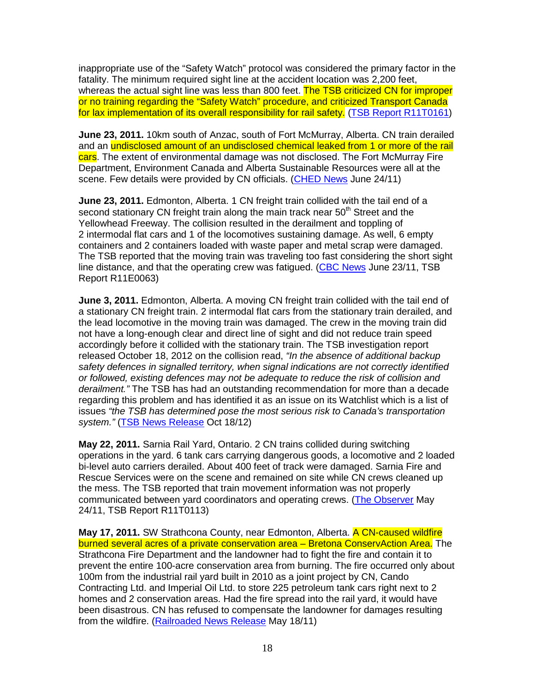inappropriate use of the "Safety Watch" protocol was considered the primary factor in the fatality. The minimum required sight line at the accident location was 2,200 feet, whereas the actual sight line was less than 800 feet. The TSB criticized CN for improper or no training regarding the "Safety Watch" procedure, and criticized Transport Canada for lax implementation of its overall responsibility for rail safety. (TSB Report R11T0161)

**June 23, 2011.** 10km south of Anzac, south of Fort McMurray, Alberta. CN train derailed and an undisclosed amount of an undisclosed chemical leaked from 1 or more of the rail cars. The extent of environmental damage was not disclosed. The Fort McMurray Fire Department, Environment Canada and Alberta Sustainable Resources were all at the scene. Few details were provided by CN officials. (CHED News June 24/11)

**June 23, 2011.** Edmonton, Alberta. 1 CN freight train collided with the tail end of a second stationary CN freight train along the main track near  $50<sup>th</sup>$  Street and the Yellowhead Freeway. The collision resulted in the derailment and toppling of 2 intermodal flat cars and 1 of the locomotives sustaining damage. As well, 6 empty containers and 2 containers loaded with waste paper and metal scrap were damaged. The TSB reported that the moving train was traveling too fast considering the short sight line distance, and that the operating crew was fatigued. (CBC News June 23/11, TSB Report R11E0063)

**June 3, 2011.** Edmonton, Alberta. A moving CN freight train collided with the tail end of a stationary CN freight train. 2 intermodal flat cars from the stationary train derailed, and the lead locomotive in the moving train was damaged. The crew in the moving train did not have a long-enough clear and direct line of sight and did not reduce train speed accordingly before it collided with the stationary train. The TSB investigation report released October 18, 2012 on the collision read, "In the absence of additional backup safety defences in signalled territory, when signal indications are not correctly identified or followed, existing defences may not be adequate to reduce the risk of collision and derailment." The TSB has had an outstanding recommendation for more than a decade regarding this problem and has identified it as an issue on its Watchlist which is a list of issues "the TSB has determined pose the most serious risk to Canada's transportation system." (TSB News Release Oct 18/12)

**May 22, 2011.** Sarnia Rail Yard, Ontario. 2 CN trains collided during switching operations in the yard. 6 tank cars carrying dangerous goods, a locomotive and 2 loaded bi-level auto carriers derailed. About 400 feet of track were damaged. Sarnia Fire and Rescue Services were on the scene and remained on site while CN crews cleaned up the mess. The TSB reported that train movement information was not properly communicated between yard coordinators and operating crews. (The Observer May 24/11, TSB Report R11T0113)

**May 17, 2011.** SW Strathcona County, near Edmonton, Alberta. A CN-caused wildfire burned several acres of a private conservation area – Bretona ConservAction Area. The Strathcona Fire Department and the landowner had to fight the fire and contain it to prevent the entire 100-acre conservation area from burning. The fire occurred only about 100m from the industrial rail yard built in 2010 as a joint project by CN, Cando Contracting Ltd. and Imperial Oil Ltd. to store 225 petroleum tank cars right next to 2 homes and 2 conservation areas. Had the fire spread into the rail yard, it would have been disastrous. CN has refused to compensate the landowner for damages resulting from the wildfire. (Railroaded News Release May 18/11)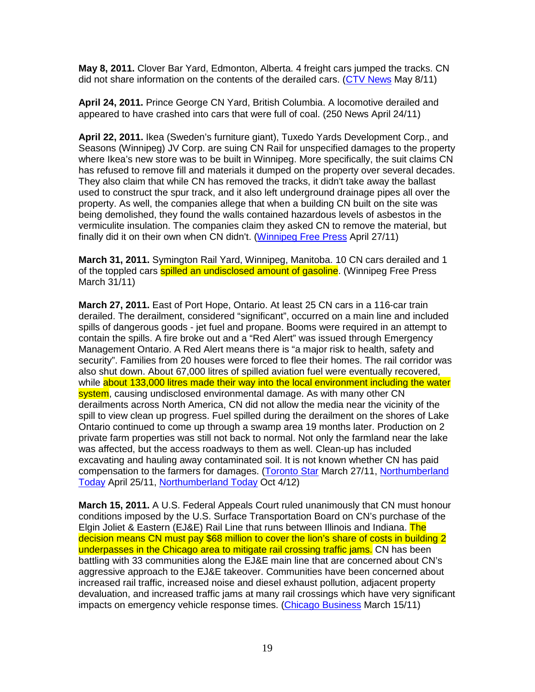**May 8, 2011.** Clover Bar Yard, Edmonton, Alberta. 4 freight cars jumped the tracks. CN did not share information on the contents of the derailed cars. (CTV News May 8/11)

**April 24, 2011.** Prince George CN Yard, British Columbia. A locomotive derailed and appeared to have crashed into cars that were full of coal. (250 News April 24/11)

**April 22, 2011.** Ikea (Sweden's furniture giant), Tuxedo Yards Development Corp., and Seasons (Winnipeg) JV Corp. are suing CN Rail for unspecified damages to the property where Ikea's new store was to be built in Winnipeg. More specifically, the suit claims CN has refused to remove fill and materials it dumped on the property over several decades. They also claim that while CN has removed the tracks, it didn't take away the ballast used to construct the spur track, and it also left underground drainage pipes all over the property. As well, the companies allege that when a building CN built on the site was being demolished, they found the walls contained hazardous levels of asbestos in the vermiculite insulation. The companies claim they asked CN to remove the material, but finally did it on their own when CN didn't. (Winnipeg Free Press April 27/11)

**March 31, 2011.** Symington Rail Yard, Winnipeg, Manitoba. 10 CN cars derailed and 1 of the toppled cars **spilled an undisclosed amount of gasoline**. (Winnipeg Free Press March 31/11)

**March 27, 2011.** East of Port Hope, Ontario. At least 25 CN cars in a 116-car train derailed. The derailment, considered "significant", occurred on a main line and included spills of dangerous goods - jet fuel and propane. Booms were required in an attempt to contain the spills. A fire broke out and a "Red Alert" was issued through Emergency Management Ontario. A Red Alert means there is "a major risk to health, safety and security". Families from 20 houses were forced to flee their homes. The rail corridor was also shut down. About 67,000 litres of spilled aviation fuel were eventually recovered, while about 133,000 litres made their way into the local environment including the water system, causing undisclosed environmental damage. As with many other CN derailments across North America, CN did not allow the media near the vicinity of the spill to view clean up progress. Fuel spilled during the derailment on the shores of Lake Ontario continued to come up through a swamp area 19 months later. Production on 2 private farm properties was still not back to normal. Not only the farmland near the lake was affected, but the access roadways to them as well. Clean-up has included excavating and hauling away contaminated soil. It is not known whether CN has paid compensation to the farmers for damages. (Toronto Star March 27/11, Northumberland Today April 25/11, Northumberland Today Oct 4/12)

**March 15, 2011.** A U.S. Federal Appeals Court ruled unanimously that CN must honour conditions imposed by the U.S. Surface Transportation Board on CN's purchase of the Elgin Joliet & Eastern (EJ&E) Rail Line that runs between Illinois and Indiana. The decision means CN must pay \$68 million to cover the lion's share of costs in building 2 underpasses in the Chicago area to mitigate rail crossing traffic jams. CN has been battling with 33 communities along the EJ&E main line that are concerned about CN's aggressive approach to the EJ&E takeover. Communities have been concerned about increased rail traffic, increased noise and diesel exhaust pollution, adjacent property devaluation, and increased traffic jams at many rail crossings which have very significant impacts on emergency vehicle response times. (Chicago Business March 15/11)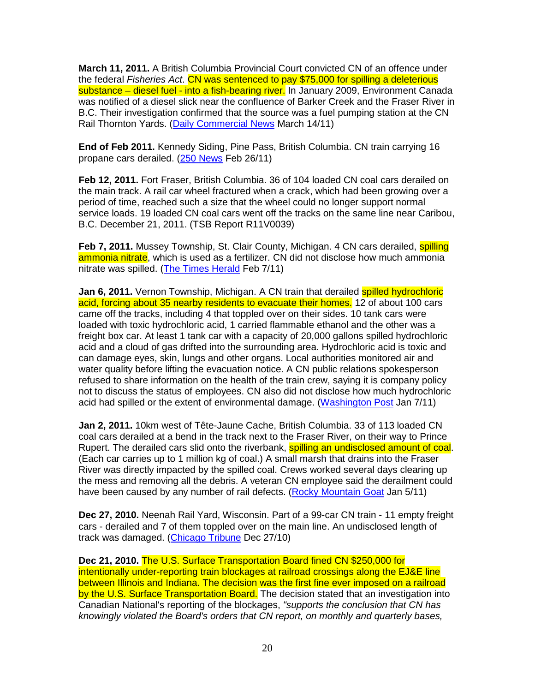**March 11, 2011.** A British Columbia Provincial Court convicted CN of an offence under the federal Fisheries Act. CN was sentenced to pay \$75,000 for spilling a deleterious substance – diesel fuel - into a fish-bearing river. In January 2009, Environment Canada was notified of a diesel slick near the confluence of Barker Creek and the Fraser River in B.C. Their investigation confirmed that the source was a fuel pumping station at the CN Rail Thornton Yards. (Daily Commercial News March 14/11)

**End of Feb 2011.** Kennedy Siding, Pine Pass, British Columbia. CN train carrying 16 propane cars derailed. (250 News Feb 26/11)

**Feb 12, 2011.** Fort Fraser, British Columbia. 36 of 104 loaded CN coal cars derailed on the main track. A rail car wheel fractured when a crack, which had been growing over a period of time, reached such a size that the wheel could no longer support normal service loads. 19 loaded CN coal cars went off the tracks on the same line near Caribou, B.C. December 21, 2011. (TSB Report R11V0039)

**Feb 7, 2011.** Mussey Township, St. Clair County, Michigan. 4 CN cars derailed, spilling ammonia nitrate, which is used as a fertilizer. CN did not disclose how much ammonia nitrate was spilled. (The Times Herald Feb 7/11)

**Jan 6, 2011.** Vernon Township, Michigan. A CN train that derailed spilled hydrochloric acid, forcing about 35 nearby residents to evacuate their homes. 12 of about 100 cars came off the tracks, including 4 that toppled over on their sides. 10 tank cars were loaded with toxic hydrochloric acid, 1 carried flammable ethanol and the other was a freight box car. At least 1 tank car with a capacity of 20,000 gallons spilled hydrochloric acid and a cloud of gas drifted into the surrounding area. Hydrochloric acid is toxic and can damage eyes, skin, lungs and other organs. Local authorities monitored air and water quality before lifting the evacuation notice. A CN public relations spokesperson refused to share information on the health of the train crew, saying it is company policy not to discuss the status of employees. CN also did not disclose how much hydrochloric acid had spilled or the extent of environmental damage. (Washington Post Jan 7/11)

**Jan 2, 2011.** 10km west of Tête-Jaune Cache, British Columbia. 33 of 113 loaded CN coal cars derailed at a bend in the track next to the Fraser River, on their way to Prince Rupert. The derailed cars slid onto the riverbank, **spilling an undisclosed amount of coal**. (Each car carries up to 1 million kg of coal.) A small marsh that drains into the Fraser River was directly impacted by the spilled coal. Crews worked several days clearing up the mess and removing all the debris. A veteran CN employee said the derailment could have been caused by any number of rail defects. (Rocky Mountain Goat Jan 5/11)

**Dec 27, 2010.** Neenah Rail Yard, Wisconsin. Part of a 99-car CN train - 11 empty freight cars - derailed and 7 of them toppled over on the main line. An undisclosed length of track was damaged. (Chicago Tribune Dec 27/10)

**Dec 21, 2010.** The U.S. Surface Transportation Board fined CN \$250,000 for intentionally under-reporting train blockages at railroad crossings along the EJ&E line between Illinois and Indiana. The decision was the first fine ever imposed on a railroad by the U.S. Surface Transportation Board. The decision stated that an investigation into Canadian National's reporting of the blockages, "supports the conclusion that CN has knowingly violated the Board's orders that CN report, on monthly and quarterly bases,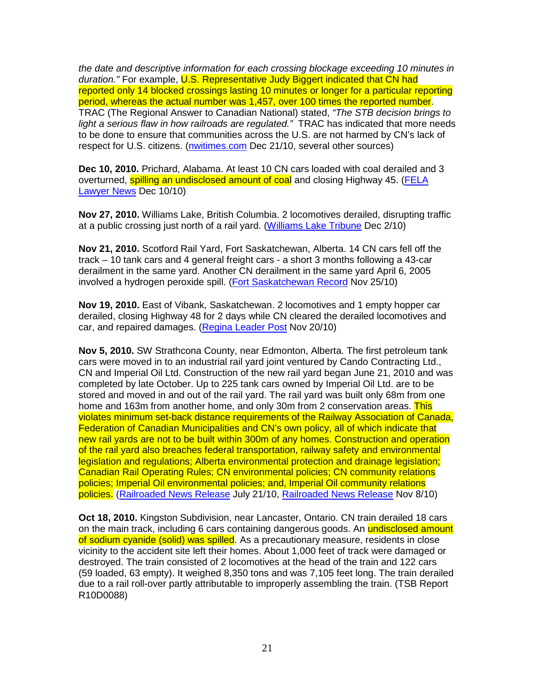the date and descriptive information for each crossing blockage exceeding 10 minutes in duration." For example, U.S. Representative Judy Biggert indicated that CN had reported only 14 blocked crossings lasting 10 minutes or longer for a particular reporting period, whereas the actual number was 1,457, over 100 times the reported number. TRAC (The Regional Answer to Canadian National) stated, "The STB decision brings to light a serious flaw in how railroads are regulated." TRAC has indicated that more needs to be done to ensure that communities across the U.S. are not harmed by CN's lack of respect for U.S. citizens. (nwitimes.com Dec 21/10, several other sources)

**Dec 10, 2010.** Prichard, Alabama. At least 10 CN cars loaded with coal derailed and 3 overturned, spilling an undisclosed amount of coal and closing Highway 45. (FELA Lawyer News Dec 10/10)

**Nov 27, 2010.** Williams Lake, British Columbia. 2 locomotives derailed, disrupting traffic at a public crossing just north of a rail yard. (Williams Lake Tribune Dec 2/10)

**Nov 21, 2010.** Scotford Rail Yard, Fort Saskatchewan, Alberta. 14 CN cars fell off the track – 10 tank cars and 4 general freight cars - a short 3 months following a 43-car derailment in the same yard. Another CN derailment in the same yard April 6, 2005 involved a hydrogen peroxide spill. (Fort Saskatchewan Record Nov 25/10)

**Nov 19, 2010.** East of Vibank, Saskatchewan. 2 locomotives and 1 empty hopper car derailed, closing Highway 48 for 2 days while CN cleared the derailed locomotives and car, and repaired damages. (Regina Leader Post Nov 20/10)

**Nov 5, 2010.** SW Strathcona County, near Edmonton, Alberta. The first petroleum tank cars were moved in to an industrial rail yard joint ventured by Cando Contracting Ltd., CN and Imperial Oil Ltd. Construction of the new rail yard began June 21, 2010 and was completed by late October. Up to 225 tank cars owned by Imperial Oil Ltd. are to be stored and moved in and out of the rail yard. The rail yard was built only 68m from one home and 163m from another home, and only 30m from 2 conservation areas. This violates minimum set-back distance requirements of the Railway Association of Canada, Federation of Canadian Municipalities and CN's own policy, all of which indicate that new rail yards are not to be built within 300m of any homes. Construction and operation of the rail yard also breaches federal transportation, railway safety and environmental legislation and regulations; Alberta environmental protection and drainage legislation; Canadian Rail Operating Rules; CN environmental policies; CN community relations policies; Imperial Oil environmental policies; and, Imperial Oil community relations policies. (Railroaded News Release July 21/10, Railroaded News Release Nov 8/10)

**Oct 18, 2010.** Kingston Subdivision, near Lancaster, Ontario. CN train derailed 18 cars on the main track, including 6 cars containing dangerous goods. An undisclosed amount of sodium cyanide (solid) was spilled. As a precautionary measure, residents in close vicinity to the accident site left their homes. About 1,000 feet of track were damaged or destroyed. The train consisted of 2 locomotives at the head of the train and 122 cars (59 loaded, 63 empty). It weighed 8,350 tons and was 7,105 feet long. The train derailed due to a rail roll-over partly attributable to improperly assembling the train. (TSB Report R10D0088)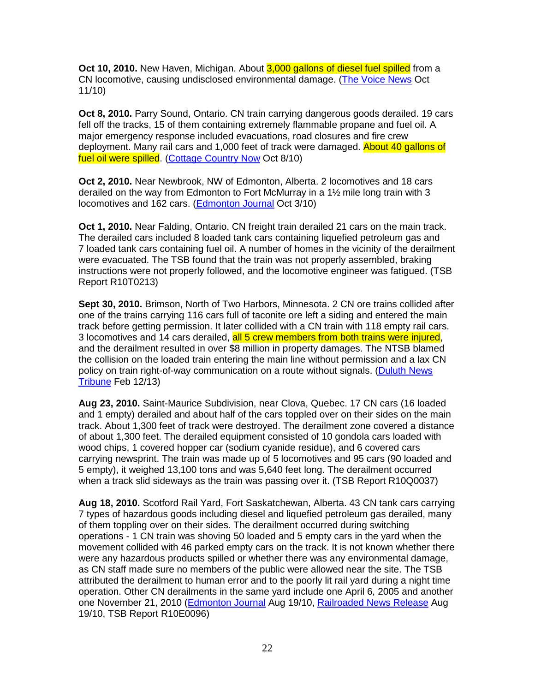**Oct 10, 2010.** New Haven, Michigan. About 3,000 gallons of diesel fuel spilled from a CN locomotive, causing undisclosed environmental damage. (The Voice News Oct 11/10)

**Oct 8, 2010.** Parry Sound, Ontario. CN train carrying dangerous goods derailed. 19 cars fell off the tracks, 15 of them containing extremely flammable propane and fuel oil. A major emergency response included evacuations, road closures and fire crew deployment. Many rail cars and 1,000 feet of track were damaged. About 40 gallons of fuel oil were spilled. (Cottage Country Now Oct 8/10)

**Oct 2, 2010.** Near Newbrook, NW of Edmonton, Alberta. 2 locomotives and 18 cars derailed on the way from Edmonton to Fort McMurray in a 1½ mile long train with 3 locomotives and 162 cars. (Edmonton Journal Oct 3/10)

**Oct 1, 2010.** Near Falding, Ontario. CN freight train derailed 21 cars on the main track. The derailed cars included 8 loaded tank cars containing liquefied petroleum gas and 7 loaded tank cars containing fuel oil. A number of homes in the vicinity of the derailment were evacuated. The TSB found that the train was not properly assembled, braking instructions were not properly followed, and the locomotive engineer was fatigued. (TSB Report R10T0213)

**Sept 30, 2010.** Brimson, North of Two Harbors, Minnesota. 2 CN ore trains collided after one of the trains carrying 116 cars full of taconite ore left a siding and entered the main track before getting permission. It later collided with a CN train with 118 empty rail cars. 3 locomotives and 14 cars derailed, all 5 crew members from both trains were injured, and the derailment resulted in over \$8 million in property damages. The NTSB blamed the collision on the loaded train entering the main line without permission and a lax CN policy on train right-of-way communication on a route without signals. (Duluth News Tribune Feb 12/13)

**Aug 23, 2010.** Saint-Maurice Subdivision, near Clova, Quebec. 17 CN cars (16 loaded and 1 empty) derailed and about half of the cars toppled over on their sides on the main track. About 1,300 feet of track were destroyed. The derailment zone covered a distance of about 1,300 feet. The derailed equipment consisted of 10 gondola cars loaded with wood chips, 1 covered hopper car (sodium cyanide residue), and 6 covered cars carrying newsprint. The train was made up of 5 locomotives and 95 cars (90 loaded and 5 empty), it weighed 13,100 tons and was 5,640 feet long. The derailment occurred when a track slid sideways as the train was passing over it. (TSB Report R10Q0037)

**Aug 18, 2010.** Scotford Rail Yard, Fort Saskatchewan, Alberta. 43 CN tank cars carrying 7 types of hazardous goods including diesel and liquefied petroleum gas derailed, many of them toppling over on their sides. The derailment occurred during switching operations - 1 CN train was shoving 50 loaded and 5 empty cars in the yard when the movement collided with 46 parked empty cars on the track. It is not known whether there were any hazardous products spilled or whether there was any environmental damage, as CN staff made sure no members of the public were allowed near the site. The TSB attributed the derailment to human error and to the poorly lit rail yard during a night time operation. Other CN derailments in the same yard include one April 6, 2005 and another one November 21, 2010 (Edmonton Journal Aug 19/10, Railroaded News Release Aug 19/10, TSB Report R10E0096)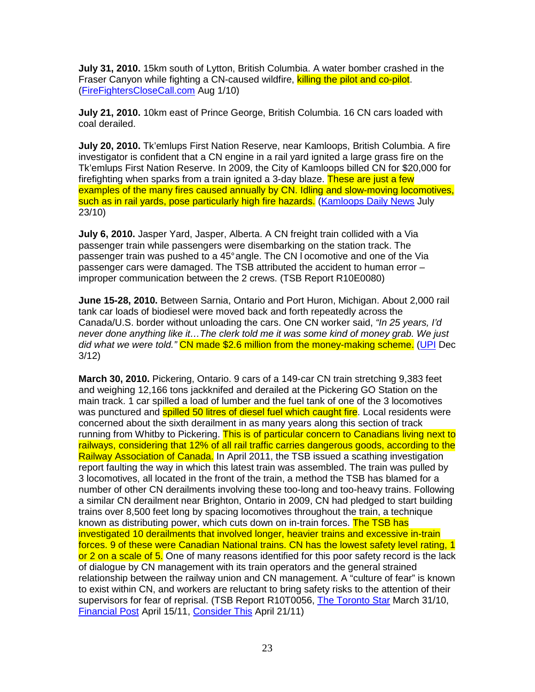**July 31, 2010.** 15km south of Lytton, British Columbia. A water bomber crashed in the Fraser Canyon while fighting a CN-caused wildfire, killing the pilot and co-pilot. (FireFightersCloseCall.com Aug 1/10)

**July 21, 2010.** 10km east of Prince George, British Columbia. 16 CN cars loaded with coal derailed.

**July 20, 2010.** Tk'emlups First Nation Reserve, near Kamloops, British Columbia. A fire investigator is confident that a CN engine in a rail yard ignited a large grass fire on the Tk'emlups First Nation Reserve. In 2009, the City of Kamloops billed CN for \$20,000 for firefighting when sparks from a train ignited a 3-day blaze. These are just a few examples of the many fires caused annually by CN. Idling and slow-moving locomotives, such as in rail yards, pose particularly high fire hazards. (Kamloops Daily News July 23/10)

**July 6, 2010.** Jasper Yard, Jasper, Alberta. A CN freight train collided with a Via passenger train while passengers were disembarking on the station track. The passenger train was pushed to a 45° angle. The CN l ocomotive and one of the Via passenger cars were damaged. The TSB attributed the accident to human error – improper communication between the 2 crews. (TSB Report R10E0080)

**June 15-28, 2010.** Between Sarnia, Ontario and Port Huron, Michigan. About 2,000 rail tank car loads of biodiesel were moved back and forth repeatedly across the Canada/U.S. border without unloading the cars. One CN worker said, "In 25 years, I'd never done anything like it…The clerk told me it was some kind of money grab. We just did what we were told." CN made \$2.6 million from the money-making scheme. (UPI Dec 3/12)

**March 30, 2010.** Pickering, Ontario. 9 cars of a 149-car CN train stretching 9,383 feet and weighing 12,166 tons jackknifed and derailed at the Pickering GO Station on the main track. 1 car spilled a load of lumber and the fuel tank of one of the 3 locomotives was punctured and **spilled 50 litres of diesel fuel which caught fire**. Local residents were concerned about the sixth derailment in as many years along this section of track running from Whitby to Pickering. This is of particular concern to Canadians living next to railways, considering that 12% of all rail traffic carries dangerous goods, according to the Railway Association of Canada. In April 2011, the TSB issued a scathing investigation report faulting the way in which this latest train was assembled. The train was pulled by 3 locomotives, all located in the front of the train, a method the TSB has blamed for a number of other CN derailments involving these too-long and too-heavy trains. Following a similar CN derailment near Brighton, Ontario in 2009, CN had pledged to start building trains over 8,500 feet long by spacing locomotives throughout the train, a technique known as distributing power, which cuts down on in-train forces. The TSB has investigated 10 derailments that involved longer, heavier trains and excessive in-train forces. 9 of these were Canadian National trains. CN has the lowest safety level rating, 1 or 2 on a scale of 5. One of many reasons identified for this poor safety record is the lack of dialogue by CN management with its train operators and the general strained relationship between the railway union and CN management. A "culture of fear" is known to exist within CN, and workers are reluctant to bring safety risks to the attention of their supervisors for fear of reprisal. (TSB Report R10T0056, The Toronto Star March 31/10, Financial Post April 15/11, Consider This April 21/11)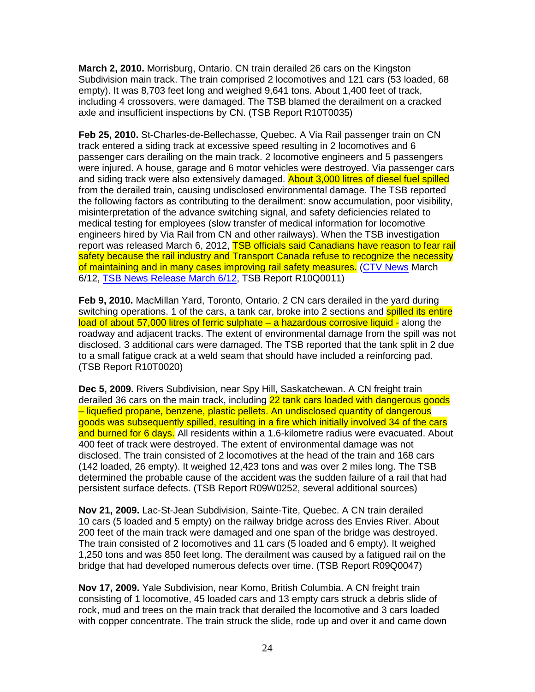**March 2, 2010.** Morrisburg, Ontario. CN train derailed 26 cars on the Kingston Subdivision main track. The train comprised 2 locomotives and 121 cars (53 loaded, 68 empty). It was 8,703 feet long and weighed 9,641 tons. About 1,400 feet of track, including 4 crossovers, were damaged. The TSB blamed the derailment on a cracked axle and insufficient inspections by CN. (TSB Report R10T0035)

**Feb 25, 2010.** St-Charles-de-Bellechasse, Quebec. A Via Rail passenger train on CN track entered a siding track at excessive speed resulting in 2 locomotives and 6 passenger cars derailing on the main track. 2 locomotive engineers and 5 passengers were injured. A house, garage and 6 motor vehicles were destroyed. Via passenger cars and siding track were also extensively damaged. **About 3,000 litres of diesel fuel spilled** from the derailed train, causing undisclosed environmental damage. The TSB reported the following factors as contributing to the derailment: snow accumulation, poor visibility, misinterpretation of the advance switching signal, and safety deficiencies related to medical testing for employees (slow transfer of medical information for locomotive engineers hired by Via Rail from CN and other railways). When the TSB investigation report was released March 6, 2012, TSB officials said Canadians have reason to fear rail safety because the rail industry and Transport Canada refuse to recognize the necessity of maintaining and in many cases improving rail safety measures. (CTV News March 6/12, TSB News Release March 6/12, TSB Report R10Q0011)

**Feb 9, 2010.** MacMillan Yard, Toronto, Ontario. 2 CN cars derailed in the yard during switching operations. 1 of the cars, a tank car, broke into 2 sections and **spilled its entire** load of about 57,000 litres of ferric sulphate – a hazardous corrosive liquid - along the roadway and adjacent tracks. The extent of environmental damage from the spill was not disclosed. 3 additional cars were damaged. The TSB reported that the tank split in 2 due to a small fatigue crack at a weld seam that should have included a reinforcing pad. (TSB Report R10T0020)

**Dec 5, 2009.** Rivers Subdivision, near Spy Hill, Saskatchewan. A CN freight train derailed 36 cars on the main track, including 22 tank cars loaded with dangerous goods – liquefied propane, benzene, plastic pellets. An undisclosed quantity of dangerous goods was subsequently spilled, resulting in a fire which initially involved 34 of the cars and burned for 6 days. All residents within a 1.6-kilometre radius were evacuated. About 400 feet of track were destroyed. The extent of environmental damage was not disclosed. The train consisted of 2 locomotives at the head of the train and 168 cars (142 loaded, 26 empty). It weighed 12,423 tons and was over 2 miles long. The TSB determined the probable cause of the accident was the sudden failure of a rail that had persistent surface defects. (TSB Report R09W0252, several additional sources)

**Nov 21, 2009.** Lac-St-Jean Subdivision, Sainte-Tite, Quebec. A CN train derailed 10 cars (5 loaded and 5 empty) on the railway bridge across des Envies River. About 200 feet of the main track were damaged and one span of the bridge was destroyed. The train consisted of 2 locomotives and 11 cars (5 loaded and 6 empty). It weighed 1,250 tons and was 850 feet long. The derailment was caused by a fatigued rail on the bridge that had developed numerous defects over time. (TSB Report R09Q0047)

**Nov 17, 2009.** Yale Subdivision, near Komo, British Columbia. A CN freight train consisting of 1 locomotive, 45 loaded cars and 13 empty cars struck a debris slide of rock, mud and trees on the main track that derailed the locomotive and 3 cars loaded with copper concentrate. The train struck the slide, rode up and over it and came down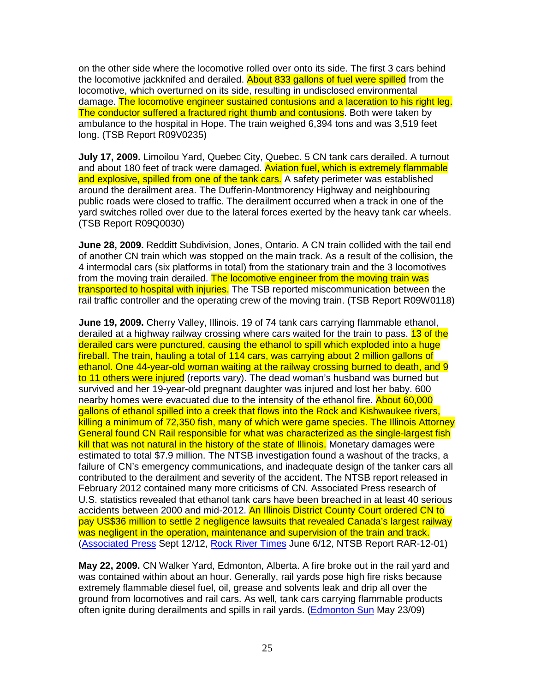on the other side where the locomotive rolled over onto its side. The first 3 cars behind the locomotive jackknifed and derailed. About 833 gallons of fuel were spilled from the locomotive, which overturned on its side, resulting in undisclosed environmental damage. The locomotive engineer sustained contusions and a laceration to his right leg. The conductor suffered a fractured right thumb and contusions. Both were taken by ambulance to the hospital in Hope. The train weighed 6,394 tons and was 3,519 feet long. (TSB Report R09V0235)

**July 17, 2009.** Limoilou Yard, Quebec City, Quebec. 5 CN tank cars derailed. A turnout and about 180 feet of track were damaged. Aviation fuel, which is extremely flammable and explosive, spilled from one of the tank cars. A safety perimeter was established around the derailment area. The Dufferin-Montmorency Highway and neighbouring public roads were closed to traffic. The derailment occurred when a track in one of the yard switches rolled over due to the lateral forces exerted by the heavy tank car wheels. (TSB Report R09Q0030)

**June 28, 2009.** Redditt Subdivision, Jones, Ontario. A CN train collided with the tail end of another CN train which was stopped on the main track. As a result of the collision, the 4 intermodal cars (six platforms in total) from the stationary train and the 3 locomotives from the moving train derailed. The locomotive engineer from the moving train was transported to hospital with injuries. The TSB reported miscommunication between the rail traffic controller and the operating crew of the moving train. (TSB Report R09W0118)

**June 19, 2009.** Cherry Valley, Illinois. 19 of 74 tank cars carrying flammable ethanol, derailed at a highway railway crossing where cars waited for the train to pass. 13 of the derailed cars were punctured, causing the ethanol to spill which exploded into a huge fireball. The train, hauling a total of 114 cars, was carrying about 2 million gallons of ethanol. One 44-year-old woman waiting at the railway crossing burned to death, and 9 to 11 others were injured (reports vary). The dead woman's husband was burned but survived and her 19-year-old pregnant daughter was injured and lost her baby. 600 nearby homes were evacuated due to the intensity of the ethanol fire. About 60,000 gallons of ethanol spilled into a creek that flows into the Rock and Kishwaukee rivers, killing a minimum of 72,350 fish, many of which were game species. The Illinois Attorney General found CN Rail responsible for what was characterized as the single-largest fish kill that was not natural in the history of the state of Illinois. Monetary damages were estimated to total \$7.9 million. The NTSB investigation found a washout of the tracks, a failure of CN's emergency communications, and inadequate design of the tanker cars all contributed to the derailment and severity of the accident. The NTSB report released in February 2012 contained many more criticisms of CN. Associated Press research of U.S. statistics revealed that ethanol tank cars have been breached in at least 40 serious accidents between 2000 and mid-2012. An Illinois District County Court ordered CN to pay US\$36 million to settle 2 negligence lawsuits that revealed Canada's largest railway was negligent in the operation, maintenance and supervision of the train and track. (Associated Press Sept 12/12, Rock River Times June 6/12, NTSB Report RAR-12-01)

**May 22, 2009.** CN Walker Yard, Edmonton, Alberta. A fire broke out in the rail yard and was contained within about an hour. Generally, rail yards pose high fire risks because extremely flammable diesel fuel, oil, grease and solvents leak and drip all over the ground from locomotives and rail cars. As well, tank cars carrying flammable products often ignite during derailments and spills in rail yards. (Edmonton Sun May 23/09)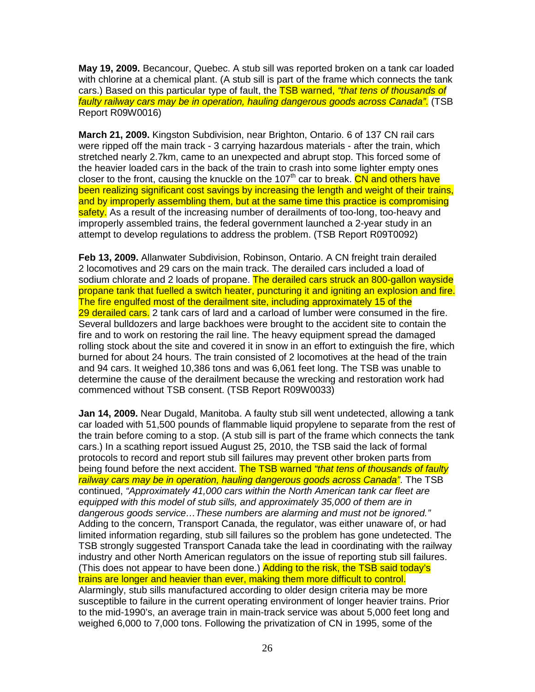**May 19, 2009.** Becancour, Quebec. A stub sill was reported broken on a tank car loaded with chlorine at a chemical plant. (A stub sill is part of the frame which connects the tank cars.) Based on this particular type of fault, the **TSB warned, "that tens of thousands of** faulty railway cars may be in operation, hauling dangerous goods across Canada". (TSB Report R09W0016)

**March 21, 2009.** Kingston Subdivision, near Brighton, Ontario. 6 of 137 CN rail cars were ripped off the main track - 3 carrying hazardous materials - after the train, which stretched nearly 2.7km, came to an unexpected and abrupt stop. This forced some of the heavier loaded cars in the back of the train to crash into some lighter empty ones closer to the front, causing the knuckle on the  $107<sup>th</sup>$  car to break. CN and others have been realizing significant cost savings by increasing the length and weight of their trains, and by improperly assembling them, but at the same time this practice is compromising safety. As a result of the increasing number of derailments of too-long, too-heavy and improperly assembled trains, the federal government launched a 2-year study in an attempt to develop regulations to address the problem. (TSB Report R09T0092)

**Feb 13, 2009.** Allanwater Subdivision, Robinson, Ontario. A CN freight train derailed 2 locomotives and 29 cars on the main track. The derailed cars included a load of sodium chlorate and 2 loads of propane. The derailed cars struck an 800-gallon wayside propane tank that fuelled a switch heater, puncturing it and igniting an explosion and fire. The fire engulfed most of the derailment site, including approximately 15 of the 29 derailed cars. 2 tank cars of lard and a carload of lumber were consumed in the fire. Several bulldozers and large backhoes were brought to the accident site to contain the fire and to work on restoring the rail line. The heavy equipment spread the damaged rolling stock about the site and covered it in snow in an effort to extinguish the fire, which burned for about 24 hours. The train consisted of 2 locomotives at the head of the train and 94 cars. It weighed 10,386 tons and was 6,061 feet long. The TSB was unable to determine the cause of the derailment because the wrecking and restoration work had commenced without TSB consent. (TSB Report R09W0033)

**Jan 14, 2009.** Near Dugald, Manitoba. A faulty stub sill went undetected, allowing a tank car loaded with 51,500 pounds of flammable liquid propylene to separate from the rest of the train before coming to a stop. (A stub sill is part of the frame which connects the tank cars.) In a scathing report issued August 25, 2010, the TSB said the lack of formal protocols to record and report stub sill failures may prevent other broken parts from being found before the next accident. The TSB warned "that tens of thousands of faulty railway cars may be in operation, hauling dangerous goods across Canada". The TSB continued, "Approximately 41,000 cars within the North American tank car fleet are equipped with this model of stub sills, and approximately 35,000 of them are in dangerous goods service…These numbers are alarming and must not be ignored." Adding to the concern, Transport Canada, the regulator, was either unaware of, or had limited information regarding, stub sill failures so the problem has gone undetected. The TSB strongly suggested Transport Canada take the lead in coordinating with the railway industry and other North American regulators on the issue of reporting stub sill failures. (This does not appear to have been done.) Adding to the risk, the TSB said today's trains are longer and heavier than ever, making them more difficult to control. Alarmingly, stub sills manufactured according to older design criteria may be more susceptible to failure in the current operating environment of longer heavier trains. Prior to the mid-1990's, an average train in main-track service was about 5,000 feet long and weighed 6,000 to 7,000 tons. Following the privatization of CN in 1995, some of the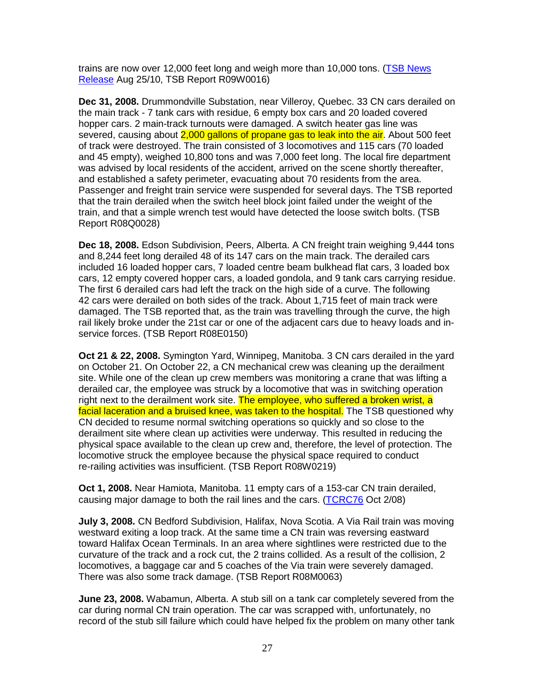trains are now over 12,000 feet long and weigh more than 10,000 tons. (TSB News Release Aug 25/10, TSB Report R09W0016)

**Dec 31, 2008.** Drummondville Substation, near Villeroy, Quebec. 33 CN cars derailed on the main track - 7 tank cars with residue, 6 empty box cars and 20 loaded covered hopper cars. 2 main-track turnouts were damaged. A switch heater gas line was severed, causing about 2,000 gallons of propane gas to leak into the air. About 500 feet of track were destroyed. The train consisted of 3 locomotives and 115 cars (70 loaded and 45 empty), weighed 10,800 tons and was 7,000 feet long. The local fire department was advised by local residents of the accident, arrived on the scene shortly thereafter, and established a safety perimeter, evacuating about 70 residents from the area. Passenger and freight train service were suspended for several days. The TSB reported that the train derailed when the switch heel block joint failed under the weight of the train, and that a simple wrench test would have detected the loose switch bolts. (TSB Report R08Q0028)

**Dec 18, 2008.** Edson Subdivision, Peers, Alberta. A CN freight train weighing 9,444 tons and 8,244 feet long derailed 48 of its 147 cars on the main track. The derailed cars included 16 loaded hopper cars, 7 loaded centre beam bulkhead flat cars, 3 loaded box cars, 12 empty covered hopper cars, a loaded gondola, and 9 tank cars carrying residue. The first 6 derailed cars had left the track on the high side of a curve. The following 42 cars were derailed on both sides of the track. About 1,715 feet of main track were damaged. The TSB reported that, as the train was travelling through the curve, the high rail likely broke under the 21st car or one of the adjacent cars due to heavy loads and inservice forces. (TSB Report R08E0150)

**Oct 21 & 22, 2008.** Symington Yard, Winnipeg, Manitoba. 3 CN cars derailed in the yard on October 21. On October 22, a CN mechanical crew was cleaning up the derailment site. While one of the clean up crew members was monitoring a crane that was lifting a derailed car, the employee was struck by a locomotive that was in switching operation right next to the derailment work site. The employee, who suffered a broken wrist, a facial laceration and a bruised knee, was taken to the hospital. The TSB questioned why CN decided to resume normal switching operations so quickly and so close to the derailment site where clean up activities were underway. This resulted in reducing the physical space available to the clean up crew and, therefore, the level of protection. The locomotive struck the employee because the physical space required to conduct re-railing activities was insufficient. (TSB Report R08W0219)

**Oct 1, 2008.** Near Hamiota, Manitoba. 11 empty cars of a 153-car CN train derailed, causing major damage to both the rail lines and the cars. (TCRC76 Oct 2/08)

**July 3, 2008.** CN Bedford Subdivision, Halifax, Nova Scotia. A Via Rail train was moving westward exiting a loop track. At the same time a CN train was reversing eastward toward Halifax Ocean Terminals. In an area where sightlines were restricted due to the curvature of the track and a rock cut, the 2 trains collided. As a result of the collision, 2 locomotives, a baggage car and 5 coaches of the Via train were severely damaged. There was also some track damage. (TSB Report R08M0063)

**June 23, 2008.** Wabamun, Alberta. A stub sill on a tank car completely severed from the car during normal CN train operation. The car was scrapped with, unfortunately, no record of the stub sill failure which could have helped fix the problem on many other tank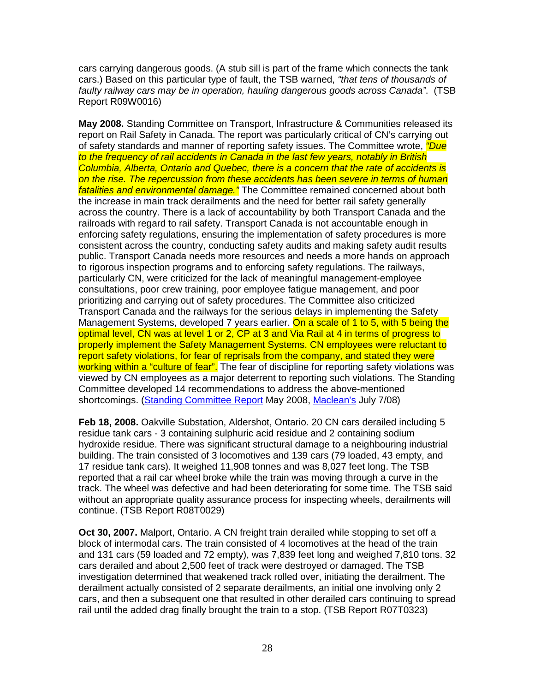cars carrying dangerous goods. (A stub sill is part of the frame which connects the tank cars.) Based on this particular type of fault, the TSB warned, "that tens of thousands of faulty railway cars may be in operation, hauling dangerous goods across Canada". (TSB Report R09W0016)

**May 2008.** Standing Committee on Transport, Infrastructure & Communities released its report on Rail Safety in Canada. The report was particularly critical of CN's carrying out of safety standards and manner of reporting safety issues. The Committee wrote, *"Due* to the frequency of rail accidents in Canada in the last few years, notably in British Columbia, Alberta, Ontario and Quebec, there is a concern that the rate of accidents is on the rise. The repercussion from these accidents has been severe in terms of human fatalities and environmental damage." The Committee remained concerned about both the increase in main track derailments and the need for better rail safety generally across the country. There is a lack of accountability by both Transport Canada and the railroads with regard to rail safety. Transport Canada is not accountable enough in enforcing safety regulations, ensuring the implementation of safety procedures is more consistent across the country, conducting safety audits and making safety audit results public. Transport Canada needs more resources and needs a more hands on approach to rigorous inspection programs and to enforcing safety regulations. The railways, particularly CN, were criticized for the lack of meaningful management-employee consultations, poor crew training, poor employee fatigue management, and poor prioritizing and carrying out of safety procedures. The Committee also criticized Transport Canada and the railways for the serious delays in implementing the Safety Management Systems, developed 7 years earlier. On a scale of 1 to 5, with 5 being the optimal level, CN was at level 1 or 2, CP at 3 and Via Rail at 4 in terms of progress to properly implement the Safety Management Systems. CN employees were reluctant to report safety violations, for fear of reprisals from the company, and stated they were working within a "culture of fear". The fear of discipline for reporting safety violations was viewed by CN employees as a major deterrent to reporting such violations. The Standing Committee developed 14 recommendations to address the above-mentioned shortcomings. (Standing Committee Report May 2008, Maclean's July 7/08)

**Feb 18, 2008.** Oakville Substation, Aldershot, Ontario. 20 CN cars derailed including 5 residue tank cars - 3 containing sulphuric acid residue and 2 containing sodium hydroxide residue. There was significant structural damage to a neighbouring industrial building. The train consisted of 3 locomotives and 139 cars (79 loaded, 43 empty, and 17 residue tank cars). It weighed 11,908 tonnes and was 8,027 feet long. The TSB reported that a rail car wheel broke while the train was moving through a curve in the track. The wheel was defective and had been deteriorating for some time. The TSB said without an appropriate quality assurance process for inspecting wheels, derailments will continue. (TSB Report R08T0029)

**Oct 30, 2007.** Malport, Ontario. A CN freight train derailed while stopping to set off a block of intermodal cars. The train consisted of 4 locomotives at the head of the train and 131 cars (59 loaded and 72 empty), was 7,839 feet long and weighed 7,810 tons. 32 cars derailed and about 2,500 feet of track were destroyed or damaged. The TSB investigation determined that weakened track rolled over, initiating the derailment. The derailment actually consisted of 2 separate derailments, an initial one involving only 2 cars, and then a subsequent one that resulted in other derailed cars continuing to spread rail until the added drag finally brought the train to a stop. (TSB Report R07T0323)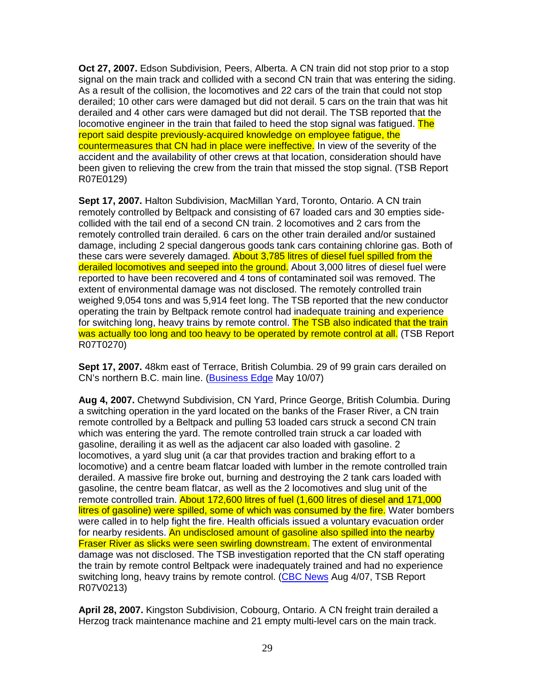**Oct 27, 2007.** Edson Subdivision, Peers, Alberta. A CN train did not stop prior to a stop signal on the main track and collided with a second CN train that was entering the siding. As a result of the collision, the locomotives and 22 cars of the train that could not stop derailed; 10 other cars were damaged but did not derail. 5 cars on the train that was hit derailed and 4 other cars were damaged but did not derail. The TSB reported that the locomotive engineer in the train that failed to heed the stop signal was fatigued. The report said despite previously-acquired knowledge on employee fatigue, the countermeasures that CN had in place were ineffective. In view of the severity of the accident and the availability of other crews at that location, consideration should have been given to relieving the crew from the train that missed the stop signal. (TSB Report R07E0129)

**Sept 17, 2007.** Halton Subdivision, MacMillan Yard, Toronto, Ontario. A CN train remotely controlled by Beltpack and consisting of 67 loaded cars and 30 empties sidecollided with the tail end of a second CN train. 2 locomotives and 2 cars from the remotely controlled train derailed. 6 cars on the other train derailed and/or sustained damage, including 2 special dangerous goods tank cars containing chlorine gas. Both of these cars were severely damaged. About 3,785 litres of diesel fuel spilled from the derailed locomotives and seeped into the ground. About 3,000 litres of diesel fuel were reported to have been recovered and 4 tons of contaminated soil was removed. The extent of environmental damage was not disclosed. The remotely controlled train weighed 9,054 tons and was 5,914 feet long. The TSB reported that the new conductor operating the train by Beltpack remote control had inadequate training and experience for switching long, heavy trains by remote control. The TSB also indicated that the train was actually too long and too heavy to be operated by remote control at all. (TSB Report R07T0270)

**Sept 17, 2007.** 48km east of Terrace, British Columbia. 29 of 99 grain cars derailed on CN's northern B.C. main line. (Business Edge May 10/07)

**Aug 4, 2007.** Chetwynd Subdivision, CN Yard, Prince George, British Columbia. During a switching operation in the yard located on the banks of the Fraser River, a CN train remote controlled by a Beltpack and pulling 53 loaded cars struck a second CN train which was entering the yard. The remote controlled train struck a car loaded with gasoline, derailing it as well as the adjacent car also loaded with gasoline. 2 locomotives, a yard slug unit (a car that provides traction and braking effort to a locomotive) and a centre beam flatcar loaded with lumber in the remote controlled train derailed. A massive fire broke out, burning and destroying the 2 tank cars loaded with gasoline, the centre beam flatcar, as well as the 2 locomotives and slug unit of the remote controlled train. About 172,600 litres of fuel (1,600 litres of diesel and 171,000 litres of gasoline) were spilled, some of which was consumed by the fire. Water bombers were called in to help fight the fire. Health officials issued a voluntary evacuation order for nearby residents. An undisclosed amount of gasoline also spilled into the nearby Fraser River as slicks were seen swirling downstream. The extent of environmental damage was not disclosed. The TSB investigation reported that the CN staff operating the train by remote control Beltpack were inadequately trained and had no experience switching long, heavy trains by remote control. (CBC News Aug 4/07, TSB Report R07V0213)

**April 28, 2007.** Kingston Subdivision, Cobourg, Ontario. A CN freight train derailed a Herzog track maintenance machine and 21 empty multi-level cars on the main track.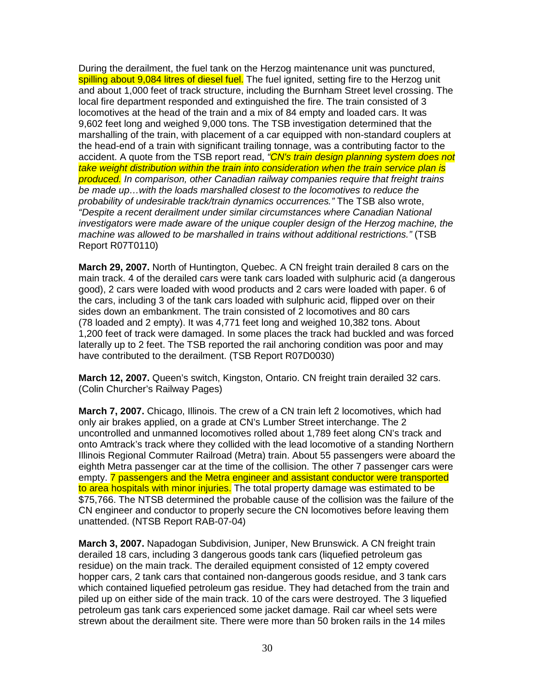During the derailment, the fuel tank on the Herzog maintenance unit was punctured, spilling about 9,084 litres of diesel fuel. The fuel ignited, setting fire to the Herzog unit and about 1,000 feet of track structure, including the Burnham Street level crossing. The local fire department responded and extinguished the fire. The train consisted of 3 locomotives at the head of the train and a mix of 84 empty and loaded cars. It was 9,602 feet long and weighed 9,000 tons. The TSB investigation determined that the marshalling of the train, with placement of a car equipped with non-standard couplers at the head-end of a train with significant trailing tonnage, was a contributing factor to the accident. A quote from the TSB report read, "CN's train design planning system does not take weight distribution within the train into consideration when the train service plan is produced. In comparison, other Canadian railway companies require that freight trains be made up…with the loads marshalled closest to the locomotives to reduce the probability of undesirable track/train dynamics occurrences." The TSB also wrote, "Despite a recent derailment under similar circumstances where Canadian National investigators were made aware of the unique coupler design of the Herzog machine, the machine was allowed to be marshalled in trains without additional restrictions." (TSB Report R07T0110)

**March 29, 2007.** North of Huntington, Quebec. A CN freight train derailed 8 cars on the main track. 4 of the derailed cars were tank cars loaded with sulphuric acid (a dangerous good), 2 cars were loaded with wood products and 2 cars were loaded with paper. 6 of the cars, including 3 of the tank cars loaded with sulphuric acid, flipped over on their sides down an embankment. The train consisted of 2 locomotives and 80 cars (78 loaded and 2 empty). It was 4,771 feet long and weighed 10,382 tons. About 1,200 feet of track were damaged. In some places the track had buckled and was forced laterally up to 2 feet. The TSB reported the rail anchoring condition was poor and may have contributed to the derailment. (TSB Report R07D0030)

**March 12, 2007.** Queen's switch, Kingston, Ontario. CN freight train derailed 32 cars. (Colin Churcher's Railway Pages)

**March 7, 2007.** Chicago, Illinois. The crew of a CN train left 2 locomotives, which had only air brakes applied, on a grade at CN's Lumber Street interchange. The 2 uncontrolled and unmanned locomotives rolled about 1,789 feet along CN's track and onto Amtrack's track where they collided with the lead locomotive of a standing Northern Illinois Regional Commuter Railroad (Metra) train. About 55 passengers were aboard the eighth Metra passenger car at the time of the collision. The other 7 passenger cars were empty. 7 passengers and the Metra engineer and assistant conductor were transported to area hospitals with minor injuries. The total property damage was estimated to be \$75,766. The NTSB determined the probable cause of the collision was the failure of the CN engineer and conductor to properly secure the CN locomotives before leaving them unattended. (NTSB Report RAB-07-04)

**March 3, 2007.** Napadogan Subdivision, Juniper, New Brunswick. A CN freight train derailed 18 cars, including 3 dangerous goods tank cars (liquefied petroleum gas residue) on the main track. The derailed equipment consisted of 12 empty covered hopper cars, 2 tank cars that contained non-dangerous goods residue, and 3 tank cars which contained liquefied petroleum gas residue. They had detached from the train and piled up on either side of the main track. 10 of the cars were destroyed. The 3 liquefied petroleum gas tank cars experienced some jacket damage. Rail car wheel sets were strewn about the derailment site. There were more than 50 broken rails in the 14 miles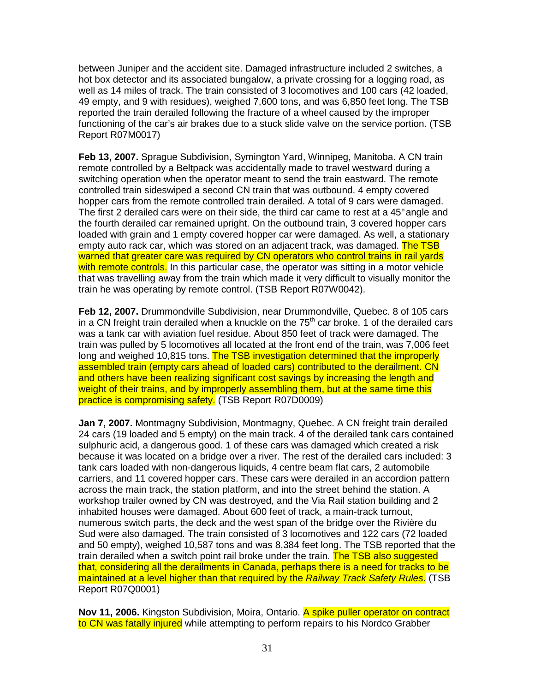between Juniper and the accident site. Damaged infrastructure included 2 switches, a hot box detector and its associated bungalow, a private crossing for a logging road, as well as 14 miles of track. The train consisted of 3 locomotives and 100 cars (42 loaded, 49 empty, and 9 with residues), weighed 7,600 tons, and was 6,850 feet long. The TSB reported the train derailed following the fracture of a wheel caused by the improper functioning of the car's air brakes due to a stuck slide valve on the service portion. (TSB Report R07M0017)

**Feb 13, 2007.** Sprague Subdivision, Symington Yard, Winnipeg, Manitoba. A CN train remote controlled by a Beltpack was accidentally made to travel westward during a switching operation when the operator meant to send the train eastward. The remote controlled train sideswiped a second CN train that was outbound. 4 empty covered hopper cars from the remote controlled train derailed. A total of 9 cars were damaged. The first 2 derailed cars were on their side, the third car came to rest at a 45° angle and the fourth derailed car remained upright. On the outbound train, 3 covered hopper cars loaded with grain and 1 empty covered hopper car were damaged. As well, a stationary empty auto rack car, which was stored on an adjacent track, was damaged. The TSB warned that greater care was required by CN operators who control trains in rail yards with remote controls. In this particular case, the operator was sitting in a motor vehicle that was travelling away from the train which made it very difficult to visually monitor the train he was operating by remote control. (TSB Report R07W0042).

**Feb 12, 2007.** Drummondville Subdivision, near Drummondville, Quebec. 8 of 105 cars in a CN freight train derailed when a knuckle on the  $75<sup>th</sup>$  car broke. 1 of the derailed cars was a tank car with aviation fuel residue. About 850 feet of track were damaged. The train was pulled by 5 locomotives all located at the front end of the train, was 7,006 feet long and weighed 10,815 tons. The TSB investigation determined that the improperly assembled train (empty cars ahead of loaded cars) contributed to the derailment. CN and others have been realizing significant cost savings by increasing the length and weight of their trains, and by improperly assembling them, but at the same time this practice is compromising safety. (TSB Report R07D0009)

**Jan 7, 2007.** Montmagny Subdivision, Montmagny, Quebec. A CN freight train derailed 24 cars (19 loaded and 5 empty) on the main track. 4 of the derailed tank cars contained sulphuric acid, a dangerous good. 1 of these cars was damaged which created a risk because it was located on a bridge over a river. The rest of the derailed cars included: 3 tank cars loaded with non-dangerous liquids, 4 centre beam flat cars, 2 automobile carriers, and 11 covered hopper cars. These cars were derailed in an accordion pattern across the main track, the station platform, and into the street behind the station. A workshop trailer owned by CN was destroyed, and the Via Rail station building and 2 inhabited houses were damaged. About 600 feet of track, a main-track turnout, numerous switch parts, the deck and the west span of the bridge over the Rivière du Sud were also damaged. The train consisted of 3 locomotives and 122 cars (72 loaded and 50 empty), weighed 10,587 tons and was 8,384 feet long. The TSB reported that the train derailed when a switch point rail broke under the train. The TSB also suggested that, considering all the derailments in Canada, perhaps there is a need for tracks to be maintained at a level higher than that required by the Railway Track Safety Rules. (TSB Report R07Q0001)

**Nov 11, 2006.** Kingston Subdivision, Moira, Ontario. A spike puller operator on contract to CN was fatally injured while attempting to perform repairs to his Nordco Grabber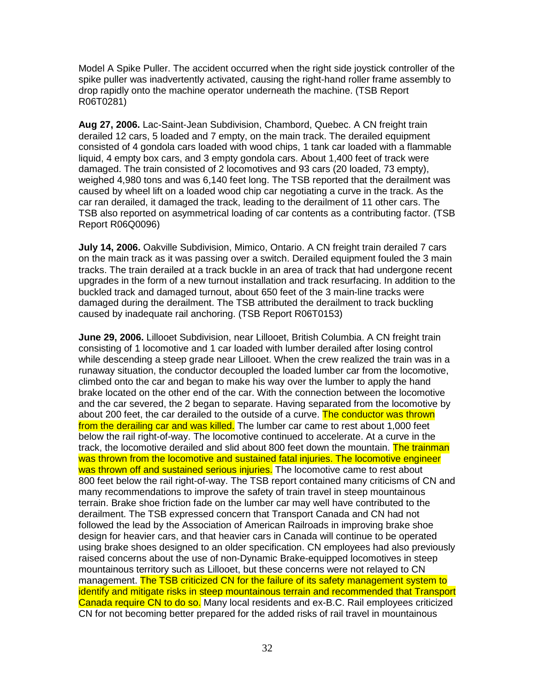Model A Spike Puller. The accident occurred when the right side joystick controller of the spike puller was inadvertently activated, causing the right-hand roller frame assembly to drop rapidly onto the machine operator underneath the machine. (TSB Report R06T0281)

**Aug 27, 2006.** Lac-Saint-Jean Subdivision, Chambord, Quebec. A CN freight train derailed 12 cars, 5 loaded and 7 empty, on the main track. The derailed equipment consisted of 4 gondola cars loaded with wood chips, 1 tank car loaded with a flammable liquid, 4 empty box cars, and 3 empty gondola cars. About 1,400 feet of track were damaged. The train consisted of 2 locomotives and 93 cars (20 loaded, 73 empty), weighed 4,980 tons and was 6,140 feet long. The TSB reported that the derailment was caused by wheel lift on a loaded wood chip car negotiating a curve in the track. As the car ran derailed, it damaged the track, leading to the derailment of 11 other cars. The TSB also reported on asymmetrical loading of car contents as a contributing factor. (TSB Report R06Q0096)

**July 14, 2006.** Oakville Subdivision, Mimico, Ontario. A CN freight train derailed 7 cars on the main track as it was passing over a switch. Derailed equipment fouled the 3 main tracks. The train derailed at a track buckle in an area of track that had undergone recent upgrades in the form of a new turnout installation and track resurfacing. In addition to the buckled track and damaged turnout, about 650 feet of the 3 main-line tracks were damaged during the derailment. The TSB attributed the derailment to track buckling caused by inadequate rail anchoring. (TSB Report R06T0153)

**June 29, 2006.** Lillooet Subdivision, near Lillooet, British Columbia. A CN freight train consisting of 1 locomotive and 1 car loaded with lumber derailed after losing control while descending a steep grade near Lillooet. When the crew realized the train was in a runaway situation, the conductor decoupled the loaded lumber car from the locomotive, climbed onto the car and began to make his way over the lumber to apply the hand brake located on the other end of the car. With the connection between the locomotive and the car severed, the 2 began to separate. Having separated from the locomotive by about 200 feet, the car derailed to the outside of a curve. The conductor was thrown from the derailing car and was killed. The lumber car came to rest about 1,000 feet below the rail right-of-way. The locomotive continued to accelerate. At a curve in the track, the locomotive derailed and slid about 800 feet down the mountain. The trainman was thrown from the locomotive and sustained fatal injuries. The locomotive engineer was thrown off and sustained serious injuries. The locomotive came to rest about 800 feet below the rail right-of-way. The TSB report contained many criticisms of CN and many recommendations to improve the safety of train travel in steep mountainous terrain. Brake shoe friction fade on the lumber car may well have contributed to the derailment. The TSB expressed concern that Transport Canada and CN had not followed the lead by the Association of American Railroads in improving brake shoe design for heavier cars, and that heavier cars in Canada will continue to be operated using brake shoes designed to an older specification. CN employees had also previously raised concerns about the use of non-Dynamic Brake-equipped locomotives in steep mountainous territory such as Lillooet, but these concerns were not relayed to CN management. The TSB criticized CN for the failure of its safety management system to identify and mitigate risks in steep mountainous terrain and recommended that Transport Canada require CN to do so. Many local residents and ex-B.C. Rail employees criticized CN for not becoming better prepared for the added risks of rail travel in mountainous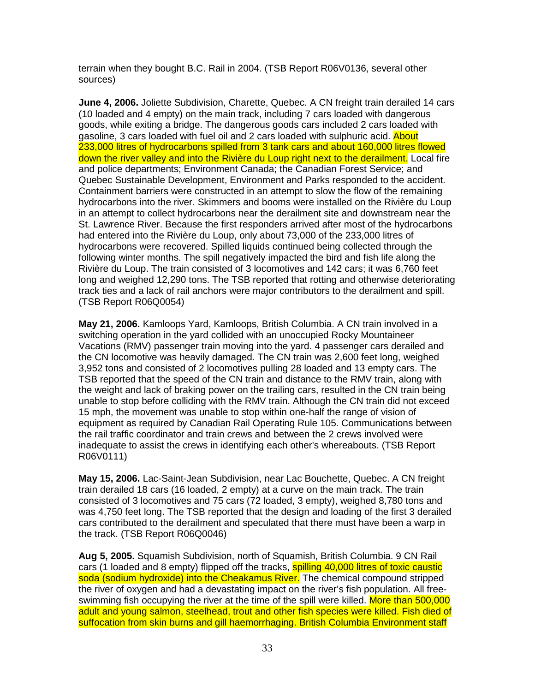terrain when they bought B.C. Rail in 2004. (TSB Report R06V0136, several other sources)

**June 4, 2006.** Joliette Subdivision, Charette, Quebec. A CN freight train derailed 14 cars (10 loaded and 4 empty) on the main track, including 7 cars loaded with dangerous goods, while exiting a bridge. The dangerous goods cars included 2 cars loaded with gasoline, 3 cars loaded with fuel oil and 2 cars loaded with sulphuric acid. About 233,000 litres of hydrocarbons spilled from 3 tank cars and about 160,000 litres flowed down the river valley and into the Rivière du Loup right next to the derailment. Local fire and police departments; Environment Canada; the Canadian Forest Service; and Quebec Sustainable Development, Environment and Parks responded to the accident. Containment barriers were constructed in an attempt to slow the flow of the remaining hydrocarbons into the river. Skimmers and booms were installed on the Rivière du Loup in an attempt to collect hydrocarbons near the derailment site and downstream near the St. Lawrence River. Because the first responders arrived after most of the hydrocarbons had entered into the Rivière du Loup, only about 73,000 of the 233,000 litres of hydrocarbons were recovered. Spilled liquids continued being collected through the following winter months. The spill negatively impacted the bird and fish life along the Rivière du Loup. The train consisted of 3 locomotives and 142 cars; it was 6,760 feet long and weighed 12,290 tons. The TSB reported that rotting and otherwise deteriorating track ties and a lack of rail anchors were major contributors to the derailment and spill. (TSB Report R06Q0054)

**May 21, 2006.** Kamloops Yard, Kamloops, British Columbia. A CN train involved in a switching operation in the yard collided with an unoccupied Rocky Mountaineer Vacations (RMV) passenger train moving into the yard. 4 passenger cars derailed and the CN locomotive was heavily damaged. The CN train was 2,600 feet long, weighed 3,952 tons and consisted of 2 locomotives pulling 28 loaded and 13 empty cars. The TSB reported that the speed of the CN train and distance to the RMV train, along with the weight and lack of braking power on the trailing cars, resulted in the CN train being unable to stop before colliding with the RMV train. Although the CN train did not exceed 15 mph, the movement was unable to stop within one-half the range of vision of equipment as required by Canadian Rail Operating Rule 105. Communications between the rail traffic coordinator and train crews and between the 2 crews involved were inadequate to assist the crews in identifying each other's whereabouts. (TSB Report R06V0111)

**May 15, 2006.** Lac-Saint-Jean Subdivision, near Lac Bouchette, Quebec. A CN freight train derailed 18 cars (16 loaded, 2 empty) at a curve on the main track. The train consisted of 3 locomotives and 75 cars (72 loaded, 3 empty), weighed 8,780 tons and was 4,750 feet long. The TSB reported that the design and loading of the first 3 derailed cars contributed to the derailment and speculated that there must have been a warp in the track. (TSB Report R06Q0046)

**Aug 5, 2005.** Squamish Subdivision, north of Squamish, British Columbia. 9 CN Rail cars (1 loaded and 8 empty) flipped off the tracks, **spilling 40,000 litres of toxic caustic** soda (sodium hydroxide) into the Cheakamus River. The chemical compound stripped the river of oxygen and had a devastating impact on the river's fish population. All freeswimming fish occupying the river at the time of the spill were killed. More than 500,000 adult and young salmon, steelhead, trout and other fish species were killed. Fish died of suffocation from skin burns and gill haemorrhaging. British Columbia Environment staff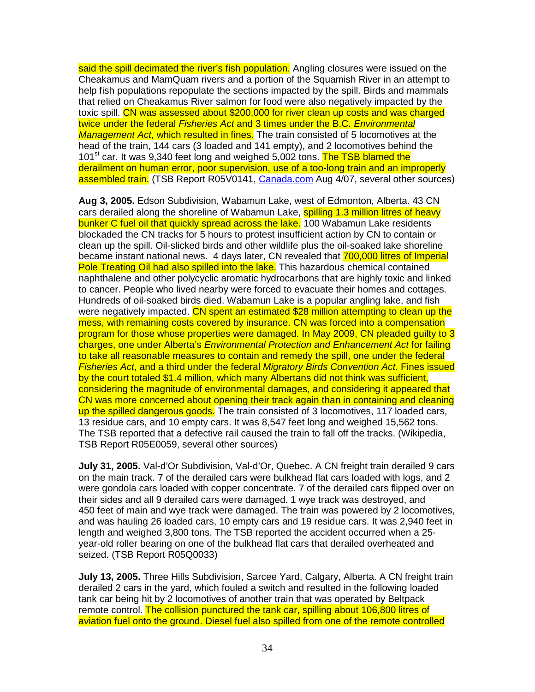said the spill decimated the river's fish population. Angling closures were issued on the Cheakamus and MamQuam rivers and a portion of the Squamish River in an attempt to help fish populations repopulate the sections impacted by the spill. Birds and mammals that relied on Cheakamus River salmon for food were also negatively impacted by the toxic spill. CN was assessed about \$200,000 for river clean up costs and was charged twice under the federal Fisheries Act and 3 times under the B.C. Environmental Management Act, which resulted in fines. The train consisted of 5 locomotives at the head of the train, 144 cars (3 loaded and 141 empty), and 2 locomotives behind the 101<sup>st</sup> car. It was 9,340 feet long and weighed 5,002 tons. The TSB blamed the derailment on human error, poor supervision, use of a too-long train and an improperly assembled train. (TSB Report R05V0141, Canada.com Aug 4/07, several other sources)

**Aug 3, 2005.** Edson Subdivision, Wabamun Lake, west of Edmonton, Alberta. 43 CN cars derailed along the shoreline of Wabamun Lake, spilling 1.3 million litres of heavy bunker C fuel oil that quickly spread across the lake. 100 Wabamun Lake residents blockaded the CN tracks for 5 hours to protest insufficient action by CN to contain or clean up the spill. Oil-slicked birds and other wildlife plus the oil-soaked lake shoreline became instant national news. 4 days later, CN revealed that **700,000 litres of Imperial** Pole Treating Oil had also spilled into the lake. This hazardous chemical contained naphthalene and other polycyclic aromatic hydrocarbons that are highly toxic and linked to cancer. People who lived nearby were forced to evacuate their homes and cottages. Hundreds of oil-soaked birds died. Wabamun Lake is a popular angling lake, and fish were negatively impacted. CN spent an estimated \$28 million attempting to clean up the mess, with remaining costs covered by insurance. CN was forced into a compensation program for those whose properties were damaged. In May 2009, CN pleaded guilty to 3 charges, one under Alberta's Environmental Protection and Enhancement Act for failing to take all reasonable measures to contain and remedy the spill, one under the federal Fisheries Act, and a third under the federal Migratory Birds Convention Act. Fines issued by the court totaled \$1.4 million, which many Albertans did not think was sufficient, considering the magnitude of environmental damages, and considering it appeared that CN was more concerned about opening their track again than in containing and cleaning up the spilled dangerous goods. The train consisted of 3 locomotives, 117 loaded cars, 13 residue cars, and 10 empty cars. It was 8,547 feet long and weighed 15,562 tons. The TSB reported that a defective rail caused the train to fall off the tracks. (Wikipedia, TSB Report R05E0059, several other sources)

**July 31, 2005.** Val-d'Or Subdivision, Val-d'Or, Quebec. A CN freight train derailed 9 cars on the main track. 7 of the derailed cars were bulkhead flat cars loaded with logs, and 2 were gondola cars loaded with copper concentrate. 7 of the derailed cars flipped over on their sides and all 9 derailed cars were damaged. 1 wye track was destroyed, and 450 feet of main and wye track were damaged. The train was powered by 2 locomotives, and was hauling 26 loaded cars, 10 empty cars and 19 residue cars. It was 2,940 feet in length and weighed 3,800 tons. The TSB reported the accident occurred when a 25 year-old roller bearing on one of the bulkhead flat cars that derailed overheated and seized. (TSB Report R05Q0033)

**July 13, 2005.** Three Hills Subdivision, Sarcee Yard, Calgary, Alberta. A CN freight train derailed 2 cars in the yard, which fouled a switch and resulted in the following loaded tank car being hit by 2 locomotives of another train that was operated by Beltpack remote control. The collision punctured the tank car, spilling about 106,800 litres of aviation fuel onto the ground. Diesel fuel also spilled from one of the remote controlled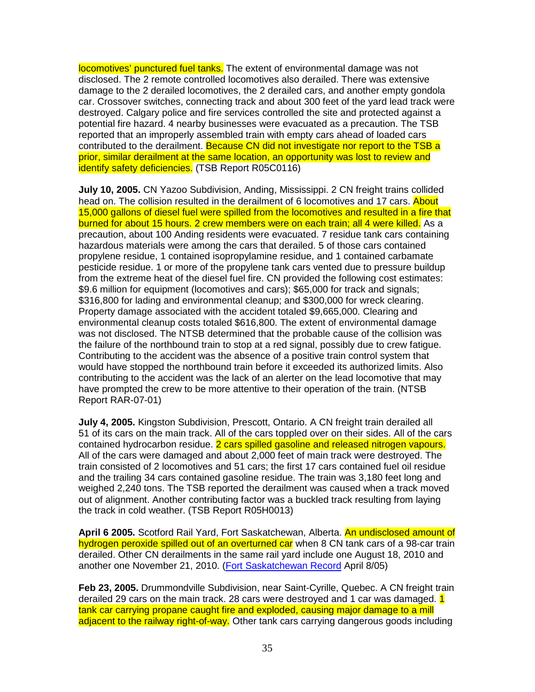locomotives' punctured fuel tanks. The extent of environmental damage was not disclosed. The 2 remote controlled locomotives also derailed. There was extensive damage to the 2 derailed locomotives, the 2 derailed cars, and another empty gondola car. Crossover switches, connecting track and about 300 feet of the yard lead track were destroyed. Calgary police and fire services controlled the site and protected against a potential fire hazard. 4 nearby businesses were evacuated as a precaution. The TSB reported that an improperly assembled train with empty cars ahead of loaded cars contributed to the derailment. Because CN did not investigate nor report to the TSB a prior, similar derailment at the same location, an opportunity was lost to review and identify safety deficiencies. (TSB Report R05C0116)

**July 10, 2005.** CN Yazoo Subdivision, Anding, Mississippi. 2 CN freight trains collided head on. The collision resulted in the derailment of 6 locomotives and 17 cars. About 15,000 gallons of diesel fuel were spilled from the locomotives and resulted in a fire that burned for about 15 hours. 2 crew members were on each train; all 4 were killed. As a precaution, about 100 Anding residents were evacuated. 7 residue tank cars containing hazardous materials were among the cars that derailed. 5 of those cars contained propylene residue, 1 contained isopropylamine residue, and 1 contained carbamate pesticide residue. 1 or more of the propylene tank cars vented due to pressure buildup from the extreme heat of the diesel fuel fire. CN provided the following cost estimates: \$9.6 million for equipment (locomotives and cars); \$65,000 for track and signals; \$316,800 for lading and environmental cleanup; and \$300,000 for wreck clearing. Property damage associated with the accident totaled \$9,665,000. Clearing and environmental cleanup costs totaled \$616,800. The extent of environmental damage was not disclosed. The NTSB determined that the probable cause of the collision was the failure of the northbound train to stop at a red signal, possibly due to crew fatigue. Contributing to the accident was the absence of a positive train control system that would have stopped the northbound train before it exceeded its authorized limits. Also contributing to the accident was the lack of an alerter on the lead locomotive that may have prompted the crew to be more attentive to their operation of the train. (NTSB Report RAR-07-01)

**July 4, 2005.** Kingston Subdivision, Prescott, Ontario. A CN freight train derailed all 51 of its cars on the main track. All of the cars toppled over on their sides. All of the cars contained hydrocarbon residue. 2 cars spilled gasoline and released nitrogen vapours. All of the cars were damaged and about 2,000 feet of main track were destroyed. The train consisted of 2 locomotives and 51 cars; the first 17 cars contained fuel oil residue and the trailing 34 cars contained gasoline residue. The train was 3,180 feet long and weighed 2,240 tons. The TSB reported the derailment was caused when a track moved out of alignment. Another contributing factor was a buckled track resulting from laying the track in cold weather. (TSB Report R05H0013)

**April 6 2005.** Scotford Rail Yard, Fort Saskatchewan, Alberta. An undisclosed amount of hydrogen peroxide spilled out of an overturned car when 8 CN tank cars of a 98-car train derailed. Other CN derailments in the same rail yard include one August 18, 2010 and another one November 21, 2010. (Fort Saskatchewan Record April 8/05)

**Feb 23, 2005.** Drummondville Subdivision, near Saint-Cyrille, Quebec. A CN freight train derailed 29 cars on the main track. 28 cars were destroyed and 1 car was damaged. 1 tank car carrying propane caught fire and exploded, causing major damage to a mill adjacent to the railway right-of-way. Other tank cars carrying dangerous goods including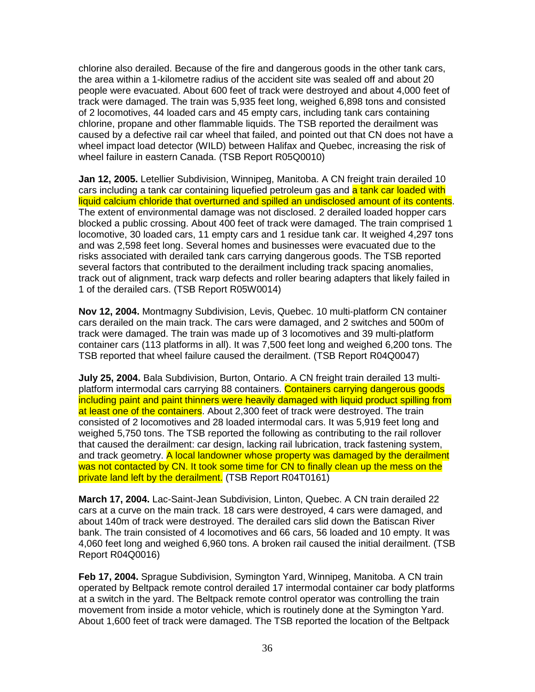chlorine also derailed. Because of the fire and dangerous goods in the other tank cars, the area within a 1-kilometre radius of the accident site was sealed off and about 20 people were evacuated. About 600 feet of track were destroyed and about 4,000 feet of track were damaged. The train was 5,935 feet long, weighed 6,898 tons and consisted of 2 locomotives, 44 loaded cars and 45 empty cars, including tank cars containing chlorine, propane and other flammable liquids. The TSB reported the derailment was caused by a defective rail car wheel that failed, and pointed out that CN does not have a wheel impact load detector (WILD) between Halifax and Quebec, increasing the risk of wheel failure in eastern Canada. (TSB Report R05Q0010)

**Jan 12, 2005.** Letellier Subdivision, Winnipeg, Manitoba. A CN freight train derailed 10 cars including a tank car containing liquefied petroleum gas and a tank car loaded with liquid calcium chloride that overturned and spilled an undisclosed amount of its contents. The extent of environmental damage was not disclosed. 2 derailed loaded hopper cars blocked a public crossing. About 400 feet of track were damaged. The train comprised 1 locomotive, 30 loaded cars, 11 empty cars and 1 residue tank car. It weighed 4,297 tons and was 2,598 feet long. Several homes and businesses were evacuated due to the risks associated with derailed tank cars carrying dangerous goods. The TSB reported several factors that contributed to the derailment including track spacing anomalies, track out of alignment, track warp defects and roller bearing adapters that likely failed in 1 of the derailed cars. (TSB Report R05W0014)

**Nov 12, 2004.** Montmagny Subdivision, Levis, Quebec. 10 multi-platform CN container cars derailed on the main track. The cars were damaged, and 2 switches and 500m of track were damaged. The train was made up of 3 locomotives and 39 multi-platform container cars (113 platforms in all). It was 7,500 feet long and weighed 6,200 tons. The TSB reported that wheel failure caused the derailment. (TSB Report R04Q0047)

**July 25, 2004.** Bala Subdivision, Burton, Ontario. A CN freight train derailed 13 multiplatform intermodal cars carrying 88 containers. Containers carrying dangerous goods including paint and paint thinners were heavily damaged with liquid product spilling from at least one of the containers. About 2,300 feet of track were destroyed. The train consisted of 2 locomotives and 28 loaded intermodal cars. It was 5,919 feet long and weighed 5,750 tons. The TSB reported the following as contributing to the rail rollover that caused the derailment: car design, lacking rail lubrication, track fastening system, and track geometry. A local landowner whose property was damaged by the derailment was not contacted by CN. It took some time for CN to finally clean up the mess on the private land left by the derailment. (TSB Report R04T0161)

**March 17, 2004.** Lac-Saint-Jean Subdivision, Linton, Quebec. A CN train derailed 22 cars at a curve on the main track. 18 cars were destroyed, 4 cars were damaged, and about 140m of track were destroyed. The derailed cars slid down the Batiscan River bank. The train consisted of 4 locomotives and 66 cars, 56 loaded and 10 empty. It was 4,060 feet long and weighed 6,960 tons. A broken rail caused the initial derailment. (TSB Report R04Q0016)

**Feb 17, 2004.** Sprague Subdivision, Symington Yard, Winnipeg, Manitoba. A CN train operated by Beltpack remote control derailed 17 intermodal container car body platforms at a switch in the yard. The Beltpack remote control operator was controlling the train movement from inside a motor vehicle, which is routinely done at the Symington Yard. About 1,600 feet of track were damaged. The TSB reported the location of the Beltpack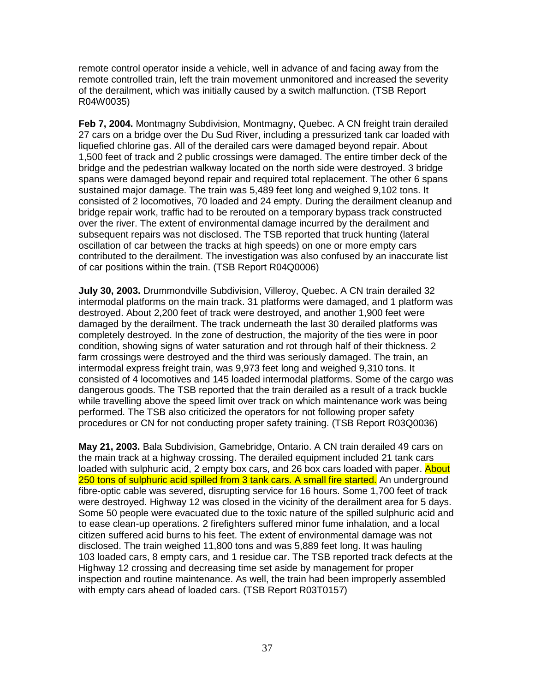remote control operator inside a vehicle, well in advance of and facing away from the remote controlled train, left the train movement unmonitored and increased the severity of the derailment, which was initially caused by a switch malfunction. (TSB Report R04W0035)

**Feb 7, 2004.** Montmagny Subdivision, Montmagny, Quebec. A CN freight train derailed 27 cars on a bridge over the Du Sud River, including a pressurized tank car loaded with liquefied chlorine gas. All of the derailed cars were damaged beyond repair. About 1,500 feet of track and 2 public crossings were damaged. The entire timber deck of the bridge and the pedestrian walkway located on the north side were destroyed. 3 bridge spans were damaged beyond repair and required total replacement. The other 6 spans sustained major damage. The train was 5,489 feet long and weighed 9,102 tons. It consisted of 2 locomotives, 70 loaded and 24 empty. During the derailment cleanup and bridge repair work, traffic had to be rerouted on a temporary bypass track constructed over the river. The extent of environmental damage incurred by the derailment and subsequent repairs was not disclosed. The TSB reported that truck hunting (lateral oscillation of car between the tracks at high speeds) on one or more empty cars contributed to the derailment. The investigation was also confused by an inaccurate list of car positions within the train. (TSB Report R04Q0006)

**July 30, 2003.** Drummondville Subdivision, Villeroy, Quebec. A CN train derailed 32 intermodal platforms on the main track. 31 platforms were damaged, and 1 platform was destroyed. About 2,200 feet of track were destroyed, and another 1,900 feet were damaged by the derailment. The track underneath the last 30 derailed platforms was completely destroyed. In the zone of destruction, the majority of the ties were in poor condition, showing signs of water saturation and rot through half of their thickness. 2 farm crossings were destroyed and the third was seriously damaged. The train, an intermodal express freight train, was 9,973 feet long and weighed 9,310 tons. It consisted of 4 locomotives and 145 loaded intermodal platforms. Some of the cargo was dangerous goods. The TSB reported that the train derailed as a result of a track buckle while travelling above the speed limit over track on which maintenance work was being performed. The TSB also criticized the operators for not following proper safety procedures or CN for not conducting proper safety training. (TSB Report R03Q0036)

**May 21, 2003.** Bala Subdivision, Gamebridge, Ontario. A CN train derailed 49 cars on the main track at a highway crossing. The derailed equipment included 21 tank cars loaded with sulphuric acid, 2 empty box cars, and 26 box cars loaded with paper. About 250 tons of sulphuric acid spilled from 3 tank cars. A small fire started. An underground fibre-optic cable was severed, disrupting service for 16 hours. Some 1,700 feet of track were destroyed. Highway 12 was closed in the vicinity of the derailment area for 5 days. Some 50 people were evacuated due to the toxic nature of the spilled sulphuric acid and to ease clean-up operations. 2 firefighters suffered minor fume inhalation, and a local citizen suffered acid burns to his feet. The extent of environmental damage was not disclosed. The train weighed 11,800 tons and was 5,889 feet long. It was hauling 103 loaded cars, 8 empty cars, and 1 residue car. The TSB reported track defects at the Highway 12 crossing and decreasing time set aside by management for proper inspection and routine maintenance. As well, the train had been improperly assembled with empty cars ahead of loaded cars. (TSB Report R03T0157)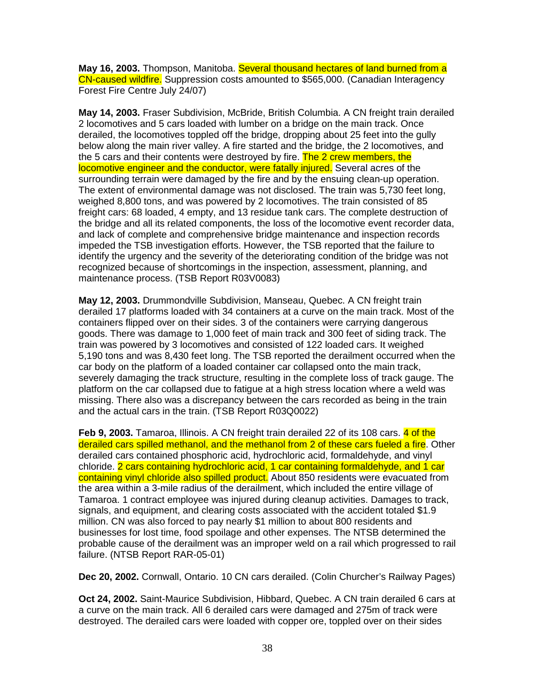**May 16, 2003.** Thompson, Manitoba. Several thousand hectares of land burned from a CN-caused wildfire. Suppression costs amounted to \$565,000. (Canadian Interagency Forest Fire Centre July 24/07)

**May 14, 2003.** Fraser Subdivision, McBride, British Columbia. A CN freight train derailed 2 locomotives and 5 cars loaded with lumber on a bridge on the main track. Once derailed, the locomotives toppled off the bridge, dropping about 25 feet into the gully below along the main river valley. A fire started and the bridge, the 2 locomotives, and the 5 cars and their contents were destroyed by fire. The 2 crew members, the locomotive engineer and the conductor, were fatally injured. Several acres of the surrounding terrain were damaged by the fire and by the ensuing clean-up operation. The extent of environmental damage was not disclosed. The train was 5,730 feet long, weighed 8,800 tons, and was powered by 2 locomotives. The train consisted of 85 freight cars: 68 loaded, 4 empty, and 13 residue tank cars. The complete destruction of the bridge and all its related components, the loss of the locomotive event recorder data, and lack of complete and comprehensive bridge maintenance and inspection records impeded the TSB investigation efforts. However, the TSB reported that the failure to identify the urgency and the severity of the deteriorating condition of the bridge was not recognized because of shortcomings in the inspection, assessment, planning, and maintenance process. (TSB Report R03V0083)

**May 12, 2003.** Drummondville Subdivision, Manseau, Quebec. A CN freight train derailed 17 platforms loaded with 34 containers at a curve on the main track. Most of the containers flipped over on their sides. 3 of the containers were carrying dangerous goods. There was damage to 1,000 feet of main track and 300 feet of siding track. The train was powered by 3 locomotives and consisted of 122 loaded cars. It weighed 5,190 tons and was 8,430 feet long. The TSB reported the derailment occurred when the car body on the platform of a loaded container car collapsed onto the main track, severely damaging the track structure, resulting in the complete loss of track gauge. The platform on the car collapsed due to fatigue at a high stress location where a weld was missing. There also was a discrepancy between the cars recorded as being in the train and the actual cars in the train. (TSB Report R03Q0022)

**Feb 9, 2003.** Tamaroa, Illinois. A CN freight train derailed 22 of its 108 cars. 4 of the derailed cars spilled methanol, and the methanol from 2 of these cars fueled a fire. Other derailed cars contained phosphoric acid, hydrochloric acid, formaldehyde, and vinyl chloride. 2 cars containing hydrochloric acid, 1 car containing formaldehyde, and 1 car containing vinyl chloride also spilled product. About 850 residents were evacuated from the area within a 3-mile radius of the derailment, which included the entire village of Tamaroa. 1 contract employee was injured during cleanup activities. Damages to track, signals, and equipment, and clearing costs associated with the accident totaled \$1.9 million. CN was also forced to pay nearly \$1 million to about 800 residents and businesses for lost time, food spoilage and other expenses. The NTSB determined the probable cause of the derailment was an improper weld on a rail which progressed to rail failure. (NTSB Report RAR-05-01)

**Dec 20, 2002.** Cornwall, Ontario. 10 CN cars derailed. (Colin Churcher's Railway Pages)

**Oct 24, 2002.** Saint-Maurice Subdivision, Hibbard, Quebec. A CN train derailed 6 cars at a curve on the main track. All 6 derailed cars were damaged and 275m of track were destroyed. The derailed cars were loaded with copper ore, toppled over on their sides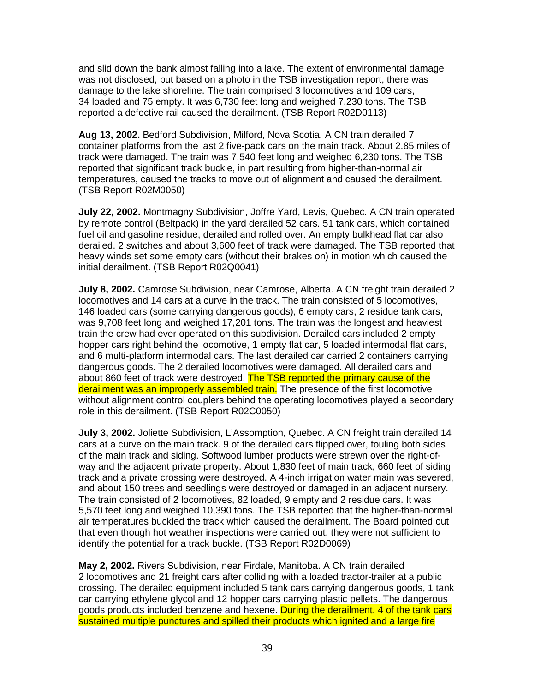and slid down the bank almost falling into a lake. The extent of environmental damage was not disclosed, but based on a photo in the TSB investigation report, there was damage to the lake shoreline. The train comprised 3 locomotives and 109 cars, 34 loaded and 75 empty. It was 6,730 feet long and weighed 7,230 tons. The TSB reported a defective rail caused the derailment. (TSB Report R02D0113)

**Aug 13, 2002.** Bedford Subdivision, Milford, Nova Scotia. A CN train derailed 7 container platforms from the last 2 five-pack cars on the main track. About 2.85 miles of track were damaged. The train was 7,540 feet long and weighed 6,230 tons. The TSB reported that significant track buckle, in part resulting from higher-than-normal air temperatures, caused the tracks to move out of alignment and caused the derailment. (TSB Report R02M0050)

**July 22, 2002.** Montmagny Subdivision, Joffre Yard, Levis, Quebec. A CN train operated by remote control (Beltpack) in the yard derailed 52 cars. 51 tank cars, which contained fuel oil and gasoline residue, derailed and rolled over. An empty bulkhead flat car also derailed. 2 switches and about 3,600 feet of track were damaged. The TSB reported that heavy winds set some empty cars (without their brakes on) in motion which caused the initial derailment. (TSB Report R02Q0041)

**July 8, 2002.** Camrose Subdivision, near Camrose, Alberta. A CN freight train derailed 2 locomotives and 14 cars at a curve in the track. The train consisted of 5 locomotives, 146 loaded cars (some carrying dangerous goods), 6 empty cars, 2 residue tank cars, was 9,708 feet long and weighed 17,201 tons. The train was the longest and heaviest train the crew had ever operated on this subdivision. Derailed cars included 2 empty hopper cars right behind the locomotive, 1 empty flat car, 5 loaded intermodal flat cars, and 6 multi-platform intermodal cars. The last derailed car carried 2 containers carrying dangerous goods. The 2 derailed locomotives were damaged. All derailed cars and about 860 feet of track were destroyed. The TSB reported the primary cause of the derailment was an improperly assembled train. The presence of the first locomotive without alignment control couplers behind the operating locomotives played a secondary role in this derailment. (TSB Report R02C0050)

**July 3, 2002.** Joliette Subdivision, L'Assomption, Quebec. A CN freight train derailed 14 cars at a curve on the main track. 9 of the derailed cars flipped over, fouling both sides of the main track and siding. Softwood lumber products were strewn over the right-ofway and the adjacent private property. About 1,830 feet of main track, 660 feet of siding track and a private crossing were destroyed. A 4-inch irrigation water main was severed, and about 150 trees and seedlings were destroyed or damaged in an adjacent nursery. The train consisted of 2 locomotives, 82 loaded, 9 empty and 2 residue cars. It was 5,570 feet long and weighed 10,390 tons. The TSB reported that the higher-than-normal air temperatures buckled the track which caused the derailment. The Board pointed out that even though hot weather inspections were carried out, they were not sufficient to identify the potential for a track buckle. (TSB Report R02D0069)

**May 2, 2002.** Rivers Subdivision, near Firdale, Manitoba. A CN train derailed 2 locomotives and 21 freight cars after colliding with a loaded tractor-trailer at a public crossing. The derailed equipment included 5 tank cars carrying dangerous goods, 1 tank car carrying ethylene glycol and 12 hopper cars carrying plastic pellets. The dangerous goods products included benzene and hexene. During the derailment, 4 of the tank cars sustained multiple punctures and spilled their products which ignited and a large fire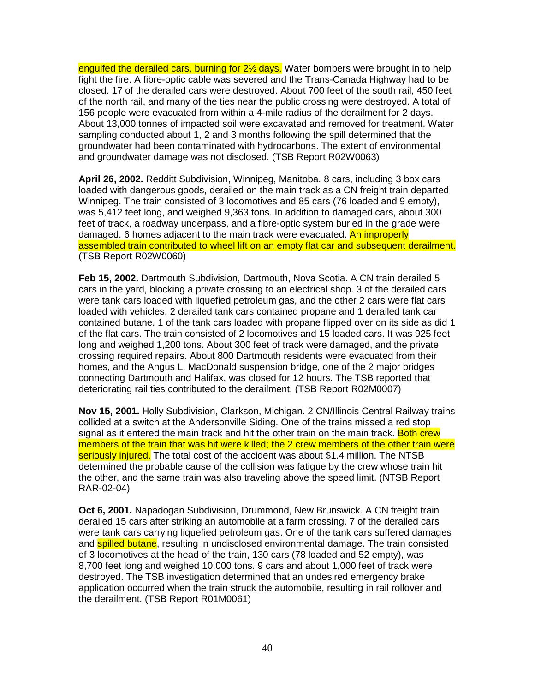engulfed the derailed cars, burning for 2<sup>1/2</sup> days. Water bombers were brought in to help fight the fire. A fibre-optic cable was severed and the Trans-Canada Highway had to be closed. 17 of the derailed cars were destroyed. About 700 feet of the south rail, 450 feet of the north rail, and many of the ties near the public crossing were destroyed. A total of 156 people were evacuated from within a 4-mile radius of the derailment for 2 days. About 13,000 tonnes of impacted soil were excavated and removed for treatment. Water sampling conducted about 1, 2 and 3 months following the spill determined that the groundwater had been contaminated with hydrocarbons. The extent of environmental and groundwater damage was not disclosed. (TSB Report R02W0063)

**April 26, 2002.** Redditt Subdivision, Winnipeg, Manitoba. 8 cars, including 3 box cars loaded with dangerous goods, derailed on the main track as a CN freight train departed Winnipeg. The train consisted of 3 locomotives and 85 cars (76 loaded and 9 empty), was 5,412 feet long, and weighed 9,363 tons. In addition to damaged cars, about 300 feet of track, a roadway underpass, and a fibre-optic system buried in the grade were damaged. 6 homes adjacent to the main track were evacuated. An improperly assembled train contributed to wheel lift on an empty flat car and subsequent derailment. (TSB Report R02W0060)

**Feb 15, 2002.** Dartmouth Subdivision, Dartmouth, Nova Scotia. A CN train derailed 5 cars in the yard, blocking a private crossing to an electrical shop. 3 of the derailed cars were tank cars loaded with liquefied petroleum gas, and the other 2 cars were flat cars loaded with vehicles. 2 derailed tank cars contained propane and 1 derailed tank car contained butane. 1 of the tank cars loaded with propane flipped over on its side as did 1 of the flat cars. The train consisted of 2 locomotives and 15 loaded cars. It was 925 feet long and weighed 1,200 tons. About 300 feet of track were damaged, and the private crossing required repairs. About 800 Dartmouth residents were evacuated from their homes, and the Angus L. MacDonald suspension bridge, one of the 2 major bridges connecting Dartmouth and Halifax, was closed for 12 hours. The TSB reported that deteriorating rail ties contributed to the derailment. (TSB Report R02M0007)

**Nov 15, 2001.** Holly Subdivision, Clarkson, Michigan. 2 CN/Illinois Central Railway trains collided at a switch at the Andersonville Siding. One of the trains missed a red stop signal as it entered the main track and hit the other train on the main track. Both crew members of the train that was hit were killed; the 2 crew members of the other train were seriously injured. The total cost of the accident was about \$1.4 million. The NTSB determined the probable cause of the collision was fatigue by the crew whose train hit the other, and the same train was also traveling above the speed limit. (NTSB Report RAR-02-04)

**Oct 6, 2001.** Napadogan Subdivision, Drummond, New Brunswick. A CN freight train derailed 15 cars after striking an automobile at a farm crossing. 7 of the derailed cars were tank cars carrying liquefied petroleum gas. One of the tank cars suffered damages and **spilled butane**, resulting in undisclosed environmental damage. The train consisted of 3 locomotives at the head of the train, 130 cars (78 loaded and 52 empty), was 8,700 feet long and weighed 10,000 tons. 9 cars and about 1,000 feet of track were destroyed. The TSB investigation determined that an undesired emergency brake application occurred when the train struck the automobile, resulting in rail rollover and the derailment. (TSB Report R01M0061)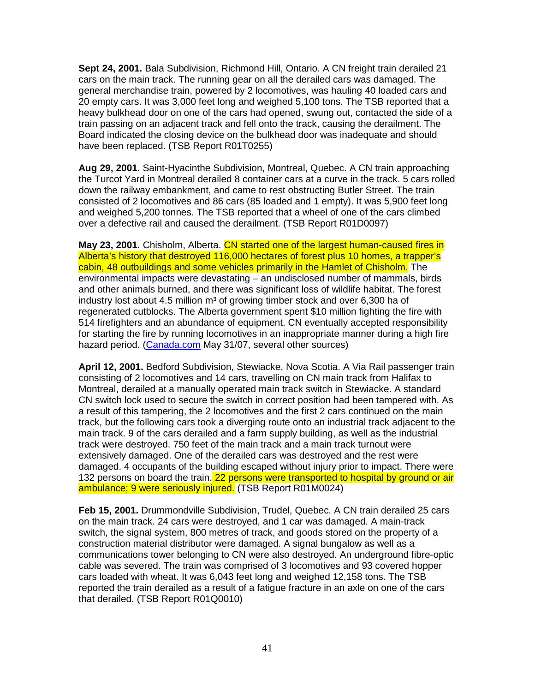**Sept 24, 2001.** Bala Subdivision, Richmond Hill, Ontario. A CN freight train derailed 21 cars on the main track. The running gear on all the derailed cars was damaged. The general merchandise train, powered by 2 locomotives, was hauling 40 loaded cars and 20 empty cars. It was 3,000 feet long and weighed 5,100 tons. The TSB reported that a heavy bulkhead door on one of the cars had opened, swung out, contacted the side of a train passing on an adjacent track and fell onto the track, causing the derailment. The Board indicated the closing device on the bulkhead door was inadequate and should have been replaced. (TSB Report R01T0255)

**Aug 29, 2001.** Saint-Hyacinthe Subdivision, Montreal, Quebec. A CN train approaching the Turcot Yard in Montreal derailed 8 container cars at a curve in the track. 5 cars rolled down the railway embankment, and came to rest obstructing Butler Street. The train consisted of 2 locomotives and 86 cars (85 loaded and 1 empty). It was 5,900 feet long and weighed 5,200 tonnes. The TSB reported that a wheel of one of the cars climbed over a defective rail and caused the derailment. (TSB Report R01D0097)

**May 23, 2001.** Chisholm, Alberta. CN started one of the largest human-caused fires in Alberta's history that destroyed 116,000 hectares of forest plus 10 homes, a trapper's cabin, 48 outbuildings and some vehicles primarily in the Hamlet of Chisholm. The environmental impacts were devastating – an undisclosed number of mammals, birds and other animals burned, and there was significant loss of wildlife habitat. The forest industry lost about 4.5 million  $m<sup>3</sup>$  of growing timber stock and over 6,300 ha of regenerated cutblocks. The Alberta government spent \$10 million fighting the fire with 514 firefighters and an abundance of equipment. CN eventually accepted responsibility for starting the fire by running locomotives in an inappropriate manner during a high fire hazard period. (Canada.com May 31/07, several other sources)

**April 12, 2001.** Bedford Subdivision, Stewiacke, Nova Scotia. A Via Rail passenger train consisting of 2 locomotives and 14 cars, travelling on CN main track from Halifax to Montreal, derailed at a manually operated main track switch in Stewiacke. A standard CN switch lock used to secure the switch in correct position had been tampered with. As a result of this tampering, the 2 locomotives and the first 2 cars continued on the main track, but the following cars took a diverging route onto an industrial track adjacent to the main track. 9 of the cars derailed and a farm supply building, as well as the industrial track were destroyed. 750 feet of the main track and a main track turnout were extensively damaged. One of the derailed cars was destroyed and the rest were damaged. 4 occupants of the building escaped without injury prior to impact. There were 132 persons on board the train. 22 persons were transported to hospital by ground or air ambulance; 9 were seriously injured. (TSB Report R01M0024)

**Feb 15, 2001.** Drummondville Subdivision, Trudel, Quebec. A CN train derailed 25 cars on the main track. 24 cars were destroyed, and 1 car was damaged. A main-track switch, the signal system, 800 metres of track, and goods stored on the property of a construction material distributor were damaged. A signal bungalow as well as a communications tower belonging to CN were also destroyed. An underground fibre-optic cable was severed. The train was comprised of 3 locomotives and 93 covered hopper cars loaded with wheat. It was 6,043 feet long and weighed 12,158 tons. The TSB reported the train derailed as a result of a fatigue fracture in an axle on one of the cars that derailed. (TSB Report R01Q0010)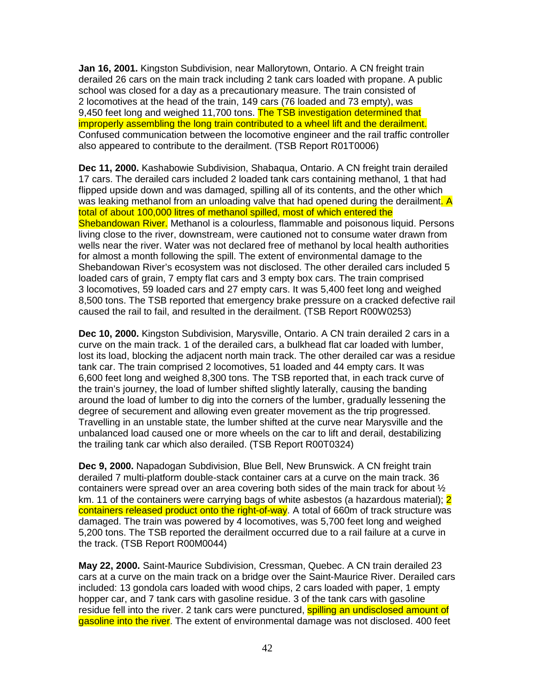**Jan 16, 2001.** Kingston Subdivision, near Mallorytown, Ontario. A CN freight train derailed 26 cars on the main track including 2 tank cars loaded with propane. A public school was closed for a day as a precautionary measure. The train consisted of 2 locomotives at the head of the train, 149 cars (76 loaded and 73 empty), was 9.450 feet long and weighed 11,700 tons. The TSB investigation determined that improperly assembling the long train contributed to a wheel lift and the derailment. Confused communication between the locomotive engineer and the rail traffic controller also appeared to contribute to the derailment. (TSB Report R01T0006)

**Dec 11, 2000.** Kashabowie Subdivision, Shabaqua, Ontario. A CN freight train derailed 17 cars. The derailed cars included 2 loaded tank cars containing methanol, 1 that had flipped upside down and was damaged, spilling all of its contents, and the other which was leaking methanol from an unloading valve that had opened during the derailment. A total of about 100,000 litres of methanol spilled, most of which entered the Shebandowan River. Methanol is a colourless, flammable and poisonous liquid. Persons living close to the river, downstream, were cautioned not to consume water drawn from wells near the river. Water was not declared free of methanol by local health authorities for almost a month following the spill. The extent of environmental damage to the Shebandowan River's ecosystem was not disclosed. The other derailed cars included 5 loaded cars of grain, 7 empty flat cars and 3 empty box cars. The train comprised 3 locomotives, 59 loaded cars and 27 empty cars. It was 5,400 feet long and weighed 8,500 tons. The TSB reported that emergency brake pressure on a cracked defective rail caused the rail to fail, and resulted in the derailment. (TSB Report R00W0253)

**Dec 10, 2000.** Kingston Subdivision, Marysville, Ontario. A CN train derailed 2 cars in a curve on the main track. 1 of the derailed cars, a bulkhead flat car loaded with lumber, lost its load, blocking the adjacent north main track. The other derailed car was a residue tank car. The train comprised 2 locomotives, 51 loaded and 44 empty cars. It was 6,600 feet long and weighed 8,300 tons. The TSB reported that, in each track curve of the train's journey, the load of lumber shifted slightly laterally, causing the banding around the load of lumber to dig into the corners of the lumber, gradually lessening the degree of securement and allowing even greater movement as the trip progressed. Travelling in an unstable state, the lumber shifted at the curve near Marysville and the unbalanced load caused one or more wheels on the car to lift and derail, destabilizing the trailing tank car which also derailed. (TSB Report R00T0324)

**Dec 9, 2000.** Napadogan Subdivision, Blue Bell, New Brunswick. A CN freight train derailed 7 multi-platform double-stack container cars at a curve on the main track. 36 containers were spread over an area covering both sides of the main track for about  $\frac{1}{2}$ km. 11 of the containers were carrying bags of white asbestos (a hazardous material); 2 containers released product onto the right-of-way. A total of 660m of track structure was damaged. The train was powered by 4 locomotives, was 5,700 feet long and weighed 5,200 tons. The TSB reported the derailment occurred due to a rail failure at a curve in the track. (TSB Report R00M0044)

**May 22, 2000.** Saint-Maurice Subdivision, Cressman, Quebec. A CN train derailed 23 cars at a curve on the main track on a bridge over the Saint-Maurice River. Derailed cars included: 13 gondola cars loaded with wood chips, 2 cars loaded with paper, 1 empty hopper car, and 7 tank cars with gasoline residue. 3 of the tank cars with gasoline residue fell into the river. 2 tank cars were punctured, **spilling an undisclosed amount of** gasoline into the river. The extent of environmental damage was not disclosed. 400 feet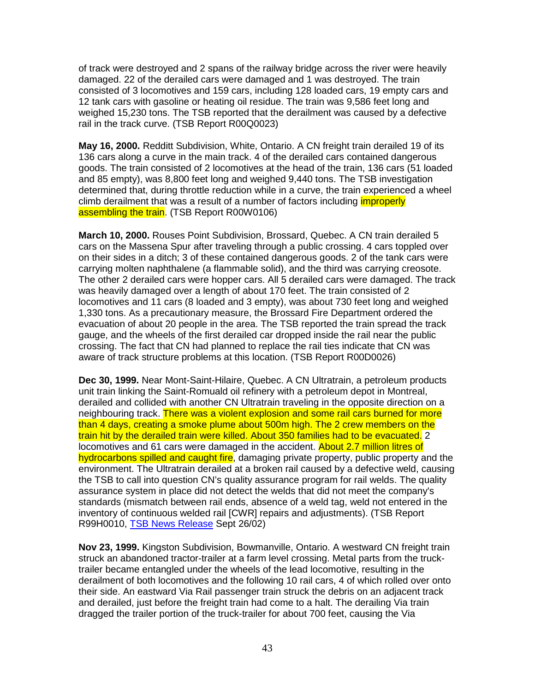of track were destroyed and 2 spans of the railway bridge across the river were heavily damaged. 22 of the derailed cars were damaged and 1 was destroyed. The train consisted of 3 locomotives and 159 cars, including 128 loaded cars, 19 empty cars and 12 tank cars with gasoline or heating oil residue. The train was 9,586 feet long and weighed 15,230 tons. The TSB reported that the derailment was caused by a defective rail in the track curve. (TSB Report R00Q0023)

**May 16, 2000.** Redditt Subdivision, White, Ontario. A CN freight train derailed 19 of its 136 cars along a curve in the main track. 4 of the derailed cars contained dangerous goods. The train consisted of 2 locomotives at the head of the train, 136 cars (51 loaded and 85 empty), was 8,800 feet long and weighed 9,440 tons. The TSB investigation determined that, during throttle reduction while in a curve, the train experienced a wheel climb derailment that was a result of a number of factors including *improperly* assembling the train. (TSB Report R00W0106)

**March 10, 2000.** Rouses Point Subdivision, Brossard, Quebec. A CN train derailed 5 cars on the Massena Spur after traveling through a public crossing. 4 cars toppled over on their sides in a ditch; 3 of these contained dangerous goods. 2 of the tank cars were carrying molten naphthalene (a flammable solid), and the third was carrying creosote. The other 2 derailed cars were hopper cars. All 5 derailed cars were damaged. The track was heavily damaged over a length of about 170 feet. The train consisted of 2 locomotives and 11 cars (8 loaded and 3 empty), was about 730 feet long and weighed 1,330 tons. As a precautionary measure, the Brossard Fire Department ordered the evacuation of about 20 people in the area. The TSB reported the train spread the track gauge, and the wheels of the first derailed car dropped inside the rail near the public crossing. The fact that CN had planned to replace the rail ties indicate that CN was aware of track structure problems at this location. (TSB Report R00D0026)

**Dec 30, 1999.** Near Mont-Saint-Hilaire, Quebec. A CN Ultratrain, a petroleum products unit train linking the Saint-Romuald oil refinery with a petroleum depot in Montreal, derailed and collided with another CN Ultratrain traveling in the opposite direction on a neighbouring track. There was a violent explosion and some rail cars burned for more than 4 days, creating a smoke plume about 500m high. The 2 crew members on the train hit by the derailed train were killed. About 350 families had to be evacuated. 2 locomotives and 61 cars were damaged in the accident. About 2.7 million litres of hydrocarbons spilled and caught fire, damaging private property, public property and the environment. The Ultratrain derailed at a broken rail caused by a defective weld, causing the TSB to call into question CN's quality assurance program for rail welds. The quality assurance system in place did not detect the welds that did not meet the company's standards (mismatch between rail ends, absence of a weld tag, weld not entered in the inventory of continuous welded rail [CWR] repairs and adjustments). (TSB Report R99H0010, TSB News Release Sept 26/02)

**Nov 23, 1999.** Kingston Subdivision, Bowmanville, Ontario. A westward CN freight train struck an abandoned tractor-trailer at a farm level crossing. Metal parts from the trucktrailer became entangled under the wheels of the lead locomotive, resulting in the derailment of both locomotives and the following 10 rail cars, 4 of which rolled over onto their side. An eastward Via Rail passenger train struck the debris on an adjacent track and derailed, just before the freight train had come to a halt. The derailing Via train dragged the trailer portion of the truck-trailer for about 700 feet, causing the Via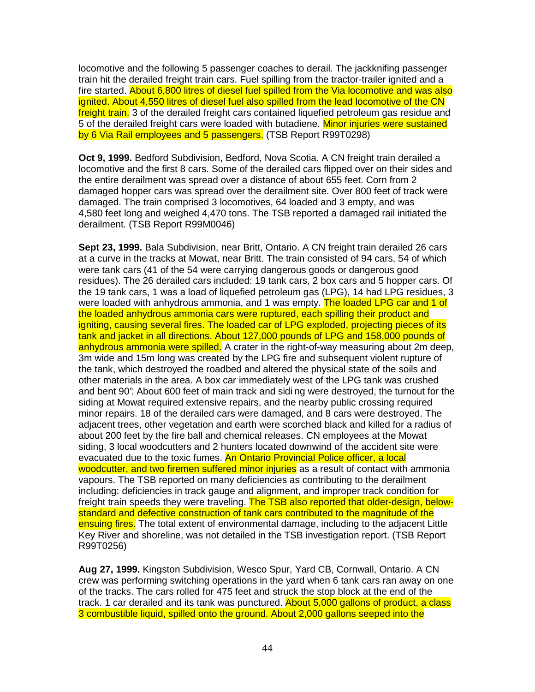locomotive and the following 5 passenger coaches to derail. The jackknifing passenger train hit the derailed freight train cars. Fuel spilling from the tractor-trailer ignited and a fire started. About 6,800 litres of diesel fuel spilled from the Via locomotive and was also ignited. About 4,550 litres of diesel fuel also spilled from the lead locomotive of the CN freight train. 3 of the derailed freight cars contained liquefied petroleum gas residue and 5 of the derailed freight cars were loaded with butadiene. Minor injuries were sustained by 6 Via Rail employees and 5 passengers. (TSB Report R99T0298)

**Oct 9, 1999.** Bedford Subdivision, Bedford, Nova Scotia. A CN freight train derailed a locomotive and the first 8 cars. Some of the derailed cars flipped over on their sides and the entire derailment was spread over a distance of about 655 feet. Corn from 2 damaged hopper cars was spread over the derailment site. Over 800 feet of track were damaged. The train comprised 3 locomotives, 64 loaded and 3 empty, and was 4,580 feet long and weighed 4,470 tons. The TSB reported a damaged rail initiated the derailment. (TSB Report R99M0046)

**Sept 23, 1999.** Bala Subdivision, near Britt, Ontario. A CN freight train derailed 26 cars at a curve in the tracks at Mowat, near Britt. The train consisted of 94 cars, 54 of which were tank cars (41 of the 54 were carrying dangerous goods or dangerous good residues). The 26 derailed cars included: 19 tank cars, 2 box cars and 5 hopper cars. Of the 19 tank cars, 1 was a load of liquefied petroleum gas (LPG), 14 had LPG residues, 3 were loaded with anhydrous ammonia, and 1 was empty. The loaded LPG car and 1 of the loaded anhydrous ammonia cars were ruptured, each spilling their product and igniting, causing several fires. The loaded car of LPG exploded, projecting pieces of its tank and jacket in all directions. About 127,000 pounds of LPG and 158,000 pounds of anhydrous ammonia were spilled. A crater in the right-of-way measuring about 2m deep. 3m wide and 15m long was created by the LPG fire and subsequent violent rupture of the tank, which destroyed the roadbed and altered the physical state of the soils and other materials in the area. A box car immediately west of the LPG tank was crushed and bent 90°. About 600 feet of main track and sidi ng were destroyed, the turnout for the siding at Mowat required extensive repairs, and the nearby public crossing required minor repairs. 18 of the derailed cars were damaged, and 8 cars were destroyed. The adjacent trees, other vegetation and earth were scorched black and killed for a radius of about 200 feet by the fire ball and chemical releases. CN employees at the Mowat siding, 3 local woodcutters and 2 hunters located downwind of the accident site were evacuated due to the toxic fumes. An Ontario Provincial Police officer, a local woodcutter, and two firemen suffered minor injuries as a result of contact with ammonia vapours. The TSB reported on many deficiencies as contributing to the derailment including: deficiencies in track gauge and alignment, and improper track condition for freight train speeds they were traveling. The TSB also reported that older-design, belowstandard and defective construction of tank cars contributed to the magnitude of the ensuing fires. The total extent of environmental damage, including to the adjacent Little Key River and shoreline, was not detailed in the TSB investigation report. (TSB Report R99T0256)

**Aug 27, 1999.** Kingston Subdivision, Wesco Spur, Yard CB, Cornwall, Ontario. A CN crew was performing switching operations in the yard when 6 tank cars ran away on one of the tracks. The cars rolled for 475 feet and struck the stop block at the end of the track. 1 car derailed and its tank was punctured. About 5,000 gallons of product, a class 3 combustible liquid, spilled onto the ground. About 2,000 gallons seeped into the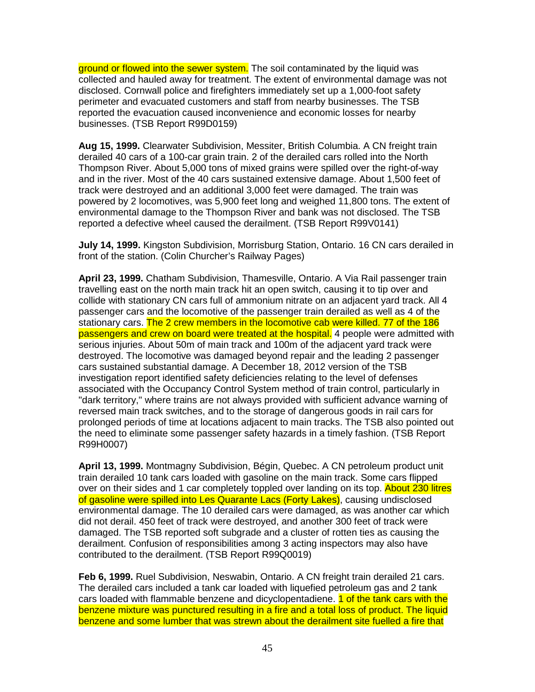ground or flowed into the sewer system. The soil contaminated by the liquid was collected and hauled away for treatment. The extent of environmental damage was not disclosed. Cornwall police and firefighters immediately set up a 1,000-foot safety perimeter and evacuated customers and staff from nearby businesses. The TSB reported the evacuation caused inconvenience and economic losses for nearby businesses. (TSB Report R99D0159)

**Aug 15, 1999.** Clearwater Subdivision, Messiter, British Columbia. A CN freight train derailed 40 cars of a 100-car grain train. 2 of the derailed cars rolled into the North Thompson River. About 5,000 tons of mixed grains were spilled over the right-of-way and in the river. Most of the 40 cars sustained extensive damage. About 1,500 feet of track were destroyed and an additional 3,000 feet were damaged. The train was powered by 2 locomotives, was 5,900 feet long and weighed 11,800 tons. The extent of environmental damage to the Thompson River and bank was not disclosed. The TSB reported a defective wheel caused the derailment. (TSB Report R99V0141)

**July 14, 1999.** Kingston Subdivision, Morrisburg Station, Ontario. 16 CN cars derailed in front of the station. (Colin Churcher's Railway Pages)

**April 23, 1999.** Chatham Subdivision, Thamesville, Ontario. A Via Rail passenger train travelling east on the north main track hit an open switch, causing it to tip over and collide with stationary CN cars full of ammonium nitrate on an adjacent yard track. All 4 passenger cars and the locomotive of the passenger train derailed as well as 4 of the stationary cars. The 2 crew members in the locomotive cab were killed. 77 of the 186 passengers and crew on board were treated at the hospital. 4 people were admitted with serious injuries. About 50m of main track and 100m of the adjacent yard track were destroyed. The locomotive was damaged beyond repair and the leading 2 passenger cars sustained substantial damage. A December 18, 2012 version of the TSB investigation report identified safety deficiencies relating to the level of defenses associated with the Occupancy Control System method of train control, particularly in "dark territory," where trains are not always provided with sufficient advance warning of reversed main track switches, and to the storage of dangerous goods in rail cars for prolonged periods of time at locations adjacent to main tracks. The TSB also pointed out the need to eliminate some passenger safety hazards in a timely fashion. (TSB Report R99H0007)

**April 13, 1999.** Montmagny Subdivision, Bégin, Quebec. A CN petroleum product unit train derailed 10 tank cars loaded with gasoline on the main track. Some cars flipped over on their sides and 1 car completely toppled over landing on its top. About 230 litres of gasoline were spilled into Les Quarante Lacs (Forty Lakes), causing undisclosed environmental damage. The 10 derailed cars were damaged, as was another car which did not derail. 450 feet of track were destroyed, and another 300 feet of track were damaged. The TSB reported soft subgrade and a cluster of rotten ties as causing the derailment. Confusion of responsibilities among 3 acting inspectors may also have contributed to the derailment. (TSB Report R99Q0019)

**Feb 6, 1999.** Ruel Subdivision, Neswabin, Ontario. A CN freight train derailed 21 cars. The derailed cars included a tank car loaded with liquefied petroleum gas and 2 tank cars loaded with flammable benzene and dicyclopentadiene. **1 of the tank cars with the** benzene mixture was punctured resulting in a fire and a total loss of product. The liquid benzene and some lumber that was strewn about the derailment site fuelled a fire that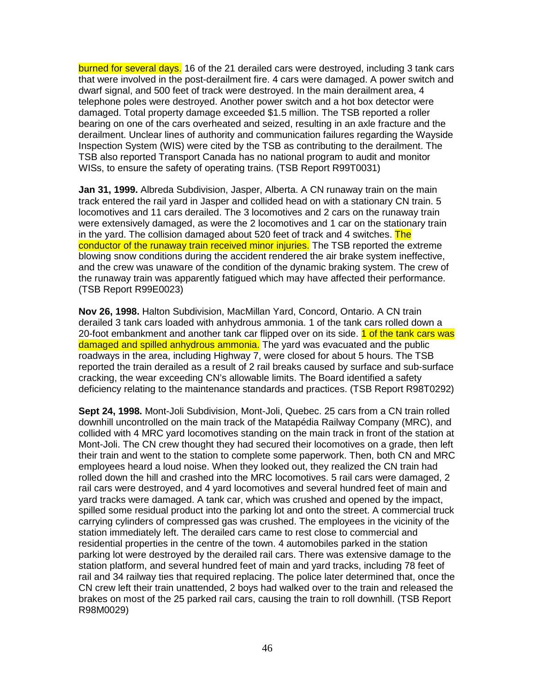burned for several days. 16 of the 21 derailed cars were destroyed, including 3 tank cars that were involved in the post-derailment fire. 4 cars were damaged. A power switch and dwarf signal, and 500 feet of track were destroyed. In the main derailment area, 4 telephone poles were destroyed. Another power switch and a hot box detector were damaged. Total property damage exceeded \$1.5 million. The TSB reported a roller bearing on one of the cars overheated and seized, resulting in an axle fracture and the derailment. Unclear lines of authority and communication failures regarding the Wayside Inspection System (WIS) were cited by the TSB as contributing to the derailment. The TSB also reported Transport Canada has no national program to audit and monitor WISs, to ensure the safety of operating trains. (TSB Report R99T0031)

**Jan 31, 1999.** Albreda Subdivision, Jasper, Alberta. A CN runaway train on the main track entered the rail yard in Jasper and collided head on with a stationary CN train. 5 locomotives and 11 cars derailed. The 3 locomotives and 2 cars on the runaway train were extensively damaged, as were the 2 locomotives and 1 car on the stationary train in the yard. The collision damaged about 520 feet of track and 4 switches. The conductor of the runaway train received minor injuries. The TSB reported the extreme blowing snow conditions during the accident rendered the air brake system ineffective, and the crew was unaware of the condition of the dynamic braking system. The crew of the runaway train was apparently fatigued which may have affected their performance. (TSB Report R99E0023)

**Nov 26, 1998.** Halton Subdivision, MacMillan Yard, Concord, Ontario. A CN train derailed 3 tank cars loaded with anhydrous ammonia. 1 of the tank cars rolled down a 20-foot embankment and another tank car flipped over on its side. 1 of the tank cars was damaged and spilled anhydrous ammonia. The yard was evacuated and the public roadways in the area, including Highway 7, were closed for about 5 hours. The TSB reported the train derailed as a result of 2 rail breaks caused by surface and sub-surface cracking, the wear exceeding CN's allowable limits. The Board identified a safety deficiency relating to the maintenance standards and practices. (TSB Report R98T0292)

**Sept 24, 1998.** Mont-Joli Subdivision, Mont-Joli, Quebec. 25 cars from a CN train rolled downhill uncontrolled on the main track of the Matapédia Railway Company (MRC), and collided with 4 MRC yard locomotives standing on the main track in front of the station at Mont-Joli. The CN crew thought they had secured their locomotives on a grade, then left their train and went to the station to complete some paperwork. Then, both CN and MRC employees heard a loud noise. When they looked out, they realized the CN train had rolled down the hill and crashed into the MRC locomotives. 5 rail cars were damaged, 2 rail cars were destroyed, and 4 yard locomotives and several hundred feet of main and yard tracks were damaged. A tank car, which was crushed and opened by the impact, spilled some residual product into the parking lot and onto the street. A commercial truck carrying cylinders of compressed gas was crushed. The employees in the vicinity of the station immediately left. The derailed cars came to rest close to commercial and residential properties in the centre of the town. 4 automobiles parked in the station parking lot were destroyed by the derailed rail cars. There was extensive damage to the station platform, and several hundred feet of main and yard tracks, including 78 feet of rail and 34 railway ties that required replacing. The police later determined that, once the CN crew left their train unattended, 2 boys had walked over to the train and released the brakes on most of the 25 parked rail cars, causing the train to roll downhill. (TSB Report R98M0029)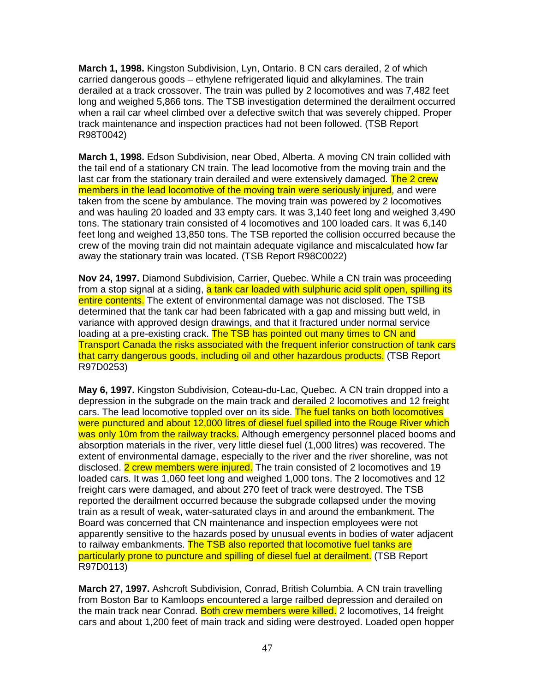**March 1, 1998.** Kingston Subdivision, Lyn, Ontario. 8 CN cars derailed, 2 of which carried dangerous goods – ethylene refrigerated liquid and alkylamines. The train derailed at a track crossover. The train was pulled by 2 locomotives and was 7,482 feet long and weighed 5,866 tons. The TSB investigation determined the derailment occurred when a rail car wheel climbed over a defective switch that was severely chipped. Proper track maintenance and inspection practices had not been followed. (TSB Report R98T0042)

**March 1, 1998.** Edson Subdivision, near Obed, Alberta. A moving CN train collided with the tail end of a stationary CN train. The lead locomotive from the moving train and the last car from the stationary train derailed and were extensively damaged. The 2 crew members in the lead locomotive of the moving train were seriously injured, and were taken from the scene by ambulance. The moving train was powered by 2 locomotives and was hauling 20 loaded and 33 empty cars. It was 3,140 feet long and weighed 3,490 tons. The stationary train consisted of 4 locomotives and 100 loaded cars. It was 6,140 feet long and weighed 13,850 tons. The TSB reported the collision occurred because the crew of the moving train did not maintain adequate vigilance and miscalculated how far away the stationary train was located. (TSB Report R98C0022)

**Nov 24, 1997.** Diamond Subdivision, Carrier, Quebec. While a CN train was proceeding from a stop signal at a siding, a tank car loaded with sulphuric acid split open, spilling its entire contents. The extent of environmental damage was not disclosed. The TSB determined that the tank car had been fabricated with a gap and missing butt weld, in variance with approved design drawings, and that it fractured under normal service loading at a pre-existing crack. The TSB has pointed out many times to CN and Transport Canada the risks associated with the frequent inferior construction of tank cars that carry dangerous goods, including oil and other hazardous products. (TSB Report R97D0253)

**May 6, 1997.** Kingston Subdivision, Coteau-du-Lac, Quebec. A CN train dropped into a depression in the subgrade on the main track and derailed 2 locomotives and 12 freight cars. The lead locomotive toppled over on its side. The fuel tanks on both locomotives were punctured and about 12,000 litres of diesel fuel spilled into the Rouge River which was only 10m from the railway tracks. Although emergency personnel placed booms and absorption materials in the river, very little diesel fuel (1,000 litres) was recovered. The extent of environmental damage, especially to the river and the river shoreline, was not disclosed. 2 crew members were injured. The train consisted of 2 locomotives and 19 loaded cars. It was 1,060 feet long and weighed 1,000 tons. The 2 locomotives and 12 freight cars were damaged, and about 270 feet of track were destroyed. The TSB reported the derailment occurred because the subgrade collapsed under the moving train as a result of weak, water-saturated clays in and around the embankment. The Board was concerned that CN maintenance and inspection employees were not apparently sensitive to the hazards posed by unusual events in bodies of water adjacent to railway embankments. The TSB also reported that locomotive fuel tanks are particularly prone to puncture and spilling of diesel fuel at derailment. (TSB Report R97D0113)

**March 27, 1997.** Ashcroft Subdivision, Conrad, British Columbia. A CN train travelling from Boston Bar to Kamloops encountered a large railbed depression and derailed on the main track near Conrad. Both crew members were killed. 2 locomotives, 14 freight cars and about 1,200 feet of main track and siding were destroyed. Loaded open hopper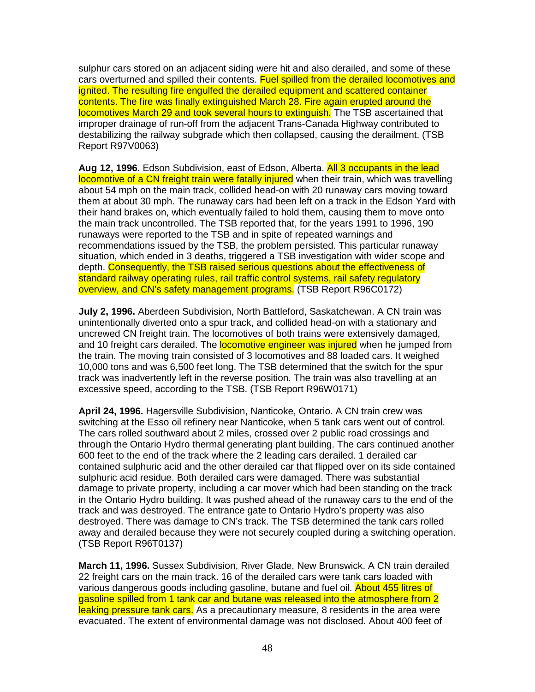sulphur cars stored on an adjacent siding were hit and also derailed, and some of these cars overturned and spilled their contents. Fuel spilled from the derailed locomotives and ignited. The resulting fire engulfed the derailed equipment and scattered container contents. The fire was finally extinguished March 28. Fire again erupted around the locomotives March 29 and took several hours to extinguish. The TSB ascertained that improper drainage of run-off from the adjacent Trans-Canada Highway contributed to destabilizing the railway subgrade which then collapsed, causing the derailment. (TSB Report R97V0063)

**Aug 12, 1996.** Edson Subdivision, east of Edson, Alberta. All 3 occupants in the lead locomotive of a CN freight train were fatally injured when their train, which was travelling about 54 mph on the main track, collided head-on with 20 runaway cars moving toward them at about 30 mph. The runaway cars had been left on a track in the Edson Yard with their hand brakes on, which eventually failed to hold them, causing them to move onto the main track uncontrolled. The TSB reported that, for the years 1991 to 1996, 190 runaways were reported to the TSB and in spite of repeated warnings and recommendations issued by the TSB, the problem persisted. This particular runaway situation, which ended in 3 deaths, triggered a TSB investigation with wider scope and depth. Consequently, the TSB raised serious questions about the effectiveness of standard railway operating rules, rail traffic control systems, rail safety regulatory overview, and CN's safety management programs. (TSB Report R96C0172)

**July 2, 1996.** Aberdeen Subdivision, North Battleford, Saskatchewan. A CN train was unintentionally diverted onto a spur track, and collided head-on with a stationary and uncrewed CN freight train. The locomotives of both trains were extensively damaged, and 10 freight cars derailed. The **locomotive engineer was injured** when he jumped from the train. The moving train consisted of 3 locomotives and 88 loaded cars. It weighed 10,000 tons and was 6,500 feet long. The TSB determined that the switch for the spur track was inadvertently left in the reverse position. The train was also travelling at an excessive speed, according to the TSB. (TSB Report R96W0171)

**April 24, 1996.** Hagersville Subdivision, Nanticoke, Ontario. A CN train crew was switching at the Esso oil refinery near Nanticoke, when 5 tank cars went out of control. The cars rolled southward about 2 miles, crossed over 2 public road crossings and through the Ontario Hydro thermal generating plant building. The cars continued another 600 feet to the end of the track where the 2 leading cars derailed. 1 derailed car contained sulphuric acid and the other derailed car that flipped over on its side contained sulphuric acid residue. Both derailed cars were damaged. There was substantial damage to private property, including a car mover which had been standing on the track in the Ontario Hydro building. It was pushed ahead of the runaway cars to the end of the track and was destroyed. The entrance gate to Ontario Hydro's property was also destroyed. There was damage to CN's track. The TSB determined the tank cars rolled away and derailed because they were not securely coupled during a switching operation. (TSB Report R96T0137)

**March 11, 1996.** Sussex Subdivision, River Glade, New Brunswick. A CN train derailed 22 freight cars on the main track. 16 of the derailed cars were tank cars loaded with various dangerous goods including gasoline, butane and fuel oil. About 455 litres of gasoline spilled from 1 tank car and butane was released into the atmosphere from 2 leaking pressure tank cars. As a precautionary measure, 8 residents in the area were evacuated. The extent of environmental damage was not disclosed. About 400 feet of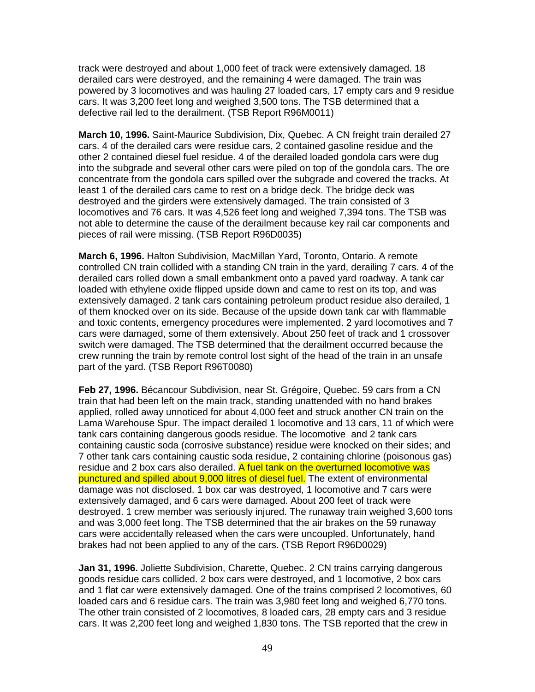track were destroyed and about 1,000 feet of track were extensively damaged. 18 derailed cars were destroyed, and the remaining 4 were damaged. The train was powered by 3 locomotives and was hauling 27 loaded cars, 17 empty cars and 9 residue cars. It was 3,200 feet long and weighed 3,500 tons. The TSB determined that a defective rail led to the derailment. (TSB Report R96M0011)

**March 10, 1996.** Saint-Maurice Subdivision, Dix, Quebec. A CN freight train derailed 27 cars. 4 of the derailed cars were residue cars, 2 contained gasoline residue and the other 2 contained diesel fuel residue. 4 of the derailed loaded gondola cars were dug into the subgrade and several other cars were piled on top of the gondola cars. The ore concentrate from the gondola cars spilled over the subgrade and covered the tracks. At least 1 of the derailed cars came to rest on a bridge deck. The bridge deck was destroyed and the girders were extensively damaged. The train consisted of 3 locomotives and 76 cars. It was 4,526 feet long and weighed 7,394 tons. The TSB was not able to determine the cause of the derailment because key rail car components and pieces of rail were missing. (TSB Report R96D0035)

**March 6, 1996.** Halton Subdivision, MacMillan Yard, Toronto, Ontario. A remote controlled CN train collided with a standing CN train in the yard, derailing 7 cars. 4 of the derailed cars rolled down a small embankment onto a paved yard roadway. A tank car loaded with ethylene oxide flipped upside down and came to rest on its top, and was extensively damaged. 2 tank cars containing petroleum product residue also derailed, 1 of them knocked over on its side. Because of the upside down tank car with flammable and toxic contents, emergency procedures were implemented. 2 yard locomotives and 7 cars were damaged, some of them extensively. About 250 feet of track and 1 crossover switch were damaged. The TSB determined that the derailment occurred because the crew running the train by remote control lost sight of the head of the train in an unsafe part of the yard. (TSB Report R96T0080)

**Feb 27, 1996.** Bécancour Subdivision, near St. Grégoire, Quebec. 59 cars from a CN train that had been left on the main track, standing unattended with no hand brakes applied, rolled away unnoticed for about 4,000 feet and struck another CN train on the Lama Warehouse Spur. The impact derailed 1 locomotive and 13 cars, 11 of which were tank cars containing dangerous goods residue. The locomotive and 2 tank cars containing caustic soda (corrosive substance) residue were knocked on their sides; and 7 other tank cars containing caustic soda residue, 2 containing chlorine (poisonous gas) residue and 2 box cars also derailed. A fuel tank on the overturned locomotive was punctured and spilled about 9,000 litres of diesel fuel. The extent of environmental damage was not disclosed. 1 box car was destroyed, 1 locomotive and 7 cars were extensively damaged, and 6 cars were damaged. About 200 feet of track were destroyed. 1 crew member was seriously injured. The runaway train weighed 3,600 tons and was 3,000 feet long. The TSB determined that the air brakes on the 59 runaway cars were accidentally released when the cars were uncoupled. Unfortunately, hand brakes had not been applied to any of the cars. (TSB Report R96D0029)

**Jan 31, 1996.** Joliette Subdivision, Charette, Quebec. 2 CN trains carrying dangerous goods residue cars collided. 2 box cars were destroyed, and 1 locomotive, 2 box cars and 1 flat car were extensively damaged. One of the trains comprised 2 locomotives, 60 loaded cars and 6 residue cars. The train was 3,980 feet long and weighed 6,770 tons. The other train consisted of 2 locomotives, 8 loaded cars, 28 empty cars and 3 residue cars. It was 2,200 feet long and weighed 1,830 tons. The TSB reported that the crew in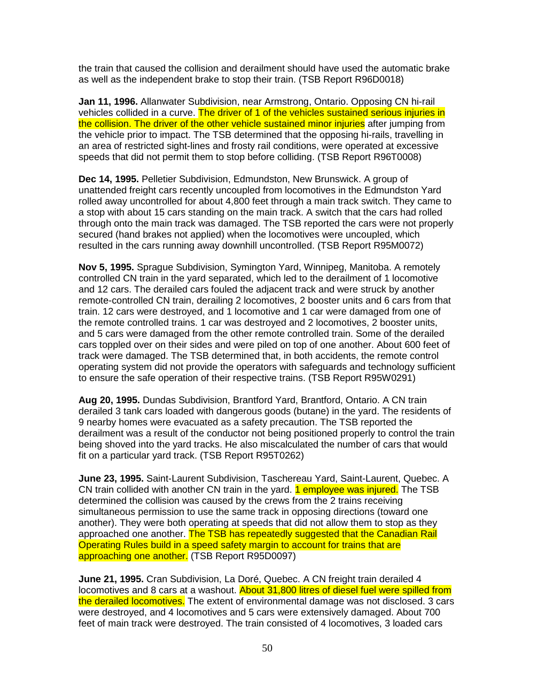the train that caused the collision and derailment should have used the automatic brake as well as the independent brake to stop their train. (TSB Report R96D0018)

**Jan 11, 1996.** Allanwater Subdivision, near Armstrong, Ontario. Opposing CN hi-rail vehicles collided in a curve. The driver of 1 of the vehicles sustained serious injuries in the collision. The driver of the other vehicle sustained minor injuries after jumping from the vehicle prior to impact. The TSB determined that the opposing hi-rails, travelling in an area of restricted sight-lines and frosty rail conditions, were operated at excessive speeds that did not permit them to stop before colliding. (TSB Report R96T0008)

**Dec 14, 1995.** Pelletier Subdivision, Edmundston, New Brunswick. A group of unattended freight cars recently uncoupled from locomotives in the Edmundston Yard rolled away uncontrolled for about 4,800 feet through a main track switch. They came to a stop with about 15 cars standing on the main track. A switch that the cars had rolled through onto the main track was damaged. The TSB reported the cars were not properly secured (hand brakes not applied) when the locomotives were uncoupled, which resulted in the cars running away downhill uncontrolled. (TSB Report R95M0072)

**Nov 5, 1995.** Sprague Subdivision, Symington Yard, Winnipeg, Manitoba. A remotely controlled CN train in the yard separated, which led to the derailment of 1 locomotive and 12 cars. The derailed cars fouled the adjacent track and were struck by another remote-controlled CN train, derailing 2 locomotives, 2 booster units and 6 cars from that train. 12 cars were destroyed, and 1 locomotive and 1 car were damaged from one of the remote controlled trains. 1 car was destroyed and 2 locomotives, 2 booster units, and 5 cars were damaged from the other remote controlled train. Some of the derailed cars toppled over on their sides and were piled on top of one another. About 600 feet of track were damaged. The TSB determined that, in both accidents, the remote control operating system did not provide the operators with safeguards and technology sufficient to ensure the safe operation of their respective trains. (TSB Report R95W0291)

**Aug 20, 1995.** Dundas Subdivision, Brantford Yard, Brantford, Ontario. A CN train derailed 3 tank cars loaded with dangerous goods (butane) in the yard. The residents of 9 nearby homes were evacuated as a safety precaution. The TSB reported the derailment was a result of the conductor not being positioned properly to control the train being shoved into the yard tracks. He also miscalculated the number of cars that would fit on a particular yard track. (TSB Report R95T0262)

**June 23, 1995.** Saint-Laurent Subdivision, Taschereau Yard, Saint-Laurent, Quebec. A CN train collided with another CN train in the yard. **1 employee was injured.** The TSB determined the collision was caused by the crews from the 2 trains receiving simultaneous permission to use the same track in opposing directions (toward one another). They were both operating at speeds that did not allow them to stop as they approached one another. The TSB has repeatedly suggested that the Canadian Rail Operating Rules build in a speed safety margin to account for trains that are approaching one another. (TSB Report R95D0097)

**June 21, 1995.** Cran Subdivision, La Doré, Quebec. A CN freight train derailed 4 locomotives and 8 cars at a washout. About 31,800 litres of diesel fuel were spilled from the derailed locomotives. The extent of environmental damage was not disclosed. 3 cars were destroyed, and 4 locomotives and 5 cars were extensively damaged. About 700 feet of main track were destroyed. The train consisted of 4 locomotives, 3 loaded cars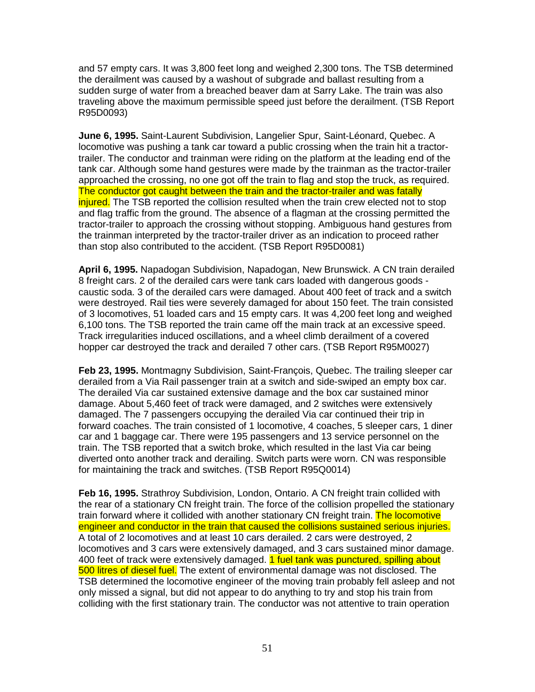and 57 empty cars. It was 3,800 feet long and weighed 2,300 tons. The TSB determined the derailment was caused by a washout of subgrade and ballast resulting from a sudden surge of water from a breached beaver dam at Sarry Lake. The train was also traveling above the maximum permissible speed just before the derailment. (TSB Report R95D0093)

**June 6, 1995.** Saint-Laurent Subdivision, Langelier Spur, Saint-Léonard, Quebec. A locomotive was pushing a tank car toward a public crossing when the train hit a tractortrailer. The conductor and trainman were riding on the platform at the leading end of the tank car. Although some hand gestures were made by the trainman as the tractor-trailer approached the crossing, no one got off the train to flag and stop the truck, as required. The conductor got caught between the train and the tractor-trailer and was fatally injured. The TSB reported the collision resulted when the train crew elected not to stop and flag traffic from the ground. The absence of a flagman at the crossing permitted the tractor-trailer to approach the crossing without stopping. Ambiguous hand gestures from the trainman interpreted by the tractor-trailer driver as an indication to proceed rather than stop also contributed to the accident. (TSB Report R95D0081)

**April 6, 1995.** Napadogan Subdivision, Napadogan, New Brunswick. A CN train derailed 8 freight cars. 2 of the derailed cars were tank cars loaded with dangerous goods caustic soda. 3 of the derailed cars were damaged. About 400 feet of track and a switch were destroyed. Rail ties were severely damaged for about 150 feet. The train consisted of 3 locomotives, 51 loaded cars and 15 empty cars. It was 4,200 feet long and weighed 6,100 tons. The TSB reported the train came off the main track at an excessive speed. Track irregularities induced oscillations, and a wheel climb derailment of a covered hopper car destroyed the track and derailed 7 other cars. (TSB Report R95M0027)

**Feb 23, 1995.** Montmagny Subdivision, Saint-François, Quebec. The trailing sleeper car derailed from a Via Rail passenger train at a switch and side-swiped an empty box car. The derailed Via car sustained extensive damage and the box car sustained minor damage. About 5,460 feet of track were damaged, and 2 switches were extensively damaged. The 7 passengers occupying the derailed Via car continued their trip in forward coaches. The train consisted of 1 locomotive, 4 coaches, 5 sleeper cars, 1 diner car and 1 baggage car. There were 195 passengers and 13 service personnel on the train. The TSB reported that a switch broke, which resulted in the last Via car being diverted onto another track and derailing. Switch parts were worn. CN was responsible for maintaining the track and switches. (TSB Report R95Q0014)

**Feb 16, 1995.** Strathroy Subdivision, London, Ontario. A CN freight train collided with the rear of a stationary CN freight train. The force of the collision propelled the stationary train forward where it collided with another stationary CN freight train. The locomotive engineer and conductor in the train that caused the collisions sustained serious injuries. A total of 2 locomotives and at least 10 cars derailed. 2 cars were destroyed, 2 locomotives and 3 cars were extensively damaged, and 3 cars sustained minor damage. 400 feet of track were extensively damaged. 1 fuel tank was punctured, spilling about 500 litres of diesel fuel. The extent of environmental damage was not disclosed. The TSB determined the locomotive engineer of the moving train probably fell asleep and not only missed a signal, but did not appear to do anything to try and stop his train from colliding with the first stationary train. The conductor was not attentive to train operation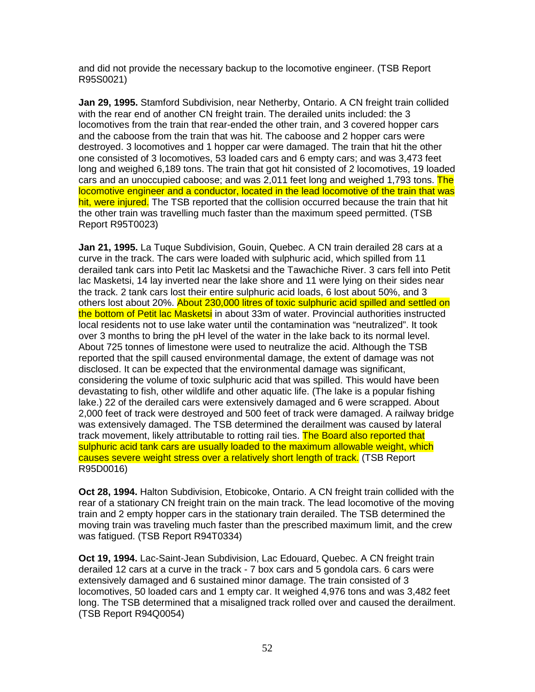and did not provide the necessary backup to the locomotive engineer. (TSB Report R95S0021)

**Jan 29, 1995.** Stamford Subdivision, near Netherby, Ontario. A CN freight train collided with the rear end of another CN freight train. The derailed units included: the 3 locomotives from the train that rear-ended the other train, and 3 covered hopper cars and the caboose from the train that was hit. The caboose and 2 hopper cars were destroyed. 3 locomotives and 1 hopper car were damaged. The train that hit the other one consisted of 3 locomotives, 53 loaded cars and 6 empty cars; and was 3,473 feet long and weighed 6,189 tons. The train that got hit consisted of 2 locomotives, 19 loaded cars and an unoccupied caboose; and was 2,011 feet long and weighed 1,793 tons. The locomotive engineer and a conductor, located in the lead locomotive of the train that was hit, were injured. The TSB reported that the collision occurred because the train that hit the other train was travelling much faster than the maximum speed permitted. (TSB Report R95T0023)

**Jan 21, 1995.** La Tuque Subdivision, Gouin, Quebec. A CN train derailed 28 cars at a curve in the track. The cars were loaded with sulphuric acid, which spilled from 11 derailed tank cars into Petit lac Masketsi and the Tawachiche River. 3 cars fell into Petit lac Masketsi, 14 lay inverted near the lake shore and 11 were lying on their sides near the track. 2 tank cars lost their entire sulphuric acid loads, 6 lost about 50%, and 3 others lost about 20%. About 230,000 litres of toxic sulphuric acid spilled and settled on the bottom of Petit lac Masketsi in about 33m of water. Provincial authorities instructed local residents not to use lake water until the contamination was "neutralized". It took over 3 months to bring the pH level of the water in the lake back to its normal level. About 725 tonnes of limestone were used to neutralize the acid. Although the TSB reported that the spill caused environmental damage, the extent of damage was not disclosed. It can be expected that the environmental damage was significant, considering the volume of toxic sulphuric acid that was spilled. This would have been devastating to fish, other wildlife and other aquatic life. (The lake is a popular fishing lake.) 22 of the derailed cars were extensively damaged and 6 were scrapped. About 2,000 feet of track were destroyed and 500 feet of track were damaged. A railway bridge was extensively damaged. The TSB determined the derailment was caused by lateral track movement, likely attributable to rotting rail ties. The Board also reported that sulphuric acid tank cars are usually loaded to the maximum allowable weight, which causes severe weight stress over a relatively short length of track. (TSB Report R95D0016)

**Oct 28, 1994.** Halton Subdivision, Etobicoke, Ontario. A CN freight train collided with the rear of a stationary CN freight train on the main track. The lead locomotive of the moving train and 2 empty hopper cars in the stationary train derailed. The TSB determined the moving train was traveling much faster than the prescribed maximum limit, and the crew was fatigued. (TSB Report R94T0334)

**Oct 19, 1994.** Lac-Saint-Jean Subdivision, Lac Edouard, Quebec. A CN freight train derailed 12 cars at a curve in the track - 7 box cars and 5 gondola cars. 6 cars were extensively damaged and 6 sustained minor damage. The train consisted of 3 locomotives, 50 loaded cars and 1 empty car. It weighed 4,976 tons and was 3,482 feet long. The TSB determined that a misaligned track rolled over and caused the derailment. (TSB Report R94Q0054)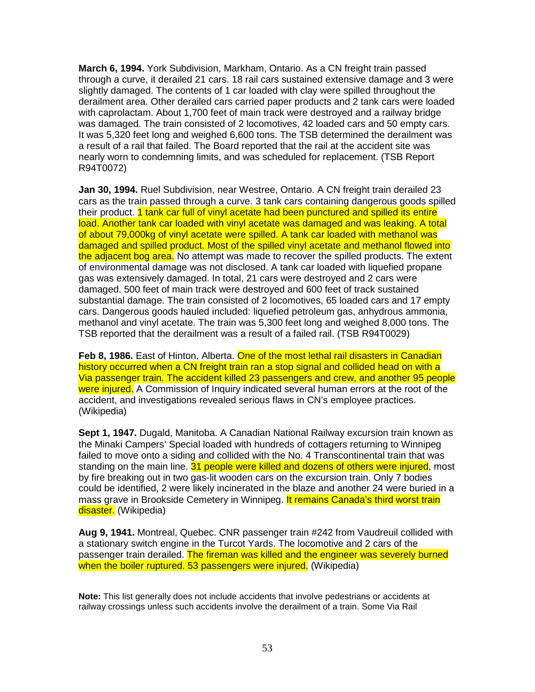**March 6, 1994.** York Subdivision, Markham, Ontario. As a CN freight train passed through a curve, it derailed 21 cars. 18 rail cars sustained extensive damage and 3 were slightly damaged. The contents of 1 car loaded with clay were spilled throughout the derailment area. Other derailed cars carried paper products and 2 tank cars were loaded with caprolactam. About 1,700 feet of main track were destroyed and a railway bridge was damaged. The train consisted of 2 locomotives, 42 loaded cars and 50 empty cars. It was 5,320 feet long and weighed 6,600 tons. The TSB determined the derailment was a result of a rail that failed. The Board reported that the rail at the accident site was nearly worn to condemning limits, and was scheduled for replacement. (TSB Report R94T0072)

**Jan 30, 1994.** Ruel Subdivision, near Westree, Ontario. A CN freight train derailed 23 cars as the train passed through a curve. 3 tank cars containing dangerous goods spilled their product. 1 tank car full of vinyl acetate had been punctured and spilled its entire load. Another tank car loaded with vinyl acetate was damaged and was leaking. A total of about 79,000kg of vinyl acetate were spilled. A tank car loaded with methanol was damaged and spilled product. Most of the spilled vinyl acetate and methanol flowed into the adjacent bog area. No attempt was made to recover the spilled products. The extent of environmental damage was not disclosed. A tank car loaded with liquefied propane gas was extensively damaged. In total, 21 cars were destroyed and 2 cars were damaged. 500 feet of main track were destroyed and 600 feet of track sustained substantial damage. The train consisted of 2 locomotives, 65 loaded cars and 17 empty cars. Dangerous goods hauled included: liquefied petroleum gas, anhydrous ammonia, methanol and vinyl acetate. The train was 5,300 feet long and weighed 8,000 tons. The TSB reported that the derailment was a result of a failed rail. (TSB R94T0029)

**Feb 8, 1986.** East of Hinton, Alberta. One of the most lethal rail disasters in Canadian history occurred when a CN freight train ran a stop signal and collided head on with a Via passenger train. The accident killed 23 passengers and crew, and another 95 people were injured. A Commission of Inquiry indicated several human errors at the root of the accident, and investigations revealed serious flaws in CN's employee practices. (Wikipedia)

**Sept 1, 1947.** Dugald, Manitoba. A Canadian National Railway excursion train known as the Minaki Campers' Special loaded with hundreds of cottagers returning to Winnipeg failed to move onto a siding and collided with the No. 4 Transcontinental train that was standing on the main line. 31 people were killed and dozens of others were injured, most by fire breaking out in two gas-lit wooden cars on the excursion train. Only 7 bodies could be identified, 2 were likely incinerated in the blaze and another 24 were buried in a mass grave in Brookside Cemetery in Winnipeg. It remains Canada's third worst train disaster. (Wikipedia)

**Aug 9, 1941.** Montreal, Quebec. CNR passenger train #242 from Vaudreuil collided with a stationary switch engine in the Turcot Yards. The locomotive and 2 cars of the passenger train derailed. The fireman was killed and the engineer was severely burned when the boiler ruptured. 53 passengers were injured. (Wikipedia)

**Note:** This list generally does not include accidents that involve pedestrians or accidents at railway crossings unless such accidents involve the derailment of a train. Some Via Rail